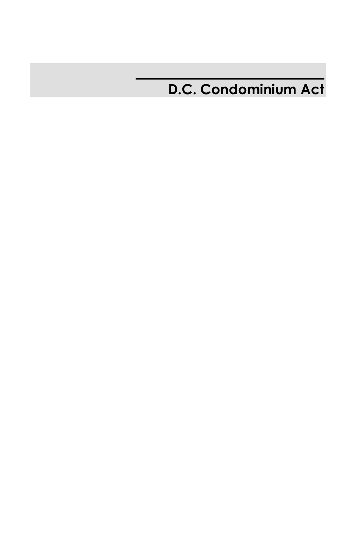# **D.C. Condominium Act**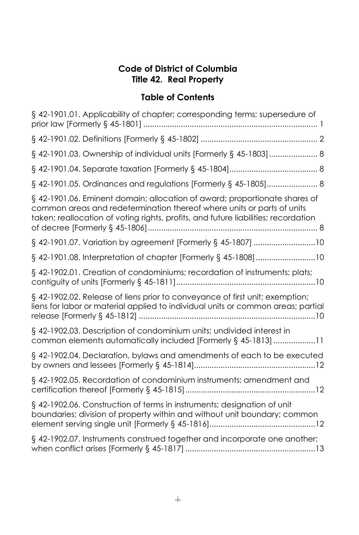### **Code of District of Columbia Title 42. Real Property**

| § 42-1901.01. Applicability of chapter; corresponding terms; supersedure of                                                                                                                                                                |
|--------------------------------------------------------------------------------------------------------------------------------------------------------------------------------------------------------------------------------------------|
|                                                                                                                                                                                                                                            |
| § 42-1901.03. Ownership of individual units [Formerly § 45-1803] 8                                                                                                                                                                         |
|                                                                                                                                                                                                                                            |
| § 42-1901.05. Ordinances and regulations [Formerly § 45-1805] 8                                                                                                                                                                            |
| § 42-1901.06. Eminent domain; allocation of award; proportionate shares of<br>common areas and redetermination thereof where units or parts of units<br>taken; reallocation of voting rights, profits, and future liabilities; recordation |
| § 42-1901.07. Variation by agreement [Formerly § 45-1807] 10                                                                                                                                                                               |
| § 42-1901.08. Interpretation of chapter [Formerly § 45-1808] 10                                                                                                                                                                            |
| § 42-1902.01. Creation of condominiums; recordation of instruments; plats;                                                                                                                                                                 |
| § 42-1902.02. Release of liens prior to conveyance of first unit; exemption;<br>liens for labor or material applied to individual units or common areas; partial                                                                           |
| § 42-1902.03. Description of condominium units; undivided interest in<br>common elements automatically included [Formerly § 45-1813] 11                                                                                                    |
| § 42-1902.04. Declaration, bylaws and amendments of each to be executed                                                                                                                                                                    |
| § 42-1902.05. Recordation of condominium instruments; amendment and                                                                                                                                                                        |
| § 42-1902.06. Construction of terms in instruments; designation of unit<br>boundaries; division of property within and without unit boundary; common                                                                                       |
| § 42-1902.07. Instruments construed together and incorporate one another;                                                                                                                                                                  |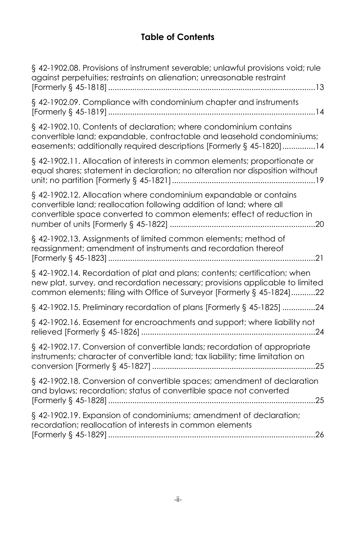| § 42-1902.08. Provisions of instrument severable; unlawful provisions void; rule<br>against perpetuities; restraints on alienation; unreasonable restraint                                                                            |
|---------------------------------------------------------------------------------------------------------------------------------------------------------------------------------------------------------------------------------------|
| § 42-1902.09. Compliance with condominium chapter and instruments                                                                                                                                                                     |
| § 42-1902.10. Contents of declaration; where condominium contains<br>convertible land; expandable, contractable and leasehold condominiums;<br>easements; additionally required descriptions [Formerly § 45-1820]14                   |
| § 42-1902.11. Allocation of interests in common elements; proportionate or<br>equal shares; statement in declaration; no alteration nor disposition without                                                                           |
| § 42-1902.12. Allocation where condominium expandable or contains<br>convertible land; reallocation following addition of land; where all<br>convertible space converted to common elements; effect of reduction in                   |
| § 42-1902.13. Assignments of limited common elements; method of<br>reassignment; amendment of instruments and recordation thereof<br>21                                                                                               |
| § 42-1902.14. Recordation of plat and plans; contents; certification; when<br>new plat, survey, and recordation necessary; provisions applicable to limited<br>common elements; filing with Office of Surveyor [Formerly § 45-1824]22 |
| § 42-1902.15. Preliminary recordation of plans [Formerly § 45-1825] 24                                                                                                                                                                |
| § 42-1902.16. Easement for encroachments and support; where liability not                                                                                                                                                             |
| § 42-1902.17. Conversion of convertible lands; recordation of appropriate<br>instruments; character of convertible land; tax liability; time limitation on                                                                            |
| § 42-1902.18. Conversion of convertible spaces; amendment of declaration<br>and bylaws; recordation; status of convertible space not converted<br>. 25                                                                                |
| § 42-1902.19. Expansion of condominiums; amendment of declaration;<br>recordation; reallocation of interests in common elements                                                                                                       |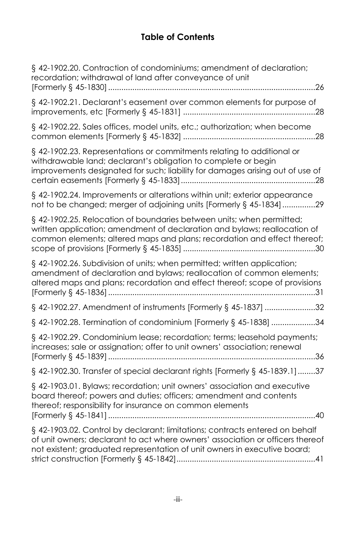| § 42-1902.20. Contraction of condominiums; amendment of declaration;<br>recordation; withdrawal of land after conveyance of unit                                                                                                            |
|---------------------------------------------------------------------------------------------------------------------------------------------------------------------------------------------------------------------------------------------|
| § 42-1902.21. Declarant's easement over common elements for purpose of                                                                                                                                                                      |
| § 42-1902.22. Sales offices, model units, etc.; authorization; when become                                                                                                                                                                  |
| § 42-1902.23. Representations or commitments relating to additional or<br>withdrawable land; declarant's obligation to complete or begin<br>improvements designated for such; liability for damages arising out of use of                   |
| § 42-1902.24. Improvements or alterations within unit; exterior appearance<br>not to be changed; merger of adjoining units [Formerly § 45-1834]29                                                                                           |
| § 42-1902.25. Relocation of boundaries between units; when permitted;<br>written application; amendment of declaration and bylaws; reallocation of<br>common elements; altered maps and plans; recordation and effect thereof;              |
| § 42-1902.26. Subdivision of units; when permitted; written application;<br>amendment of declaration and bylaws; reallocation of common elements;<br>altered maps and plans; recordation and effect thereof; scope of provisions            |
| § 42-1902.27. Amendment of instruments [Formerly § 45-1837] 32                                                                                                                                                                              |
| § 42-1902.28. Termination of condominium [Formerly § 45-1838] 34                                                                                                                                                                            |
| § 42-1902.29. Condominium lease; recordation; terms; leasehold payments;<br>increases; sale or assignation; offer to unit owners' association; renewal                                                                                      |
| § 42-1902.30. Transfer of special declarant rights [Formerly § 45-1839.1] 37                                                                                                                                                                |
| § 42-1903.01. Bylaws; recordation; unit owners' association and executive<br>board thereof; powers and duties; officers; amendment and contents<br>thereof; responsibility for insurance on common elements                                 |
| § 42-1903.02. Control by declarant; limitations; contracts entered on behalf<br>of unit owners; declarant to act where owners' association or officers thereof<br>not existent; graduated representation of unit owners in executive board; |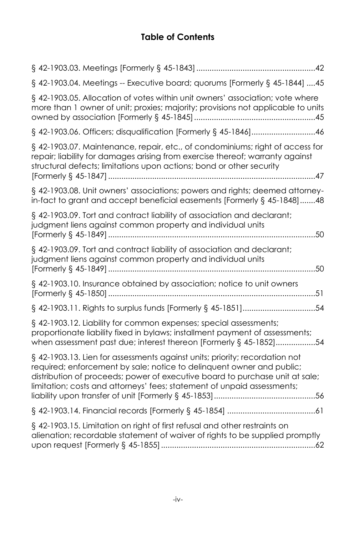| § 42-1903.04. Meetings -- Executive board; quorums [Formerly § 45-1844] 45                                                                                                                                                                                                                                      |
|-----------------------------------------------------------------------------------------------------------------------------------------------------------------------------------------------------------------------------------------------------------------------------------------------------------------|
| § 42-1903.05. Allocation of votes within unit owners' association; vote where<br>more than 1 owner of unit; proxies; majority; provisions not applicable to units                                                                                                                                               |
| § 42-1903.06. Officers; disqualification [Formerly § 45-1846]46                                                                                                                                                                                                                                                 |
| § 42-1903.07. Maintenance, repair, etc., of condominiums; right of access for<br>repair; liability for damages arising from exercise thereof; warranty against<br>structural defects; limitations upon actions; bond or other security                                                                          |
| § 42-1903.08. Unit owners' associations; powers and rights; deemed attorney-<br>in-fact to grant and accept beneficial easements [Formerly § 45-1848]48                                                                                                                                                         |
| § 42-1903.09. Tort and contract liability of association and declarant;<br>judgment liens against common property and individual units<br>50                                                                                                                                                                    |
| § 42-1903.09. Tort and contract liability of association and declarant;<br>judgment liens against common property and individual units                                                                                                                                                                          |
| § 42-1903.10. Insurance obtained by association; notice to unit owners                                                                                                                                                                                                                                          |
| § 42-1903.11. Rights to surplus funds [Formerly § 45-1851]54                                                                                                                                                                                                                                                    |
| § 42-1903.12. Liability for common expenses; special assessments;<br>proportionate liability fixed in bylaws; installment payment of assessments;<br>when assessment past due; interest thereon [Formerly § 45-1852]54                                                                                          |
| § 42-1903.13. Lien for assessments against units; priority; recordation not<br>required; enforcement by sale; notice to delinquent owner and public;<br>distribution of proceeds; power of executive board to purchase unit at sale;<br>limitation; costs and attorneys' fees; statement of unpaid assessments; |
|                                                                                                                                                                                                                                                                                                                 |
| § 42-1903.15. Limitation on right of first refusal and other restraints on<br>alienation; recordable statement of waiver of rights to be supplied promptly                                                                                                                                                      |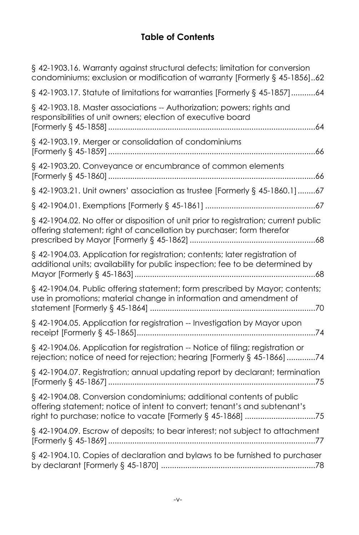| § 42-1903.16. Warranty against structural defects; limitation for conversion<br>condominiums; exclusion or modification of warranty [Formerly § 45-1856]62                                                       |
|------------------------------------------------------------------------------------------------------------------------------------------------------------------------------------------------------------------|
| § 42-1903.17. Statute of limitations for warranties [Formerly § 45-1857]64                                                                                                                                       |
| § 42-1903.18. Master associations -- Authorization; powers; rights and<br>responsibilities of unit owners; election of executive board                                                                           |
| § 42-1903.19. Merger or consolidation of condominiums                                                                                                                                                            |
| §42-1903.20. Conveyance or encumbrance of common elements                                                                                                                                                        |
| § 42-1903.21. Unit owners' association as trustee [Formerly § 45-1860.1] 67                                                                                                                                      |
|                                                                                                                                                                                                                  |
| § 42-1904.02. No offer or disposition of unit prior to registration; current public<br>offering statement; right of cancellation by purchaser; form therefor                                                     |
| § 42-1904.03. Application for registration; contents; later registration of<br>additional units; availability for public inspection; fee to be determined by                                                     |
| § 42-1904.04. Public offering statement; form prescribed by Mayor; contents;<br>use in promotions; material change in information and amendment of                                                               |
| § 42-1904.05. Application for registration -- Investigation by Mayor upon                                                                                                                                        |
| § 42-1904.06. Application for registration -- Notice of filing; registration or<br>rejection; notice of need for rejection; hearing [Formerly § 45-1866] 74                                                      |
| § 42-1904.07. Registration; annual updating report by declarant; termination                                                                                                                                     |
| § 42-1904.08. Conversion condominiums; additional contents of public<br>offering statement; notice of intent to convert; tenant's and subtenant's<br>right to purchase; notice to vacate [Formerly § 45-1868] 75 |
| § 42-1904.09. Escrow of deposits; to bear interest; not subject to attachment                                                                                                                                    |
| § 42-1904.10. Copies of declaration and bylaws to be furnished to purchaser                                                                                                                                      |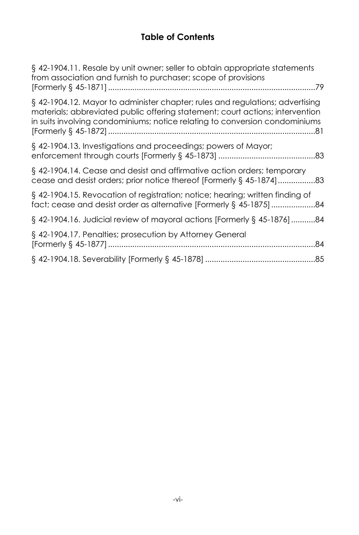| § 42-1904.11. Resale by unit owner; seller to obtain appropriate statements<br>from association and furnish to purchaser; scope of provisions                                                                                                 |
|-----------------------------------------------------------------------------------------------------------------------------------------------------------------------------------------------------------------------------------------------|
| § 42-1904.12. Mayor to administer chapter; rules and regulations; advertising<br>materials; abbreviated public offering statement; court actions; intervention<br>in suits involving condominiums; notice relating to conversion condominiums |
| § 42-1904.13. Investigations and proceedings; powers of Mayor;                                                                                                                                                                                |
| § 42-1904.14. Cease and desist and affirmative action orders; temporary<br>cease and desist orders; prior notice thereof [Formerly § 45-1874]83                                                                                               |
| § 42-1904.15. Revocation of registration; notice; hearing; written finding of                                                                                                                                                                 |
| § 42-1904.16. Judicial review of mayoral actions [Formerly § 45-1876] 84                                                                                                                                                                      |
| § 42-1904.17. Penalties; prosecution by Attorney General                                                                                                                                                                                      |
|                                                                                                                                                                                                                                               |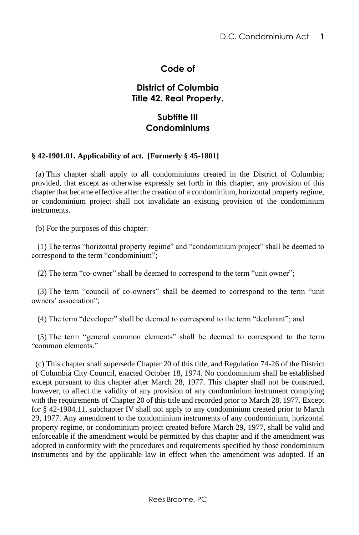### **Code of**

### **District of Columbia Title 42. Real Property.**

### <span id="page-7-0"></span>**Subtitle III Condominiums**

#### **§ 42-1901.01. Applicability of act. [Formerly § 45-1801]**

 (a) This chapter shall apply to all condominiums created in the District of Columbia; provided, that except as otherwise expressly set forth in this chapter, any provision of this chapter that became effective after the creation of a condominium, horizontal property regime, or condominium project shall not invalidate an existing provision of the condominium instruments.

(b) For the purposes of this chapter:

 (1) The terms "horizontal property regime" and "condominium project" shall be deemed to correspond to the term "condominium";

(2) The term "co-owner" shall be deemed to correspond to the term "unit owner";

 (3) The term "council of co-owners" shall be deemed to correspond to the term "unit owners' association";

(4) The term "developer" shall be deemed to correspond to the term "declarant"; and

 (5) The term "general common elements" shall be deemed to correspond to the term "common elements."

 (c) This chapter shall supersede Chapter 20 of this title, and Regulation 74-26 of the District of Columbia City Council, enacted October 18, 1974. No condominium shall be established except pursuant to this chapter after March 28, 1977. This chapter shall not be construed, however, to affect the validity of any provision of any condominium instrument complying with the requirements of Chapter 20 of this title and recorded prior to March 28, 1977. Except for [§ 42-1904.11,](http://www.lexis.com/research/buttonTFLink?_m=64c8fb060f595f5c425b42260059970b&_xfercite=%3ccite%20cc%3d%22USA%22%3e%3c%21%5bCDATA%5bD.C.%20Code%20%a7%2042-1901.01%5d%5d%3e%3c%2fcite%3e&_butType=4&_butStat=0&_butNum=10&_butInline=1&_butinfo=DC%20CODE%2042-1904.11&_fmtstr=FULL&docnum=1&_startdoc=1&wchp=dGLzVlz-zSkAz&_md5=262a4e592685099e8655f1cdbf93f1b4) subchapter IV shall not apply to any condominium created prior to March 29, 1977. Any amendment to the condominium instruments of any condominium, horizontal property regime, or condominium project created before March 29, 1977, shall be valid and enforceable if the amendment would be permitted by this chapter and if the amendment was adopted in conformity with the procedures and requirements specified by those condominium instruments and by the applicable law in effect when the amendment was adopted. If an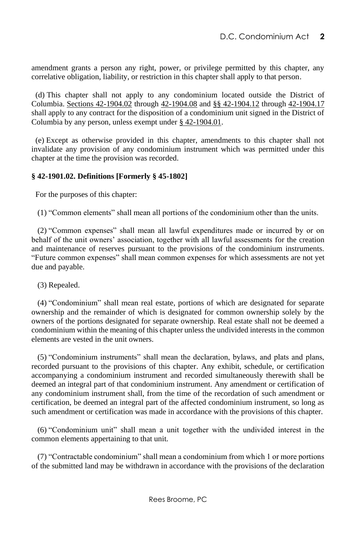amendment grants a person any right, power, or privilege permitted by this chapter, any correlative obligation, liability, or restriction in this chapter shall apply to that person.

 (d) This chapter shall not apply to any condominium located outside the District of Columbia. [Sections 42-1904.02](http://www.lexis.com/research/buttonTFLink?_m=64c8fb060f595f5c425b42260059970b&_xfercite=%3ccite%20cc%3d%22USA%22%3e%3c%21%5bCDATA%5bD.C.%20Code%20%a7%2042-1901.01%5d%5d%3e%3c%2fcite%3e&_butType=4&_butStat=0&_butNum=11&_butInline=1&_butinfo=DC%20CODE%2042-1904.02&_fmtstr=FULL&docnum=1&_startdoc=1&wchp=dGLzVlz-zSkAz&_md5=a9da8bd1242adc1a95de7426e6bec3d1) through [42-1904.08](http://www.lexis.com/research/buttonTFLink?_m=64c8fb060f595f5c425b42260059970b&_xfercite=%3ccite%20cc%3d%22USA%22%3e%3c%21%5bCDATA%5bD.C.%20Code%20%a7%2042-1901.01%5d%5d%3e%3c%2fcite%3e&_butType=4&_butStat=0&_butNum=12&_butInline=1&_butinfo=DC%20CODE%2042-1904.08&_fmtstr=FULL&docnum=1&_startdoc=1&wchp=dGLzVlz-zSkAz&_md5=add1c63caf62c4bf80ecf6a5eb4f1e95) and [§§ 42-1904.12](http://www.lexis.com/research/buttonTFLink?_m=64c8fb060f595f5c425b42260059970b&_xfercite=%3ccite%20cc%3d%22USA%22%3e%3c%21%5bCDATA%5bD.C.%20Code%20%a7%2042-1901.01%5d%5d%3e%3c%2fcite%3e&_butType=4&_butStat=0&_butNum=13&_butInline=1&_butinfo=DC%20CODE%2042-1904.12&_fmtstr=FULL&docnum=1&_startdoc=1&wchp=dGLzVlz-zSkAz&_md5=f46df768b8efc34f08162958d9a1df0b) throug[h 42-1904.17](http://www.lexis.com/research/buttonTFLink?_m=64c8fb060f595f5c425b42260059970b&_xfercite=%3ccite%20cc%3d%22USA%22%3e%3c%21%5bCDATA%5bD.C.%20Code%20%a7%2042-1901.01%5d%5d%3e%3c%2fcite%3e&_butType=4&_butStat=0&_butNum=14&_butInline=1&_butinfo=DC%20CODE%2042-1904.17&_fmtstr=FULL&docnum=1&_startdoc=1&wchp=dGLzVlz-zSkAz&_md5=dac71b0b984a0a19f2d83195017a155f) shall apply to any contract for the disposition of a condominium unit signed in the District of Columbia by any person, unless exempt under [§ 42-1904.01.](http://www.lexis.com/research/buttonTFLink?_m=64c8fb060f595f5c425b42260059970b&_xfercite=%3ccite%20cc%3d%22USA%22%3e%3c%21%5bCDATA%5bD.C.%20Code%20%a7%2042-1901.01%5d%5d%3e%3c%2fcite%3e&_butType=4&_butStat=0&_butNum=15&_butInline=1&_butinfo=DC%20CODE%2042-1904.01&_fmtstr=FULL&docnum=1&_startdoc=1&wchp=dGLzVlz-zSkAz&_md5=18f46d38f1c4a6fecaa8e0641d8457d4)

 (e) Except as otherwise provided in this chapter, amendments to this chapter shall not invalidate any provision of any condominium instrument which was permitted under this chapter at the time the provision was recorded.

#### **§ 42-1901.02. Definitions [Formerly § 45-1802]**

<span id="page-8-0"></span>For the purposes of this chapter:

(1) "Common elements" shall mean all portions of the condominium other than the units.

 (2) "Common expenses" shall mean all lawful expenditures made or incurred by or on behalf of the unit owners' association, together with all lawful assessments for the creation and maintenance of reserves pursuant to the provisions of the condominium instruments. "Future common expenses" shall mean common expenses for which assessments are not yet due and payable.

(3) Repealed.

 (4) "Condominium" shall mean real estate, portions of which are designated for separate ownership and the remainder of which is designated for common ownership solely by the owners of the portions designated for separate ownership. Real estate shall not be deemed a condominium within the meaning of this chapter unless the undivided interests in the common elements are vested in the unit owners.

 (5) "Condominium instruments" shall mean the declaration, bylaws, and plats and plans, recorded pursuant to the provisions of this chapter. Any exhibit, schedule, or certification accompanying a condominium instrument and recorded simultaneously therewith shall be deemed an integral part of that condominium instrument. Any amendment or certification of any condominium instrument shall, from the time of the recordation of such amendment or certification, be deemed an integral part of the affected condominium instrument, so long as such amendment or certification was made in accordance with the provisions of this chapter.

 (6) "Condominium unit" shall mean a unit together with the undivided interest in the common elements appertaining to that unit.

 (7) "Contractable condominium" shall mean a condominium from which 1 or more portions of the submitted land may be withdrawn in accordance with the provisions of the declaration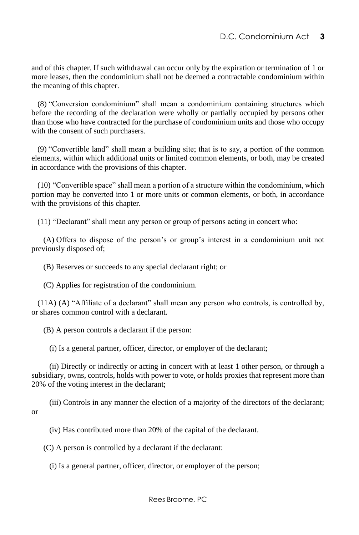and of this chapter. If such withdrawal can occur only by the expiration or termination of 1 or more leases, then the condominium shall not be deemed a contractable condominium within the meaning of this chapter.

 (8) "Conversion condominium" shall mean a condominium containing structures which before the recording of the declaration were wholly or partially occupied by persons other than those who have contracted for the purchase of condominium units and those who occupy with the consent of such purchasers.

 (9) "Convertible land" shall mean a building site; that is to say, a portion of the common elements, within which additional units or limited common elements, or both, may be created in accordance with the provisions of this chapter.

 (10) "Convertible space" shall mean a portion of a structure within the condominium, which portion may be converted into 1 or more units or common elements, or both, in accordance with the provisions of this chapter.

(11) "Declarant" shall mean any person or group of persons acting in concert who:

 (A) Offers to dispose of the person's or group's interest in a condominium unit not previously disposed of;

(B) Reserves or succeeds to any special declarant right; or

(C) Applies for registration of the condominium.

 (11A) (A) "Affiliate of a declarant" shall mean any person who controls, is controlled by, or shares common control with a declarant.

(B) A person controls a declarant if the person:

(i) Is a general partner, officer, director, or employer of the declarant;

 (ii) Directly or indirectly or acting in concert with at least 1 other person, or through a subsidiary, owns, controls, holds with power to vote, or holds proxies that represent more than 20% of the voting interest in the declarant;

 (iii) Controls in any manner the election of a majority of the directors of the declarant; or

(iv) Has contributed more than 20% of the capital of the declarant.

(C) A person is controlled by a declarant if the declarant:

(i) Is a general partner, officer, director, or employer of the person;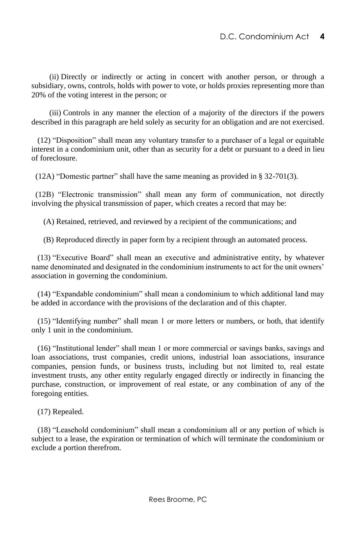(ii) Directly or indirectly or acting in concert with another person, or through a subsidiary, owns, controls, holds with power to vote, or holds proxies representing more than 20% of the voting interest in the person; or

 (iii) Controls in any manner the election of a majority of the directors if the powers described in this paragraph are held solely as security for an obligation and are not exercised.

 (12) "Disposition" shall mean any voluntary transfer to a purchaser of a legal or equitable interest in a condominium unit, other than as security for a debt or pursuant to a deed in lieu of foreclosure.

(12A) "Domestic partner" shall have the same meaning as provided in § 32-701(3).

(12B) "Electronic transmission" shall mean any form of communication, not directly involving the physical transmission of paper, which creates a record that may be:

(A) Retained, retrieved, and reviewed by a recipient of the communications; and

(B) Reproduced directly in paper form by a recipient through an automated process.

 (13) "Executive Board" shall mean an executive and administrative entity, by whatever name denominated and designated in the condominium instruments to act for the unit owners' association in governing the condominium.

 (14) "Expandable condominium" shall mean a condominium to which additional land may be added in accordance with the provisions of the declaration and of this chapter.

 (15) "Identifying number" shall mean 1 or more letters or numbers, or both, that identify only 1 unit in the condominium.

 (16) "Institutional lender" shall mean 1 or more commercial or savings banks, savings and loan associations, trust companies, credit unions, industrial loan associations, insurance companies, pension funds, or business trusts, including but not limited to, real estate investment trusts, any other entity regularly engaged directly or indirectly in financing the purchase, construction, or improvement of real estate, or any combination of any of the foregoing entities.

(17) Repealed.

 (18) "Leasehold condominium" shall mean a condominium all or any portion of which is subject to a lease, the expiration or termination of which will terminate the condominium or exclude a portion therefrom.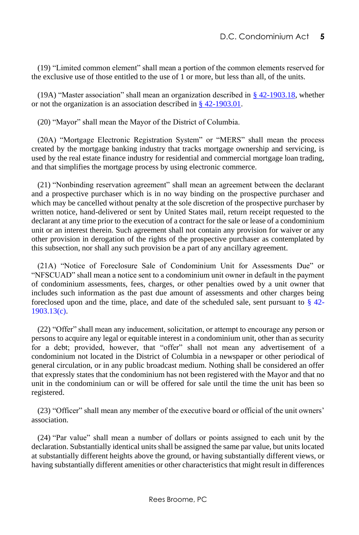(19) "Limited common element" shall mean a portion of the common elements reserved for the exclusive use of those entitled to the use of 1 or more, but less than all, of the units.

(19A) "Master association" shall mean an organization described in [§ 42-1903.18,](http://www.lexis.com/research/buttonTFLink?_m=2f62fc6398116538b6808b3321044260&_xfercite=%3ccite%20cc%3d%22USA%22%3e%3c%21%5bCDATA%5bD.C.%20Code%20%a7%2042-1901.02%5d%5d%3e%3c%2fcite%3e&_butType=4&_butStat=0&_butNum=2&_butInline=1&_butinfo=DC%20CODE%2042-1903.18&_fmtstr=FULL&docnum=1&_startdoc=1&wchp=dGLzVlz-zSkAz&_md5=5fc72b183c9ec748804c3a91e43fdeea) whether or not the organization is an association described i[n § 42-1903.01.](http://www.lexis.com/research/buttonTFLink?_m=2f62fc6398116538b6808b3321044260&_xfercite=%3ccite%20cc%3d%22USA%22%3e%3c%21%5bCDATA%5bD.C.%20Code%20%a7%2042-1901.02%5d%5d%3e%3c%2fcite%3e&_butType=4&_butStat=0&_butNum=3&_butInline=1&_butinfo=DC%20CODE%2042-1903.01&_fmtstr=FULL&docnum=1&_startdoc=1&wchp=dGLzVlz-zSkAz&_md5=658ea69fe46d330c9f706e29b31acb90)

(20) "Mayor" shall mean the Mayor of the District of Columbia.

 (20A) "Mortgage Electronic Registration System" or "MERS" shall mean the process created by the mortgage banking industry that tracks mortgage ownership and servicing, is used by the real estate finance industry for residential and commercial mortgage loan trading, and that simplifies the mortgage process by using electronic commerce.

 (21) "Nonbinding reservation agreement" shall mean an agreement between the declarant and a prospective purchaser which is in no way binding on the prospective purchaser and which may be cancelled without penalty at the sole discretion of the prospective purchaser by written notice, hand-delivered or sent by United States mail, return receipt requested to the declarant at any time prior to the execution of a contract for the sale or lease of a condominium unit or an interest therein. Such agreement shall not contain any provision for waiver or any other provision in derogation of the rights of the prospective purchaser as contemplated by this subsection, nor shall any such provision be a part of any ancillary agreement.

 (21A) "Notice of Foreclosure Sale of Condominium Unit for Assessments Due" or "NFSCUAD" shall mean a notice sent to a condominium unit owner in default in the payment of condominium assessments, fees, charges, or other penalties owed by a unit owner that includes such information as the past due amount of assessments and other charges being foreclosed upon and the time, place, and date of the scheduled sale, sent pursuant to  $\S$  42-[1903.13\(c\).](http://www.westlaw.com/Link/Document/FullText?findType=L&pubNum=1000869&cite=DCCODES42-1903.13&originatingDoc=N3F95B6501F8F11E7B808E95C719476C9&refType=SP&originationContext=document&vr=3.0&rs=cblt1.0&transitionType=DocumentItem&contextData=(sc.Default)#co_pp_4b24000003ba5)

 (22) "Offer" shall mean any inducement, solicitation, or attempt to encourage any person or persons to acquire any legal or equitable interest in a condominium unit, other than as security for a debt; provided, however, that "offer" shall not mean any advertisement of a condominium not located in the District of Columbia in a newspaper or other periodical of general circulation, or in any public broadcast medium. Nothing shall be considered an offer that expressly states that the condominium has not been registered with the Mayor and that no unit in the condominium can or will be offered for sale until the time the unit has been so registered.

 (23) "Officer" shall mean any member of the executive board or official of the unit owners' association.

 (24) "Par value" shall mean a number of dollars or points assigned to each unit by the declaration. Substantially identical units shall be assigned the same par value, but units located at substantially different heights above the ground, or having substantially different views, or having substantially different amenities or other characteristics that might result in differences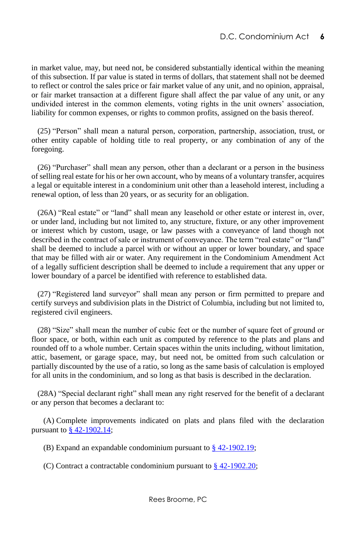in market value, may, but need not, be considered substantially identical within the meaning of this subsection. If par value is stated in terms of dollars, that statement shall not be deemed to reflect or control the sales price or fair market value of any unit, and no opinion, appraisal, or fair market transaction at a different figure shall affect the par value of any unit, or any undivided interest in the common elements, voting rights in the unit owners' association, liability for common expenses, or rights to common profits, assigned on the basis thereof.

 (25) "Person" shall mean a natural person, corporation, partnership, association, trust, or other entity capable of holding title to real property, or any combination of any of the foregoing.

 (26) "Purchaser" shall mean any person, other than a declarant or a person in the business of selling real estate for his or her own account, who by means of a voluntary transfer, acquires a legal or equitable interest in a condominium unit other than a leasehold interest, including a renewal option, of less than 20 years, or as security for an obligation.

 (26A) "Real estate" or "land" shall mean any leasehold or other estate or interest in, over, or under land, including but not limited to, any structure, fixture, or any other improvement or interest which by custom, usage, or law passes with a conveyance of land though not described in the contract of sale or instrument of conveyance. The term "real estate" or "land" shall be deemed to include a parcel with or without an upper or lower boundary, and space that may be filled with air or water. Any requirement in the Condominium Amendment Act of a legally sufficient description shall be deemed to include a requirement that any upper or lower boundary of a parcel be identified with reference to established data.

 (27) "Registered land surveyor" shall mean any person or firm permitted to prepare and certify surveys and subdivision plats in the District of Columbia, including but not limited to, registered civil engineers.

 (28) "Size" shall mean the number of cubic feet or the number of square feet of ground or floor space, or both, within each unit as computed by reference to the plats and plans and rounded off to a whole number. Certain spaces within the units including, without limitation, attic, basement, or garage space, may, but need not, be omitted from such calculation or partially discounted by the use of a ratio, so long as the same basis of calculation is employed for all units in the condominium, and so long as that basis is described in the declaration.

 (28A) "Special declarant right" shall mean any right reserved for the benefit of a declarant or any person that becomes a declarant to:

 (A) Complete improvements indicated on plats and plans filed with the declaration pursuant t[o § 42-1902.14;](http://www.lexis.com/research/buttonTFLink?_m=2f62fc6398116538b6808b3321044260&_xfercite=%3ccite%20cc%3d%22USA%22%3e%3c%21%5bCDATA%5bD.C.%20Code%20%a7%2042-1901.02%5d%5d%3e%3c%2fcite%3e&_butType=4&_butStat=0&_butNum=4&_butInline=1&_butinfo=DC%20CODE%2042-1902.14&_fmtstr=FULL&docnum=1&_startdoc=1&wchp=dGLzVlz-zSkAz&_md5=6a21f4f4a0e691bf008c6f72a7bd6078)

(B) Expand an expandable condominium pursuant to [§ 42-1902.19;](http://www.lexis.com/research/buttonTFLink?_m=2f62fc6398116538b6808b3321044260&_xfercite=%3ccite%20cc%3d%22USA%22%3e%3c%21%5bCDATA%5bD.C.%20Code%20%a7%2042-1901.02%5d%5d%3e%3c%2fcite%3e&_butType=4&_butStat=0&_butNum=5&_butInline=1&_butinfo=DC%20CODE%2042-1902.19&_fmtstr=FULL&docnum=1&_startdoc=1&wchp=dGLzVlz-zSkAz&_md5=b1847aa8935dee1f67ec927ee13f9e30)

(C) Contract a contractable condominium pursuant to  $\frac{8}{9}$  42-1902.20;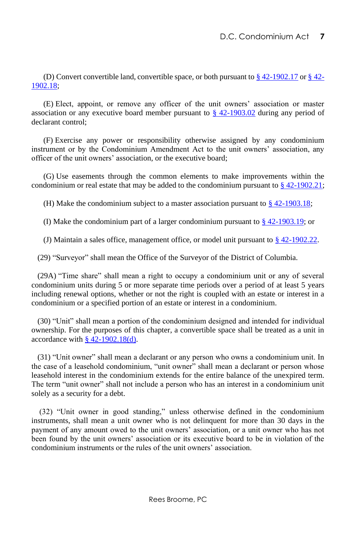(D) Convert convertible land, convertible space, or both pursuant to  $\S$  [42-](http://www.lexis.com/research/buttonTFLink?_m=2f62fc6398116538b6808b3321044260&_xfercite=%3ccite%20cc%3d%22USA%22%3e%3c%21%5bCDATA%5bD.C.%20Code%20%a7%2042-1901.02%5d%5d%3e%3c%2fcite%3e&_butType=4&_butStat=0&_butNum=8&_butInline=1&_butinfo=DC%20CODE%2042-1902.18&_fmtstr=FULL&docnum=1&_startdoc=1&wchp=dGLzVlz-zSkAz&_md5=a5ff96dfad165bdd1be6eb06568fd078)1902.17 or  $\S$  42-[1902.18;](http://www.lexis.com/research/buttonTFLink?_m=2f62fc6398116538b6808b3321044260&_xfercite=%3ccite%20cc%3d%22USA%22%3e%3c%21%5bCDATA%5bD.C.%20Code%20%a7%2042-1901.02%5d%5d%3e%3c%2fcite%3e&_butType=4&_butStat=0&_butNum=8&_butInline=1&_butinfo=DC%20CODE%2042-1902.18&_fmtstr=FULL&docnum=1&_startdoc=1&wchp=dGLzVlz-zSkAz&_md5=a5ff96dfad165bdd1be6eb06568fd078)

 (E) Elect, appoint, or remove any officer of the unit owners' association or master association or any executive board member pursuant to [§ 42-1903.02](http://www.lexis.com/research/buttonTFLink?_m=2f62fc6398116538b6808b3321044260&_xfercite=%3ccite%20cc%3d%22USA%22%3e%3c%21%5bCDATA%5bD.C.%20Code%20%a7%2042-1901.02%5d%5d%3e%3c%2fcite%3e&_butType=4&_butStat=0&_butNum=9&_butInline=1&_butinfo=DC%20CODE%2042-1903.02&_fmtstr=FULL&docnum=1&_startdoc=1&wchp=dGLzVlz-zSkAz&_md5=75114df4c906418269485308b720dd9c) during any period of declarant control;

 (F) Exercise any power or responsibility otherwise assigned by any condominium instrument or by the Condominium Amendment Act to the unit owners' association, any officer of the unit owners' association, or the executive board;

 (G) Use easements through the common elements to make improvements within the condominium or real estate that may be added to the condominium pursuant to  $\S$  42-1902.21;

(H) Make the condominium subject to a master association pursuant to  $\S$  42-1903.18;

(I) Make the condominium part of a larger condominium pursuant to [§ 42-1903.19;](http://www.lexis.com/research/buttonTFLink?_m=2f62fc6398116538b6808b3321044260&_xfercite=%3ccite%20cc%3d%22USA%22%3e%3c%21%5bCDATA%5bD.C.%20Code%20%a7%2042-1901.02%5d%5d%3e%3c%2fcite%3e&_butType=4&_butStat=0&_butNum=12&_butInline=1&_butinfo=DC%20CODE%2042-1903.19&_fmtstr=FULL&docnum=1&_startdoc=1&wchp=dGLzVlz-zSkAz&_md5=a5edf707adb4b170a7bbf9cfcf11f05a) or

(J) Maintain a sales office, management office, or model unit pursuant to  $\S$  42-1902.22.

(29) "Surveyor" shall mean the Office of the Surveyor of the District of Columbia.

 (29A) "Time share" shall mean a right to occupy a condominium unit or any of several condominium units during 5 or more separate time periods over a period of at least 5 years including renewal options, whether or not the right is coupled with an estate or interest in a condominium or a specified portion of an estate or interest in a condominium.

 (30) "Unit" shall mean a portion of the condominium designed and intended for individual ownership. For the purposes of this chapter, a convertible space shall be treated as a unit in accordance with  $§$  42-1902.18(d).

 (31) "Unit owner" shall mean a declarant or any person who owns a condominium unit. In the case of a leasehold condominium, "unit owner" shall mean a declarant or person whose leasehold interest in the condominium extends for the entire balance of the unexpired term. The term "unit owner" shall not include a person who has an interest in a condominium unit solely as a security for a debt.

(32) "Unit owner in good standing," unless otherwise defined in the condominium instruments, shall mean a unit owner who is not delinquent for more than 30 days in the payment of any amount owed to the unit owners' association, or a unit owner who has not been found by the unit owners' association or its executive board to be in violation of the condominium instruments or the rules of the unit owners' association.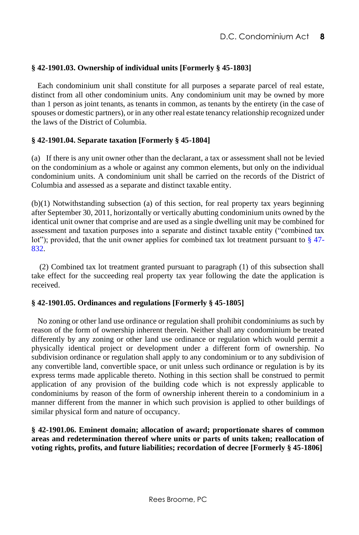#### <span id="page-14-0"></span>**§ 42-1901.03. Ownership of individual units [Formerly § 45-1803]**

 Each condominium unit shall constitute for all purposes a separate parcel of real estate, distinct from all other condominium units. Any condominium unit may be owned by more than 1 person as joint tenants, as tenants in common, as tenants by the entirety (in the case of spouses or domestic partners), or in any other real estate tenancy relationship recognized under the laws of the District of Columbia.

#### <span id="page-14-1"></span>**§ 42-1901.04. Separate taxation [Formerly § 45-1804]**

(a) If there is any unit owner other than the declarant, a tax or assessment shall not be levied on the condominium as a whole or against any common elements, but only on the individual condominium units. A condominium unit shall be carried on the records of the District of Columbia and assessed as a separate and distinct taxable entity.

(b)(1) Notwithstanding subsection (a) of this section, for real property tax years beginning after September 30, 2011, horizontally or vertically abutting condominium units owned by the identical unit owner that comprise and are used as a single dwelling unit may be combined for assessment and taxation purposes into a separate and distinct taxable entity ("combined tax lot"); provided, that the unit owner applies for combined tax lot treatment pursuant to [§ 47-](http://www.westlaw.com/Link/Document/FullText?findType=L&pubNum=1000869&cite=DCCODES47-832&originatingDoc=N0B79D1A0E74811E188F9F174F318E185&refType=LQ&originationContext=document&vr=3.0&rs=cblt1.0&transitionType=DocumentItem&contextData=(sc.Default)) [832.](http://www.westlaw.com/Link/Document/FullText?findType=L&pubNum=1000869&cite=DCCODES47-832&originatingDoc=N0B79D1A0E74811E188F9F174F318E185&refType=LQ&originationContext=document&vr=3.0&rs=cblt1.0&transitionType=DocumentItem&contextData=(sc.Default))

 (2) Combined tax lot treatment granted pursuant to paragraph (1) of this subsection shall take effect for the succeeding real property tax year following the date the application is received.

#### <span id="page-14-2"></span>**§ 42-1901.05. Ordinances and regulations [Formerly § 45-1805]**

 No zoning or other land use ordinance or regulation shall prohibit condominiums as such by reason of the form of ownership inherent therein. Neither shall any condominium be treated differently by any zoning or other land use ordinance or regulation which would permit a physically identical project or development under a different form of ownership. No subdivision ordinance or regulation shall apply to any condominium or to any subdivision of any convertible land, convertible space, or unit unless such ordinance or regulation is by its express terms made applicable thereto. Nothing in this section shall be construed to permit application of any provision of the building code which is not expressly applicable to condominiums by reason of the form of ownership inherent therein to a condominium in a manner different from the manner in which such provision is applied to other buildings of similar physical form and nature of occupancy.

<span id="page-14-3"></span>**§ 42-1901.06. Eminent domain; allocation of award; proportionate shares of common areas and redetermination thereof where units or parts of units taken; reallocation of voting rights, profits, and future liabilities; recordation of decree [Formerly § 45-1806]**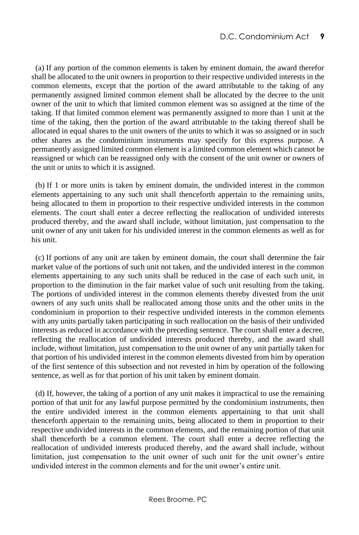(a) If any portion of the common elements is taken by eminent domain, the award therefor shall be allocated to the unit owners in proportion to their respective undivided interests in the common elements, except that the portion of the award attributable to the taking of any permanently assigned limited common element shall be allocated by the decree to the unit owner of the unit to which that limited common element was so assigned at the time of the taking. If that limited common element was permanently assigned to more than 1 unit at the time of the taking, then the portion of the award attributable to the taking thereof shall be allocated in equal shares to the unit owners of the units to which it was so assigned or in such other shares as the condominium instruments may specify for this express purpose. A permanently assigned limited common element is a limited common element which cannot be reassigned or which can be reassigned only with the consent of the unit owner or owners of the unit or units to which it is assigned.

 (b) If 1 or more units is taken by eminent domain, the undivided interest in the common elements appertaining to any such unit shall thenceforth appertain to the remaining units, being allocated to them in proportion to their respective undivided interests in the common elements. The court shall enter a decree reflecting the reallocation of undivided interests produced thereby, and the award shall include, without limitation, just compensation to the unit owner of any unit taken for his undivided interest in the common elements as well as for his unit.

 (c) If portions of any unit are taken by eminent domain, the court shall determine the fair market value of the portions of such unit not taken, and the undivided interest in the common elements appertaining to any such units shall be reduced in the case of each such unit, in proportion to the diminution in the fair market value of such unit resulting from the taking. The portions of undivided interest in the common elements thereby divested from the unit owners of any such units shall be reallocated among those units and the other units in the condominium in proportion to their respective undivided interests in the common elements with any units partially taken participating in such reallocation on the basis of their undivided interests as reduced in accordance with the preceding sentence. The court shall enter a decree, reflecting the reallocation of undivided interests produced thereby, and the award shall include, without limitation, just compensation to the unit owner of any unit partially taken for that portion of his undivided interest in the common elements divested from him by operation of the first sentence of this subsection and not revested in him by operation of the following sentence, as well as for that portion of his unit taken by eminent domain.

 (d) If, however, the taking of a portion of any unit makes it impractical to use the remaining portion of that unit for any lawful purpose permitted by the condominium instruments, then the entire undivided interest in the common elements appertaining to that unit shall thenceforth appertain to the remaining units, being allocated to them in proportion to their respective undivided interests in the common elements, and the remaining portion of that unit shall thenceforth be a common element. The court shall enter a decree reflecting the reallocation of undivided interests produced thereby, and the award shall include, without limitation, just compensation to the unit owner of such unit for the unit owner's entire undivided interest in the common elements and for the unit owner's entire unit.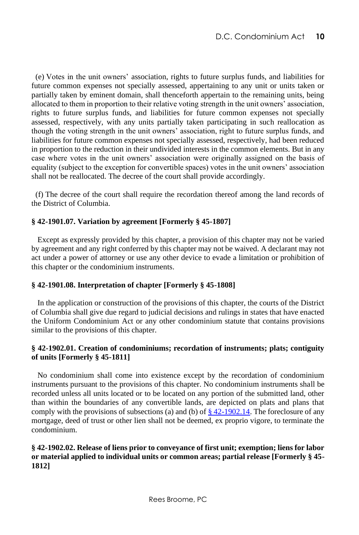(e) Votes in the unit owners' association, rights to future surplus funds, and liabilities for future common expenses not specially assessed, appertaining to any unit or units taken or partially taken by eminent domain, shall thenceforth appertain to the remaining units, being allocated to them in proportion to their relative voting strength in the unit owners' association, rights to future surplus funds, and liabilities for future common expenses not specially assessed, respectively, with any units partially taken participating in such reallocation as though the voting strength in the unit owners' association, right to future surplus funds, and liabilities for future common expenses not specially assessed, respectively, had been reduced in proportion to the reduction in their undivided interests in the common elements. But in any case where votes in the unit owners' association were originally assigned on the basis of equality (subject to the exception for convertible spaces) votes in the unit owners' association shall not be reallocated. The decree of the court shall provide accordingly.

 (f) The decree of the court shall require the recordation thereof among the land records of the District of Columbia.

#### <span id="page-16-0"></span>**§ 42-1901.07. Variation by agreement [Formerly § 45-1807]**

 Except as expressly provided by this chapter, a provision of this chapter may not be varied by agreement and any right conferred by this chapter may not be waived. A declarant may not act under a power of attorney or use any other device to evade a limitation or prohibition of this chapter or the condominium instruments.

#### <span id="page-16-1"></span>**§ 42-1901.08. Interpretation of chapter [Formerly § 45-1808]**

 In the application or construction of the provisions of this chapter, the courts of the District of Columbia shall give due regard to judicial decisions and rulings in states that have enacted the Uniform Condominium Act or any other condominium statute that contains provisions similar to the provisions of this chapter.

#### <span id="page-16-2"></span>**§ 42-1902.01. Creation of condominiums; recordation of instruments; plats; contiguity of units [Formerly § 45-1811]**

 No condominium shall come into existence except by the recordation of condominium instruments pursuant to the provisions of this chapter. No condominium instruments shall be recorded unless all units located or to be located on any portion of the submitted land, other than within the boundaries of any convertible lands, are depicted on plats and plans that comply with the provisions of subsections (a) and (b) of  $\S$  42-1902.14. The foreclosure of any mortgage, deed of trust or other lien shall not be deemed, ex proprio vigore, to terminate the condominium.

#### <span id="page-16-3"></span>**§ 42-1902.02. Release of liens prior to conveyance of first unit; exemption; liens for labor or material applied to individual units or common areas; partial release [Formerly § 45- 1812]**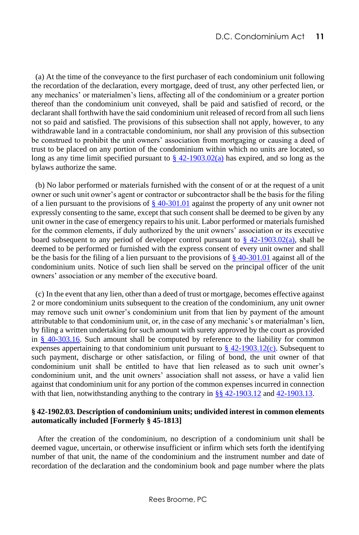(a) At the time of the conveyance to the first purchaser of each condominium unit following the recordation of the declaration, every mortgage, deed of trust, any other perfected lien, or any mechanics' or materialmen's liens, affecting all of the condominium or a greater portion thereof than the condominium unit conveyed, shall be paid and satisfied of record, or the declarant shall forthwith have the said condominium unit released of record from all such liens not so paid and satisfied. The provisions of this subsection shall not apply, however, to any withdrawable land in a contractable condominium, nor shall any provision of this subsection be construed to prohibit the unit owners' association from mortgaging or causing a deed of trust to be placed on any portion of the condominium within which no units are located, so long as any time limit specified pursuant to  $\S$  42-1903.02(a) has expired, and so long as the bylaws authorize the same.

 (b) No labor performed or materials furnished with the consent of or at the request of a unit owner or such unit owner's agent or contractor or subcontractor shall be the basis for the filing of a lien pursuant to the provisions of  $\frac{8}{9}$  40-301.01 against the property of any unit owner not expressly consenting to the same, except that such consent shall be deemed to be given by any unit owner in the case of emergency repairs to his unit. Labor performed or materials furnished for the common elements, if duly authorized by the unit owners' association or its executive board subsequent to any period of developer control pursuant to  $\frac{8}{2}$  42-1903.02(a), shall be deemed to be performed or furnished with the express consent of every unit owner and shall be the basis for the filing of a lien pursuant to the provisions of § [40-301.01](http://www.lexis.com/research/buttonTFLink?_m=c3e54598c3ca1d314f0bf4c44cc42153&_xfercite=%3ccite%20cc%3d%22USA%22%3e%3c%21%5bCDATA%5bD.C.%20Code%20%a7%2042-1902.02%5d%5d%3e%3c%2fcite%3e&_butType=4&_butStat=0&_butNum=5&_butInline=1&_butinfo=DC%20CODE%2040-301.01&_fmtstr=FULL&docnum=1&_startdoc=1&wchp=dGLzVlz-zSkAz&_md5=cb1d3768176fbd10a229b81367fefc32) against all of the condominium units. Notice of such lien shall be served on the principal officer of the unit owners' association or any member of the executive board.

 (c) In the event that any lien, other than a deed of trust or mortgage, becomes effective against 2 or more condominium units subsequent to the creation of the condominium, any unit owner may remove such unit owner's condominium unit from that lien by payment of the amount attributable to that condominium unit, or, in the case of any mechanic's or materialman's lien, by filing a written undertaking for such amount with surety approved by the court as provided in [§ 40-303.16.](http://www.lexis.com/research/buttonTFLink?_m=c3e54598c3ca1d314f0bf4c44cc42153&_xfercite=%3ccite%20cc%3d%22USA%22%3e%3c%21%5bCDATA%5bD.C.%20Code%20%a7%2042-1902.02%5d%5d%3e%3c%2fcite%3e&_butType=4&_butStat=0&_butNum=6&_butInline=1&_butinfo=DC%20CODE%2040-303.16&_fmtstr=FULL&docnum=1&_startdoc=1&wchp=dGLzVlz-zSkAz&_md5=2e51f319dbfe7f9f4fc615bc1d14f01b) Such amount shall be computed by reference to the liability for common expenses appertaining to that condominium unit pursuant to  $\frac{8}{2}$  42-1903.12(c). Subsequent to such payment, discharge or other satisfaction, or filing of bond, the unit owner of that condominium unit shall be entitled to have that lien released as to such unit owner's condominium unit, and the unit owners' association shall not assess, or have a valid lien against that condominium unit for any portion of the common expenses incurred in connection with that lien, notwithstanding anything to the contrary in [§§ 42-1903.12](http://www.lexis.com/research/buttonTFLink?_m=c3e54598c3ca1d314f0bf4c44cc42153&_xfercite=%3ccite%20cc%3d%22USA%22%3e%3c%21%5bCDATA%5bD.C.%20Code%20%a7%2042-1902.02%5d%5d%3e%3c%2fcite%3e&_butType=4&_butStat=0&_butNum=8&_butInline=1&_butinfo=DC%20CODE%2042-1903.12&_fmtstr=FULL&docnum=1&_startdoc=1&wchp=dGLzVlz-zSkAz&_md5=909cf0c63a25969d100172ebb08e823e) and [42-1903.13.](http://www.lexis.com/research/buttonTFLink?_m=c3e54598c3ca1d314f0bf4c44cc42153&_xfercite=%3ccite%20cc%3d%22USA%22%3e%3c%21%5bCDATA%5bD.C.%20Code%20%a7%2042-1902.02%5d%5d%3e%3c%2fcite%3e&_butType=4&_butStat=0&_butNum=9&_butInline=1&_butinfo=DC%20CODE%2042-1903.13&_fmtstr=FULL&docnum=1&_startdoc=1&wchp=dGLzVlz-zSkAz&_md5=3503b0a357beea81a4add09cc687e638)

#### <span id="page-17-0"></span>**§ 42-1902.03. Description of condominium units; undivided interest in common elements automatically included [Formerly § 45-1813]**

 After the creation of the condominium, no description of a condominium unit shall be deemed vague, uncertain, or otherwise insufficient or infirm which sets forth the identifying number of that unit, the name of the condominium and the instrument number and date of recordation of the declaration and the condominium book and page number where the plats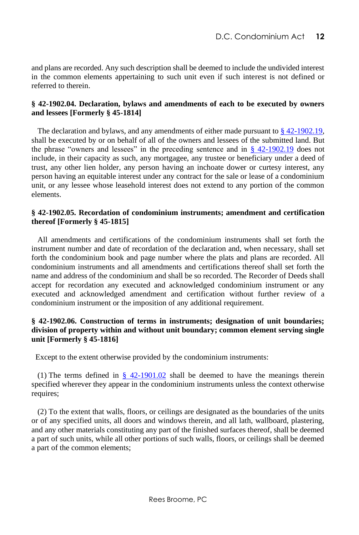and plans are recorded. Any such description shall be deemed to include the undivided interest in the common elements appertaining to such unit even if such interest is not defined or referred to therein.

#### <span id="page-18-0"></span>**§ 42-1902.04. Declaration, bylaws and amendments of each to be executed by owners and lessees [Formerly § 45-1814]**

 The declaration and bylaws, and any amendments of either made pursuant t[o § 42-1902.19,](http://www.lexis.com/research/buttonTFLink?_m=d8db7b8a09f8136c2cb8dbfb0c6ded42&_xfercite=%3ccite%20cc%3d%22USA%22%3e%3c%21%5bCDATA%5bD.C.%20Code%20%a7%2042-1902.04%5d%5d%3e%3c%2fcite%3e&_butType=4&_butStat=0&_butNum=2&_butInline=1&_butinfo=DC%20CODE%2042-1902.19&_fmtstr=FULL&docnum=1&_startdoc=1&wchp=dGLzVlz-zSkAz&_md5=1696391452cf22e3f53c7661056a5198)  shall be executed by or on behalf of all of the owners and lessees of the submitted land. But the phrase "owners and lessees" in the preceding sentence and in  $\frac{8}{9}$  42-1902.19 does not include, in their capacity as such, any mortgagee, any trustee or beneficiary under a deed of trust, any other lien holder, any person having an inchoate dower or curtesy interest, any person having an equitable interest under any contract for the sale or lease of a condominium unit, or any lessee whose leasehold interest does not extend to any portion of the common elements.

#### <span id="page-18-1"></span>**§ 42-1902.05. Recordation of condominium instruments; amendment and certification thereof [Formerly § 45-1815]**

 All amendments and certifications of the condominium instruments shall set forth the instrument number and date of recordation of the declaration and, when necessary, shall set forth the condominium book and page number where the plats and plans are recorded. All condominium instruments and all amendments and certifications thereof shall set forth the name and address of the condominium and shall be so recorded. The Recorder of Deeds shall accept for recordation any executed and acknowledged condominium instrument or any executed and acknowledged amendment and certification without further review of a condominium instrument or the imposition of any additional requirement.

#### **§ 42-1902.06. Construction of terms in instruments; designation of unit boundaries; division of property within and without unit boundary; common element serving single unit [Formerly § 45-1816]**

<span id="page-18-2"></span>Except to the extent otherwise provided by the condominium instruments:

(1) The terms defined in  $\S$  42-1901.02 shall be deemed to have the meanings therein specified wherever they appear in the condominium instruments unless the context otherwise requires;

 (2) To the extent that walls, floors, or ceilings are designated as the boundaries of the units or of any specified units, all doors and windows therein, and all lath, wallboard, plastering, and any other materials constituting any part of the finished surfaces thereof, shall be deemed a part of such units, while all other portions of such walls, floors, or ceilings shall be deemed a part of the common elements;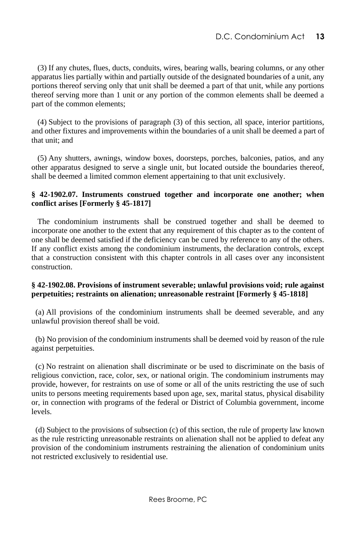(3) If any chutes, flues, ducts, conduits, wires, bearing walls, bearing columns, or any other apparatus lies partially within and partially outside of the designated boundaries of a unit, any portions thereof serving only that unit shall be deemed a part of that unit, while any portions thereof serving more than 1 unit or any portion of the common elements shall be deemed a part of the common elements;

 (4) Subject to the provisions of paragraph (3) of this section, all space, interior partitions, and other fixtures and improvements within the boundaries of a unit shall be deemed a part of that unit; and

 (5) Any shutters, awnings, window boxes, doorsteps, porches, balconies, patios, and any other apparatus designed to serve a single unit, but located outside the boundaries thereof, shall be deemed a limited common element appertaining to that unit exclusively.

#### <span id="page-19-0"></span>**§ 42-1902.07. Instruments construed together and incorporate one another; when conflict arises [Formerly § 45-1817]**

 The condominium instruments shall be construed together and shall be deemed to incorporate one another to the extent that any requirement of this chapter as to the content of one shall be deemed satisfied if the deficiency can be cured by reference to any of the others. If any conflict exists among the condominium instruments, the declaration controls, except that a construction consistent with this chapter controls in all cases over any inconsistent construction.

#### <span id="page-19-1"></span>**§ 42-1902.08. Provisions of instrument severable; unlawful provisions void; rule against perpetuities; restraints on alienation; unreasonable restraint [Formerly § 45-1818]**

 (a) All provisions of the condominium instruments shall be deemed severable, and any unlawful provision thereof shall be void.

 (b) No provision of the condominium instruments shall be deemed void by reason of the rule against perpetuities.

 (c) No restraint on alienation shall discriminate or be used to discriminate on the basis of religious conviction, race, color, sex, or national origin. The condominium instruments may provide, however, for restraints on use of some or all of the units restricting the use of such units to persons meeting requirements based upon age, sex, marital status, physical disability or, in connection with programs of the federal or District of Columbia government, income levels.

 (d) Subject to the provisions of subsection (c) of this section, the rule of property law known as the rule restricting unreasonable restraints on alienation shall not be applied to defeat any provision of the condominium instruments restraining the alienation of condominium units not restricted exclusively to residential use.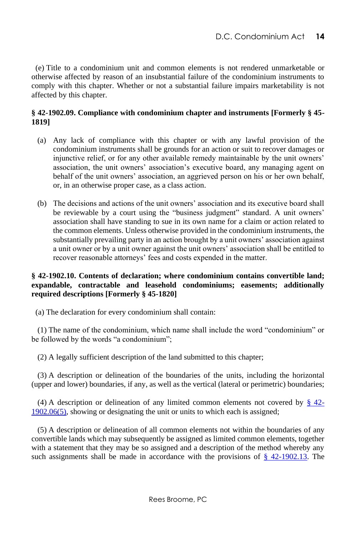(e) Title to a condominium unit and common elements is not rendered unmarketable or otherwise affected by reason of an insubstantial failure of the condominium instruments to comply with this chapter. Whether or not a substantial failure impairs marketability is not affected by this chapter.

#### <span id="page-20-0"></span>**§ 42-1902.09. Compliance with condominium chapter and instruments [Formerly § 45- 1819]**

- (a) Any lack of compliance with this chapter or with any lawful provision of the condominium instruments shall be grounds for an action or suit to recover damages or injunctive relief, or for any other available remedy maintainable by the unit owners' association, the unit owners' association's executive board, any managing agent on behalf of the unit owners' association, an aggrieved person on his or her own behalf, or, in an otherwise proper case, as a class action.
- (b) The decisions and actions of the unit owners' association and its executive board shall be reviewable by a court using the "business judgment" standard. A unit owners' association shall have standing to sue in its own name for a claim or action related to the common elements. Unless otherwise provided in the condominium instruments, the substantially prevailing party in an action brought by a unit owners' association against a unit owner or by a unit owner against the unit owners' association shall be entitled to recover reasonable attorneys' fees and costs expended in the matter.

#### **§ 42-1902.10. Contents of declaration; where condominium contains convertible land; expandable, contractable and leasehold condominiums; easements; additionally required descriptions [Formerly § 45-1820]**

<span id="page-20-1"></span>(a) The declaration for every condominium shall contain:

 (1) The name of the condominium, which name shall include the word "condominium" or be followed by the words "a condominium";

(2) A legally sufficient description of the land submitted to this chapter;

 (3) A description or delineation of the boundaries of the units, including the horizontal (upper and lower) boundaries, if any, as well as the vertical (lateral or perimetric) boundaries;

(4) A description or delineation of any limited common elements not covered by  $\frac{8}{9}$  42-[1902.06\(5\),](http://www.lexis.com/research/buttonTFLink?_m=9feda06e1a77ce3c9a9c20b01ae79e33&_xfercite=%3ccite%20cc%3d%22USA%22%3e%3c%21%5bCDATA%5bD.C.%20Code%20%a7%2042-1902.10%5d%5d%3e%3c%2fcite%3e&_butType=4&_butStat=0&_butNum=2&_butInline=1&_butinfo=DC%20CODE%2042-1902.06&_fmtstr=FULL&docnum=1&_startdoc=1&wchp=dGLzVlz-zSkAz&_md5=78ebbb477ef68d551385aafade37d06f) showing or designating the unit or units to which each is assigned;

 (5) A description or delineation of all common elements not within the boundaries of any convertible lands which may subsequently be assigned as limited common elements, together with a statement that they may be so assigned and a description of the method whereby any such assignments shall be made in accordance with the provisions of  $\S$  42-1902.13. The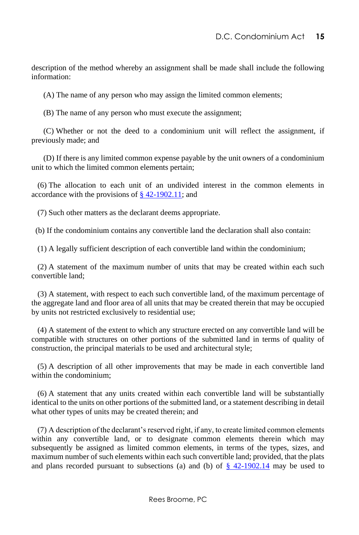description of the method whereby an assignment shall be made shall include the following information:

(A) The name of any person who may assign the limited common elements;

(B) The name of any person who must execute the assignment;

 (C) Whether or not the deed to a condominium unit will reflect the assignment, if previously made; and

 (D) If there is any limited common expense payable by the unit owners of a condominium unit to which the limited common elements pertain;

 (6) The allocation to each unit of an undivided interest in the common elements in accordance with the provisions of  $\S$  42-1902.11; and

(7) Such other matters as the declarant deems appropriate.

(b) If the condominium contains any convertible land the declaration shall also contain:

(1) A legally sufficient description of each convertible land within the condominium;

 (2) A statement of the maximum number of units that may be created within each such convertible land;

 (3) A statement, with respect to each such convertible land, of the maximum percentage of the aggregate land and floor area of all units that may be created therein that may be occupied by units not restricted exclusively to residential use;

 (4) A statement of the extent to which any structure erected on any convertible land will be compatible with structures on other portions of the submitted land in terms of quality of construction, the principal materials to be used and architectural style;

 (5) A description of all other improvements that may be made in each convertible land within the condominium;

 (6) A statement that any units created within each convertible land will be substantially identical to the units on other portions of the submitted land, or a statement describing in detail what other types of units may be created therein; and

 (7) A description of the declarant's reserved right, if any, to create limited common elements within any convertible land, or to designate common elements therein which may subsequently be assigned as limited common elements, in terms of the types, sizes, and maximum number of such elements within each such convertible land; provided, that the plats and plans recorded pursuant to subsections (a) and (b) of  $\frac{8}{3}$  42-1902.14 may be used to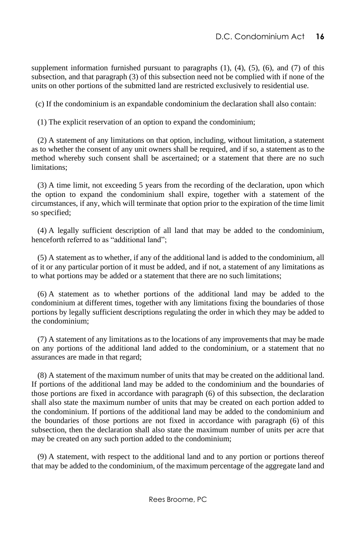supplement information furnished pursuant to paragraphs  $(1)$ ,  $(4)$ ,  $(5)$ ,  $(6)$ , and  $(7)$  of this subsection, and that paragraph (3) of this subsection need not be complied with if none of the units on other portions of the submitted land are restricted exclusively to residential use.

(c) If the condominium is an expandable condominium the declaration shall also contain:

(1) The explicit reservation of an option to expand the condominium;

 (2) A statement of any limitations on that option, including, without limitation, a statement as to whether the consent of any unit owners shall be required, and if so, a statement as to the method whereby such consent shall be ascertained; or a statement that there are no such limitations;

 (3) A time limit, not exceeding 5 years from the recording of the declaration, upon which the option to expand the condominium shall expire, together with a statement of the circumstances, if any, which will terminate that option prior to the expiration of the time limit so specified;

 (4) A legally sufficient description of all land that may be added to the condominium, henceforth referred to as "additional land";

 (5) A statement as to whether, if any of the additional land is added to the condominium, all of it or any particular portion of it must be added, and if not, a statement of any limitations as to what portions may be added or a statement that there are no such limitations;

 (6) A statement as to whether portions of the additional land may be added to the condominium at different times, together with any limitations fixing the boundaries of those portions by legally sufficient descriptions regulating the order in which they may be added to the condominium;

 (7) A statement of any limitations as to the locations of any improvements that may be made on any portions of the additional land added to the condominium, or a statement that no assurances are made in that regard;

 (8) A statement of the maximum number of units that may be created on the additional land. If portions of the additional land may be added to the condominium and the boundaries of those portions are fixed in accordance with paragraph (6) of this subsection, the declaration shall also state the maximum number of units that may be created on each portion added to the condominium. If portions of the additional land may be added to the condominium and the boundaries of those portions are not fixed in accordance with paragraph (6) of this subsection, then the declaration shall also state the maximum number of units per acre that may be created on any such portion added to the condominium;

 (9) A statement, with respect to the additional land and to any portion or portions thereof that may be added to the condominium, of the maximum percentage of the aggregate land and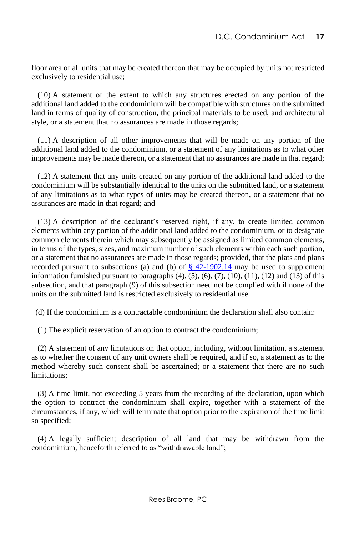floor area of all units that may be created thereon that may be occupied by units not restricted exclusively to residential use;

 (10) A statement of the extent to which any structures erected on any portion of the additional land added to the condominium will be compatible with structures on the submitted land in terms of quality of construction, the principal materials to be used, and architectural style, or a statement that no assurances are made in those regards;

 (11) A description of all other improvements that will be made on any portion of the additional land added to the condominium, or a statement of any limitations as to what other improvements may be made thereon, or a statement that no assurances are made in that regard;

 (12) A statement that any units created on any portion of the additional land added to the condominium will be substantially identical to the units on the submitted land, or a statement of any limitations as to what types of units may be created thereon, or a statement that no assurances are made in that regard; and

 (13) A description of the declarant's reserved right, if any, to create limited common elements within any portion of the additional land added to the condominium, or to designate common elements therein which may subsequently be assigned as limited common elements, in terms of the types, sizes, and maximum number of such elements within each such portion, or a statement that no assurances are made in those regards; provided, that the plats and plans recorded pursuant to subsections (a) and (b) of  $\S$  42-1902.14 may be used to supplement information furnished pursuant to paragraphs  $(4)$ ,  $(5)$ ,  $(6)$ ,  $(7)$ ,  $(10)$ ,  $(11)$ ,  $(12)$  and  $(13)$  of this subsection, and that paragraph (9) of this subsection need not be complied with if none of the units on the submitted land is restricted exclusively to residential use.

(d) If the condominium is a contractable condominium the declaration shall also contain:

(1) The explicit reservation of an option to contract the condominium;

 (2) A statement of any limitations on that option, including, without limitation, a statement as to whether the consent of any unit owners shall be required, and if so, a statement as to the method whereby such consent shall be ascertained; or a statement that there are no such limitations;

 (3) A time limit, not exceeding 5 years from the recording of the declaration, upon which the option to contract the condominium shall expire, together with a statement of the circumstances, if any, which will terminate that option prior to the expiration of the time limit so specified;

 (4) A legally sufficient description of all land that may be withdrawn from the condominium, henceforth referred to as "withdrawable land";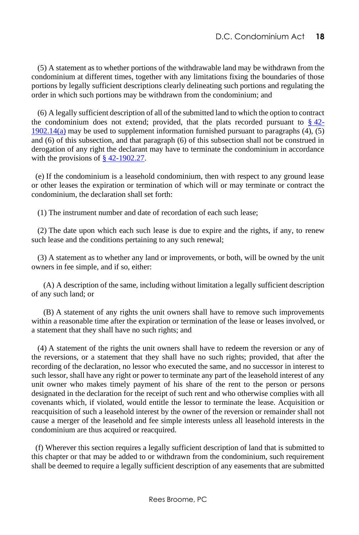(5) A statement as to whether portions of the withdrawable land may be withdrawn from the condominium at different times, together with any limitations fixing the boundaries of those portions by legally sufficient descriptions clearly delineating such portions and regulating the order in which such portions may be withdrawn from the condominium; and

 (6) A legally sufficient description of all of the submitted land to which the option to contract the condominium does not extend; provided, that the plats recorded pursuant to  $\S$  [42-](http://www.lexis.com/research/buttonTFLink?_m=9feda06e1a77ce3c9a9c20b01ae79e33&_xfercite=%3ccite%20cc%3d%22USA%22%3e%3c%21%5bCDATA%5bD.C.%20Code%20%a7%2042-1902.10%5d%5d%3e%3c%2fcite%3e&_butType=4&_butStat=0&_butNum=7&_butInline=1&_butinfo=DC%20CODE%2042-1902.14&_fmtstr=FULL&docnum=1&_startdoc=1&wchp=dGLzVlz-zSkAz&_md5=38704e4272d3cd3dac15c0f0751e57c9)  $1902.14(a)$  may be used to supplement information furnished pursuant to paragraphs  $(4)$ ,  $(5)$ and (6) of this subsection, and that paragraph (6) of this subsection shall not be construed in derogation of any right the declarant may have to terminate the condominium in accordance with the provisions of [§ 42-1902.27.](http://www.lexis.com/research/buttonTFLink?_m=9feda06e1a77ce3c9a9c20b01ae79e33&_xfercite=%3ccite%20cc%3d%22USA%22%3e%3c%21%5bCDATA%5bD.C.%20Code%20%a7%2042-1902.10%5d%5d%3e%3c%2fcite%3e&_butType=4&_butStat=0&_butNum=8&_butInline=1&_butinfo=DC%20CODE%2042-1902.27&_fmtstr=FULL&docnum=1&_startdoc=1&wchp=dGLzVlz-zSkAz&_md5=3cb648ac6a7ec65d5db6168d4563ccf3)

 (e) If the condominium is a leasehold condominium, then with respect to any ground lease or other leases the expiration or termination of which will or may terminate or contract the condominium, the declaration shall set forth:

(1) The instrument number and date of recordation of each such lease;

 (2) The date upon which each such lease is due to expire and the rights, if any, to renew such lease and the conditions pertaining to any such renewal;

 (3) A statement as to whether any land or improvements, or both, will be owned by the unit owners in fee simple, and if so, either:

 (A) A description of the same, including without limitation a legally sufficient description of any such land; or

 (B) A statement of any rights the unit owners shall have to remove such improvements within a reasonable time after the expiration or termination of the lease or leases involved, or a statement that they shall have no such rights; and

 (4) A statement of the rights the unit owners shall have to redeem the reversion or any of the reversions, or a statement that they shall have no such rights; provided, that after the recording of the declaration, no lessor who executed the same, and no successor in interest to such lessor, shall have any right or power to terminate any part of the leasehold interest of any unit owner who makes timely payment of his share of the rent to the person or persons designated in the declaration for the receipt of such rent and who otherwise complies with all covenants which, if violated, would entitle the lessor to terminate the lease. Acquisition or reacquisition of such a leasehold interest by the owner of the reversion or remainder shall not cause a merger of the leasehold and fee simple interests unless all leasehold interests in the condominium are thus acquired or reacquired.

 (f) Wherever this section requires a legally sufficient description of land that is submitted to this chapter or that may be added to or withdrawn from the condominium, such requirement shall be deemed to require a legally sufficient description of any easements that are submitted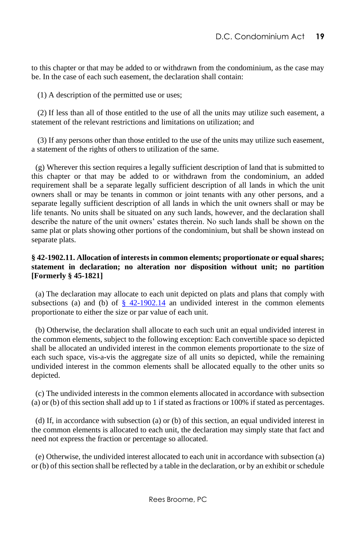to this chapter or that may be added to or withdrawn from the condominium, as the case may be. In the case of each such easement, the declaration shall contain:

(1) A description of the permitted use or uses;

 (2) If less than all of those entitled to the use of all the units may utilize such easement, a statement of the relevant restrictions and limitations on utilization; and

 (3) If any persons other than those entitled to the use of the units may utilize such easement, a statement of the rights of others to utilization of the same.

 (g) Wherever this section requires a legally sufficient description of land that is submitted to this chapter or that may be added to or withdrawn from the condominium, an added requirement shall be a separate legally sufficient description of all lands in which the unit owners shall or may be tenants in common or joint tenants with any other persons, and a separate legally sufficient description of all lands in which the unit owners shall or may be life tenants. No units shall be situated on any such lands, however, and the declaration shall describe the nature of the unit owners' estates therein. No such lands shall be shown on the same plat or plats showing other portions of the condominium, but shall be shown instead on separate plats.

#### <span id="page-25-0"></span>**§ 42-1902.11. Allocation of interests in common elements; proportionate or equal shares; statement in declaration; no alteration nor disposition without unit; no partition [Formerly § 45-1821]**

 (a) The declaration may allocate to each unit depicted on plats and plans that comply with subsections (a) and (b) of  $\S$  42-1902.14 an undivided interest in the common elements proportionate to either the size or par value of each unit.

 (b) Otherwise, the declaration shall allocate to each such unit an equal undivided interest in the common elements, subject to the following exception: Each convertible space so depicted shall be allocated an undivided interest in the common elements proportionate to the size of each such space, vis-a-vis the aggregate size of all units so depicted, while the remaining undivided interest in the common elements shall be allocated equally to the other units so depicted.

 (c) The undivided interests in the common elements allocated in accordance with subsection (a) or (b) of this section shall add up to 1 if stated as fractions or 100% if stated as percentages.

 (d) If, in accordance with subsection (a) or (b) of this section, an equal undivided interest in the common elements is allocated to each unit, the declaration may simply state that fact and need not express the fraction or percentage so allocated.

 (e) Otherwise, the undivided interest allocated to each unit in accordance with subsection (a) or (b) of this section shall be reflected by a table in the declaration, or by an exhibit or schedule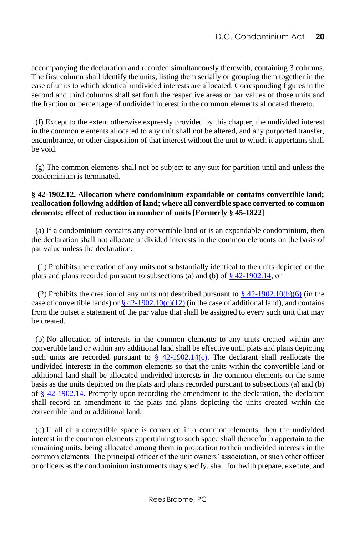accompanying the declaration and recorded simultaneously therewith, containing 3 columns. The first column shall identify the units, listing them serially or grouping them together in the case of units to which identical undivided interests are allocated. Corresponding figures in the second and third columns shall set forth the respective areas or par values of those units and the fraction or percentage of undivided interest in the common elements allocated thereto.

 (f) Except to the extent otherwise expressly provided by this chapter, the undivided interest in the common elements allocated to any unit shall not be altered, and any purported transfer, encumbrance, or other disposition of that interest without the unit to which it appertains shall be void.

 (g) The common elements shall not be subject to any suit for partition until and unless the condominium is terminated.

#### <span id="page-26-0"></span>**§ 42-1902.12. Allocation where condominium expandable or contains convertible land; reallocation following addition of land; where all convertible space converted to common elements; effect of reduction in number of units [Formerly § 45-1822]**

 (a) If a condominium contains any convertible land or is an expandable condominium, then the declaration shall not allocate undivided interests in the common elements on the basis of par value unless the declaration:

 (1) Prohibits the creation of any units not substantially identical to the units depicted on the plats and plans recorded pursuant to subsections (a) and (b) o[f § 42-1902.14;](http://www.lexis.com/research/buttonTFLink?_m=d67a6dfd7a8d6407bbda5b376c751f3a&_xfercite=%3ccite%20cc%3d%22USA%22%3e%3c%21%5bCDATA%5bD.C.%20Code%20%a7%2042-1902.12%5d%5d%3e%3c%2fcite%3e&_butType=4&_butStat=0&_butNum=2&_butInline=1&_butinfo=DC%20CODE%2042-1902.14&_fmtstr=FULL&docnum=1&_startdoc=1&wchp=dGLzVlz-zSkAz&_md5=15122e9004f93c8a6b4ced868ca03642) or

(2) Prohibits the creation of any units not described pursuant to  $\frac{8}{3}$  42-1902.10(b)(6) (in the case of convertible lands) o[r § 42-1902.10\(c\)\(12\)](http://www.lexis.com/research/buttonTFLink?_m=d67a6dfd7a8d6407bbda5b376c751f3a&_xfercite=%3ccite%20cc%3d%22USA%22%3e%3c%21%5bCDATA%5bD.C.%20Code%20%a7%2042-1902.12%5d%5d%3e%3c%2fcite%3e&_butType=4&_butStat=0&_butNum=4&_butInline=1&_butinfo=DC%20CODE%2042-1902.10&_fmtstr=FULL&docnum=1&_startdoc=1&wchp=dGLzVlz-zSkAz&_md5=6dcce0f7b25fa81da7c3ee66c0b7f8b9) (in the case of additional land), and contains from the outset a statement of the par value that shall be assigned to every such unit that may be created.

 (b) No allocation of interests in the common elements to any units created within any convertible land or within any additional land shall be effective until plats and plans depicting such units are recorded pursuant to  $\frac{8}{9}$  42-1902.14(c). The declarant shall reallocate the undivided interests in the common elements so that the units within the convertible land or additional land shall be allocated undivided interests in the common elements on the same basis as the units depicted on the plats and plans recorded pursuant to subsections (a) and (b) of [§ 42-1902.14.](http://www.lexis.com/research/buttonTFLink?_m=d67a6dfd7a8d6407bbda5b376c751f3a&_xfercite=%3ccite%20cc%3d%22USA%22%3e%3c%21%5bCDATA%5bD.C.%20Code%20%a7%2042-1902.12%5d%5d%3e%3c%2fcite%3e&_butType=4&_butStat=0&_butNum=6&_butInline=1&_butinfo=DC%20CODE%2042-1902.14&_fmtstr=FULL&docnum=1&_startdoc=1&wchp=dGLzVlz-zSkAz&_md5=587ff779114d81694ec536d7e7a8438c) Promptly upon recording the amendment to the declaration, the declarant shall record an amendment to the plats and plans depicting the units created within the convertible land or additional land.

 (c) If all of a convertible space is converted into common elements, then the undivided interest in the common elements appertaining to such space shall thenceforth appertain to the remaining units, being allocated among them in proportion to their undivided interests in the common elements. The principal officer of the unit owners' association, or such other officer or officers as the condominium instruments may specify, shall forthwith prepare, execute, and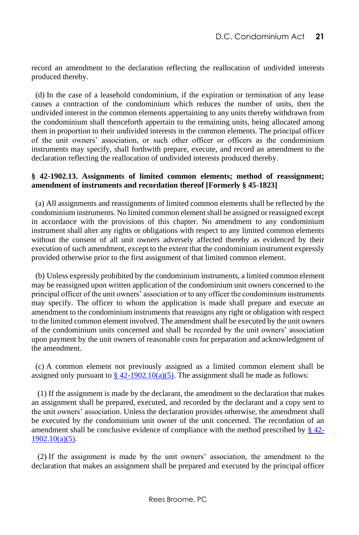record an amendment to the declaration reflecting the reallocation of undivided interests produced thereby.

 (d) In the case of a leasehold condominium, if the expiration or termination of any lease causes a contraction of the condominium which reduces the number of units, then the undivided interest in the common elements appertaining to any units thereby withdrawn from the condominium shall thenceforth appertain to the remaining units, being allocated among them in proportion to their undivided interests in the common elements. The principal officer of the unit owners' association, or such other officer or officers as the condominium instruments may specify, shall forthwith prepare, execute, and record an amendment to the declaration reflecting the reallocation of undivided interests produced thereby.

#### <span id="page-27-0"></span>**§ 42-1902.13. Assignments of limited common elements; method of reassignment; amendment of instruments and recordation thereof [Formerly § 45-1823]**

 (a) All assignments and reassignments of limited common elements shall be reflected by the condominium instruments. No limited common element shall be assigned or reassigned except in accordance with the provisions of this chapter. No amendment to any condominium instrument shall alter any rights or obligations with respect to any limited common elements without the consent of all unit owners adversely affected thereby as evidenced by their execution of such amendment, except to the extent that the condominium instrument expressly provided otherwise prior to the first assignment of that limited common element.

 (b) Unless expressly prohibited by the condominium instruments, a limited common element may be reassigned upon written application of the condominium unit owners concerned to the principal officer of the unit owners' association or to any officer the condominium instruments may specify. The officer to whom the application is made shall prepare and execute an amendment to the condominium instruments that reassigns any right or obligation with respect to the limited common element involved. The amendment shall be executed by the unit owners of the condominium units concerned and shall be recorded by the unit owners' association upon payment by the unit owners of reasonable costs for preparation and acknowledgment of the amendment.

 (c) A common element not previously assigned as a limited common element shall be assigned only pursuant to  $\frac{8}{9}$  42-1902.10(a)(5). The assignment shall be made as follows:

 (1) If the assignment is made by the declarant, the amendment to the declaration that makes an assignment shall be prepared, executed, and recorded by the declarant and a copy sent to the unit owners' association. Unless the declaration provides otherwise, the amendment shall be executed by the condominium unit owner of the unit concerned. The recordation of an amendment shall be conclusive evidence of compliance with the method prescribed by  $\S$  42-[1902.10\(a\)\(5\).](http://www.lexis.com/research/buttonTFLink?_m=14aa3445182957e274a62e93ad9c1e2e&_xfercite=%3ccite%20cc%3d%22USA%22%3e%3c%21%5bCDATA%5bD.C.%20Code%20%a7%2042-1902.13%5d%5d%3e%3c%2fcite%3e&_butType=4&_butStat=0&_butNum=3&_butInline=1&_butinfo=DC%20CODE%2042-1902.10&_fmtstr=FULL&docnum=1&_startdoc=1&wchp=dGLzVlz-zSkAz&_md5=d9594b437fefaf386b09d1e8f180de3f)

 (2) If the assignment is made by the unit owners' association, the amendment to the declaration that makes an assignment shall be prepared and executed by the principal officer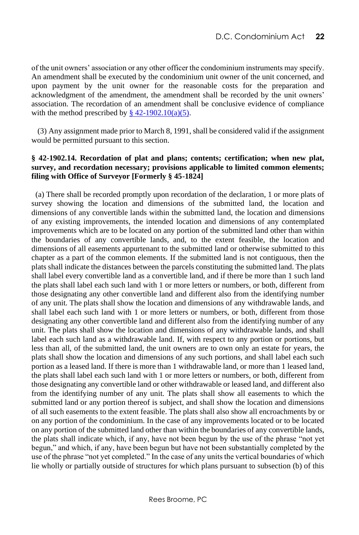of the unit owners' association or any other officer the condominium instruments may specify. An amendment shall be executed by the condominium unit owner of the unit concerned, and upon payment by the unit owner for the reasonable costs for the preparation and acknowledgment of the amendment, the amendment shall be recorded by the unit owners' association. The recordation of an amendment shall be conclusive evidence of compliance with the method prescribed by  $\frac{8}{9}$  42-1902.10(a)(5).

 (3) Any assignment made prior to March 8, 1991, shall be considered valid if the assignment would be permitted pursuant to this section.

#### <span id="page-28-0"></span>**§ 42-1902.14. Recordation of plat and plans; contents; certification; when new plat, survey, and recordation necessary; provisions applicable to limited common elements; filing with Office of Surveyor [Formerly § 45-1824]**

 (a) There shall be recorded promptly upon recordation of the declaration, 1 or more plats of survey showing the location and dimensions of the submitted land, the location and dimensions of any convertible lands within the submitted land, the location and dimensions of any existing improvements, the intended location and dimensions of any contemplated improvements which are to be located on any portion of the submitted land other than within the boundaries of any convertible lands, and, to the extent feasible, the location and dimensions of all easements appurtenant to the submitted land or otherwise submitted to this chapter as a part of the common elements. If the submitted land is not contiguous, then the plats shall indicate the distances between the parcels constituting the submitted land. The plats shall label every convertible land as a convertible land, and if there be more than 1 such land the plats shall label each such land with 1 or more letters or numbers, or both, different from those designating any other convertible land and different also from the identifying number of any unit. The plats shall show the location and dimensions of any withdrawable lands, and shall label each such land with 1 or more letters or numbers, or both, different from those designating any other convertible land and different also from the identifying number of any unit. The plats shall show the location and dimensions of any withdrawable lands, and shall label each such land as a withdrawable land. If, with respect to any portion or portions, but less than all, of the submitted land, the unit owners are to own only an estate for years, the plats shall show the location and dimensions of any such portions, and shall label each such portion as a leased land. If there is more than 1 withdrawable land, or more than 1 leased land, the plats shall label each such land with 1 or more letters or numbers, or both, different from those designating any convertible land or other withdrawable or leased land, and different also from the identifying number of any unit. The plats shall show all easements to which the submitted land or any portion thereof is subject, and shall show the location and dimensions of all such easements to the extent feasible. The plats shall also show all encroachments by or on any portion of the condominium. In the case of any improvements located or to be located on any portion of the submitted land other than within the boundaries of any convertible lands, the plats shall indicate which, if any, have not been begun by the use of the phrase "not yet begun," and which, if any, have been begun but have not been substantially completed by the use of the phrase "not yet completed." In the case of any units the vertical boundaries of which lie wholly or partially outside of structures for which plans pursuant to subsection (b) of this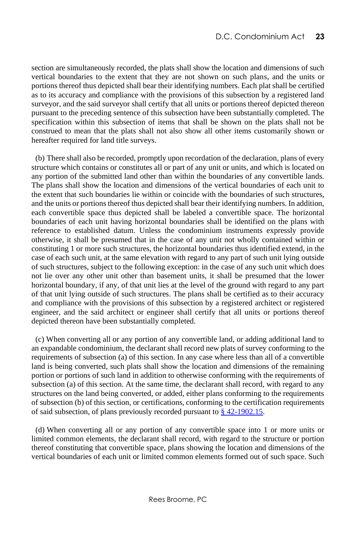section are simultaneously recorded, the plats shall show the location and dimensions of such vertical boundaries to the extent that they are not shown on such plans, and the units or portions thereof thus depicted shall bear their identifying numbers. Each plat shall be certified as to its accuracy and compliance with the provisions of this subsection by a registered land surveyor, and the said surveyor shall certify that all units or portions thereof depicted thereon pursuant to the preceding sentence of this subsection have been substantially completed. The specification within this subsection of items that shall be shown on the plats shall not be construed to mean that the plats shall not also show all other items customarily shown or hereafter required for land title surveys.

 (b) There shall also be recorded, promptly upon recordation of the declaration, plans of every structure which contains or constitutes all or part of any unit or units, and which is located on any portion of the submitted land other than within the boundaries of any convertible lands. The plans shall show the location and dimensions of the vertical boundaries of each unit to the extent that such boundaries lie within or coincide with the boundaries of such structures, and the units or portions thereof thus depicted shall bear their identifying numbers. In addition, each convertible space thus depicted shall be labeled a convertible space. The horizontal boundaries of each unit having horizontal boundaries shall be identified on the plans with reference to established datum. Unless the condominium instruments expressly provide otherwise, it shall be presumed that in the case of any unit not wholly contained within or constituting 1 or more such structures, the horizontal boundaries thus identified extend, in the case of each such unit, at the same elevation with regard to any part of such unit lying outside of such structures, subject to the following exception: in the case of any such unit which does not lie over any other unit other than basement units, it shall be presumed that the lower horizontal boundary, if any, of that unit lies at the level of the ground with regard to any part of that unit lying outside of such structures. The plans shall be certified as to their accuracy and compliance with the provisions of this subsection by a registered architect or registered engineer, and the said architect or engineer shall certify that all units or portions thereof depicted thereon have been substantially completed.

 (c) When converting all or any portion of any convertible land, or adding additional land to an expandable condominium, the declarant shall record new plats of survey conforming to the requirements of subsection (a) of this section. In any case where less than all of a convertible land is being converted, such plats shall show the location and dimensions of the remaining portion or portions of such land in addition to otherwise conforming with the requirements of subsection (a) of this section. At the same time, the declarant shall record, with regard to any structures on the land being converted, or added, either plans conforming to the requirements of subsection (b) of this section, or certifications, conforming to the certification requirements of said subsection, of plans previously recorded pursuant t[o § 42-1902.15.](http://www.lexis.com/research/buttonTFLink?_m=0fa587c2d2b836a8c0633c11ca3c6018&_xfercite=%3ccite%20cc%3d%22USA%22%3e%3c%21%5bCDATA%5bD.C.%20Code%20%a7%2042-1902.14%5d%5d%3e%3c%2fcite%3e&_butType=4&_butStat=0&_butNum=2&_butInline=1&_butinfo=DC%20CODE%2042-1902.15&_fmtstr=FULL&docnum=1&_startdoc=1&wchp=dGLzVlz-zSkAz&_md5=cbe8094797e8f48d1c4c2ab6c7626319)

 (d) When converting all or any portion of any convertible space into 1 or more units or limited common elements, the declarant shall record, with regard to the structure or portion thereof constituting that convertible space, plans showing the location and dimensions of the vertical boundaries of each unit or limited common elements formed out of such space. Such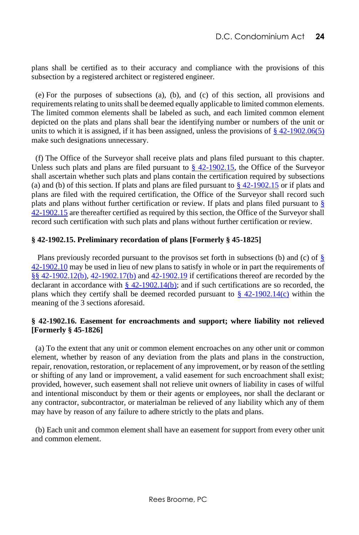plans shall be certified as to their accuracy and compliance with the provisions of this subsection by a registered architect or registered engineer.

 (e) For the purposes of subsections (a), (b), and (c) of this section, all provisions and requirements relating to units shall be deemed equally applicable to limited common elements. The limited common elements shall be labeled as such, and each limited common element depicted on the plats and plans shall bear the identifying number or numbers of the unit or units to which it is assigned, if it has been assigned, unless the provisions of  $\S$  42-1902.06(5) make such designations unnecessary.

 (f) The Office of the Surveyor shall receive plats and plans filed pursuant to this chapter. Unless such plats and plans are filed pursuant to  $\frac{8}{9}$  42-1902.15, the Office of the Surveyor shall ascertain whether such plats and plans contain the certification required by subsections (a) and (b) of this section. If plats and plans are filed pursuant to  $\frac{8}{3}$  42-1902.15 or if plats and plans are filed with the required certification, the Office of the Surveyor shall record such plats and plans without further certification or review. If plats and plans filed pursuant to [§](http://www.lexis.com/research/buttonTFLink?_m=0fa587c2d2b836a8c0633c11ca3c6018&_xfercite=%3ccite%20cc%3d%22USA%22%3e%3c%21%5bCDATA%5bD.C.%20Code%20%a7%2042-1902.14%5d%5d%3e%3c%2fcite%3e&_butType=4&_butStat=0&_butNum=6&_butInline=1&_butinfo=DC%20CODE%2042-1902.15&_fmtstr=FULL&docnum=1&_startdoc=1&wchp=dGLzVlz-zSkAz&_md5=06691e41087096758707dc71cb8f3226)  [42-1902.15](http://www.lexis.com/research/buttonTFLink?_m=0fa587c2d2b836a8c0633c11ca3c6018&_xfercite=%3ccite%20cc%3d%22USA%22%3e%3c%21%5bCDATA%5bD.C.%20Code%20%a7%2042-1902.14%5d%5d%3e%3c%2fcite%3e&_butType=4&_butStat=0&_butNum=6&_butInline=1&_butinfo=DC%20CODE%2042-1902.15&_fmtstr=FULL&docnum=1&_startdoc=1&wchp=dGLzVlz-zSkAz&_md5=06691e41087096758707dc71cb8f3226) are thereafter certified as required by this section, the Office of the Surveyor shall record such certification with such plats and plans without further certification or review.

#### <span id="page-30-0"></span>**§ 42-1902.15. Preliminary recordation of plans [Formerly § 45-1825]**

Plans previously recorded pursuant to the provisos set forth in subsections (b) and (c) of  $\S$ [42-1902.10](http://www.lexis.com/research/buttonTFLink?_m=283bf8153bf7a2c48c7016938aa04460&_xfercite=%3ccite%20cc%3d%22USA%22%3e%3c%21%5bCDATA%5bD.C.%20Code%20%a7%2042-1902.15%5d%5d%3e%3c%2fcite%3e&_butType=4&_butStat=0&_butNum=2&_butInline=1&_butinfo=DC%20CODE%2042-1902.10&_fmtstr=FULL&docnum=1&_startdoc=1&wchp=dGLzVlz-zSkAz&_md5=fd26f7e440c3131b0b87a12fb1298984) may be used in lieu of new plans to satisfy in whole or in part the requirements of [§§ 42-1902.12\(b\),](http://www.lexis.com/research/buttonTFLink?_m=283bf8153bf7a2c48c7016938aa04460&_xfercite=%3ccite%20cc%3d%22USA%22%3e%3c%21%5bCDATA%5bD.C.%20Code%20%a7%2042-1902.15%5d%5d%3e%3c%2fcite%3e&_butType=4&_butStat=0&_butNum=3&_butInline=1&_butinfo=DC%20CODE%2042-1902.12&_fmtstr=FULL&docnum=1&_startdoc=1&wchp=dGLzVlz-zSkAz&_md5=0c7a2629fde04b63a18b9dd2f680acc2) [42-1902.17\(b\)](http://www.lexis.com/research/buttonTFLink?_m=283bf8153bf7a2c48c7016938aa04460&_xfercite=%3ccite%20cc%3d%22USA%22%3e%3c%21%5bCDATA%5bD.C.%20Code%20%a7%2042-1902.15%5d%5d%3e%3c%2fcite%3e&_butType=4&_butStat=0&_butNum=4&_butInline=1&_butinfo=DC%20CODE%2042-1902.17&_fmtstr=FULL&docnum=1&_startdoc=1&wchp=dGLzVlz-zSkAz&_md5=36b0ab97e974fe6709c498e8091dbd69) and [42-1902.19](http://www.lexis.com/research/buttonTFLink?_m=283bf8153bf7a2c48c7016938aa04460&_xfercite=%3ccite%20cc%3d%22USA%22%3e%3c%21%5bCDATA%5bD.C.%20Code%20%a7%2042-1902.15%5d%5d%3e%3c%2fcite%3e&_butType=4&_butStat=0&_butNum=5&_butInline=1&_butinfo=DC%20CODE%2042-1902.19&_fmtstr=FULL&docnum=1&_startdoc=1&wchp=dGLzVlz-zSkAz&_md5=09da73221d58f3adbe214492bac000e4) if certifications thereof are recorded by the declarant in accordance with  $\S$  42-1902.14(b); and if such certifications are so recorded, the plans which they certify shall be deemed recorded pursuant to  $\S$  42-1902.14(c) within the meaning of the 3 sections aforesaid.

#### <span id="page-30-1"></span>**§ 42-1902.16. Easement for encroachments and support; where liability not relieved [Formerly § 45-1826]**

 (a) To the extent that any unit or common element encroaches on any other unit or common element, whether by reason of any deviation from the plats and plans in the construction, repair, renovation, restoration, or replacement of any improvement, or by reason of the settling or shifting of any land or improvement, a valid easement for such encroachment shall exist; provided, however, such easement shall not relieve unit owners of liability in cases of wilful and intentional misconduct by them or their agents or employees, nor shall the declarant or any contractor, subcontractor, or materialman be relieved of any liability which any of them may have by reason of any failure to adhere strictly to the plats and plans.

 (b) Each unit and common element shall have an easement for support from every other unit and common element.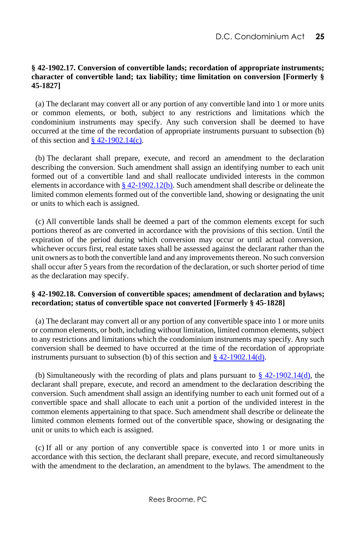#### <span id="page-31-0"></span>**§ 42-1902.17. Conversion of convertible lands; recordation of appropriate instruments; character of convertible land; tax liability; time limitation on conversion [Formerly § 45-1827]**

 (a) The declarant may convert all or any portion of any convertible land into 1 or more units or common elements, or both, subject to any restrictions and limitations which the condominium instruments may specify. Any such conversion shall be deemed to have occurred at the time of the recordation of appropriate instruments pursuant to subsection (b) of this section and  $\S$  42-1902.14(c).

 (b) The declarant shall prepare, execute, and record an amendment to the declaration describing the conversion. Such amendment shall assign an identifying number to each unit formed out of a convertible land and shall reallocate undivided interests in the common elements in accordance with  $\S 42-1902.12(b)$ . Such amendment shall describe or delineate the limited common elements formed out of the convertible land, showing or designating the unit or units to which each is assigned.

 (c) All convertible lands shall be deemed a part of the common elements except for such portions thereof as are converted in accordance with the provisions of this section. Until the expiration of the period during which conversion may occur or until actual conversion, whichever occurs first, real estate taxes shall be assessed against the declarant rather than the unit owners as to both the convertible land and any improvements thereon. No such conversion shall occur after 5 years from the recordation of the declaration, or such shorter period of time as the declaration may specify.

#### <span id="page-31-1"></span>**§ 42-1902.18. Conversion of convertible spaces; amendment of declaration and bylaws; recordation; status of convertible space not converted [Formerly § 45-1828]**

 (a) The declarant may convert all or any portion of any convertible space into 1 or more units or common elements, or both, including without limitation, limited common elements, subject to any restrictions and limitations which the condominium instruments may specify. Any such conversion shall be deemed to have occurred at the time of the recordation of appropriate instruments pursuant to subsection (b) of this section and  $\S$  42-1902.14(d).

(b) Simultaneously with the recording of plats and plans pursuant to  $\S$  42-1902.14(d), the declarant shall prepare, execute, and record an amendment to the declaration describing the conversion. Such amendment shall assign an identifying number to each unit formed out of a convertible space and shall allocate to each unit a portion of the undivided interest in the common elements appertaining to that space. Such amendment shall describe or delineate the limited common elements formed out of the convertible space, showing or designating the unit or units to which each is assigned.

 (c) If all or any portion of any convertible space is converted into 1 or more units in accordance with this section, the declarant shall prepare, execute, and record simultaneously with the amendment to the declaration, an amendment to the bylaws. The amendment to the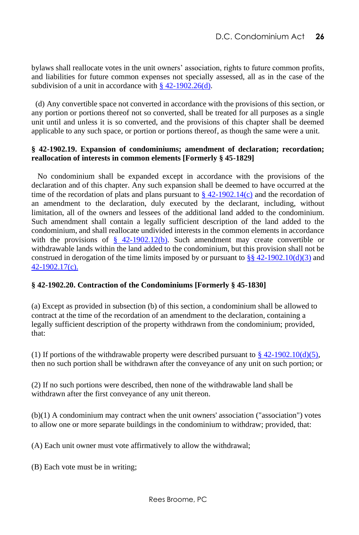bylaws shall reallocate votes in the unit owners' association, rights to future common profits, and liabilities for future common expenses not specially assessed, all as in the case of the subdivision of a unit in accordance with [§ 42-1902.26\(d\).](http://www.lexis.com/research/buttonTFLink?_m=6c7b36dd0660a2659a2d380ddedbc92f&_xfercite=%3ccite%20cc%3d%22USA%22%3e%3c%21%5bCDATA%5bD.C.%20Code%20%a7%2042-1902.18%5d%5d%3e%3c%2fcite%3e&_butType=4&_butStat=0&_butNum=4&_butInline=1&_butinfo=DC%20CODE%2042-1902.26&_fmtstr=FULL&docnum=1&_startdoc=1&wchp=dGLzVlz-zSkAz&_md5=5233dadaf298f37948e91713d83e7985)

 (d) Any convertible space not converted in accordance with the provisions of this section, or any portion or portions thereof not so converted, shall be treated for all purposes as a single unit until and unless it is so converted, and the provisions of this chapter shall be deemed applicable to any such space, or portion or portions thereof, as though the same were a unit.

#### <span id="page-32-0"></span>**§ 42-1902.19. Expansion of condominiums; amendment of declaration; recordation; reallocation of interests in common elements [Formerly § 45-1829]**

 No condominium shall be expanded except in accordance with the provisions of the declaration and of this chapter. Any such expansion shall be deemed to have occurred at the time of the recordation of plats and plans pursuant to  $\S$  42-1902.14(c) and the recordation of an amendment to the declaration, duly executed by the declarant, including, without limitation, all of the owners and lessees of the additional land added to the condominium. Such amendment shall contain a legally sufficient description of the land added to the condominium, and shall reallocate undivided interests in the common elements in accordance with the provisions of  $\frac{8}{9}$  42-1902.12(b). Such amendment may create convertible or withdrawable lands within the land added to the condominium, but this provision shall not be construed in derogation of the time limits imposed by or pursuant to  $\S$ § 42-1902.10(d)(3) and [42-1902.17\(c\).](http://www.lexis.com/research/buttonTFLink?_m=14da19837958ae0ebb8d4bb17eb7a8c4&_xfercite=%3ccite%20cc%3d%22USA%22%3e%3c%21%5bCDATA%5bD.C.%20Code%20%a7%2042-1902.19%5d%5d%3e%3c%2fcite%3e&_butType=4&_butStat=0&_butNum=5&_butInline=1&_butinfo=DC%20CODE%2042-1902.17&_fmtstr=FULL&docnum=1&_startdoc=1&wchp=dGLzVlz-zSkAz&_md5=c67f588e1104aea2acbb918ef3dd0c70)

#### <span id="page-32-1"></span>**§ 42-1902.20. Contraction of the Condominiums [Formerly § 45-1830]**

(a) Except as provided in subsection (b) of this section, a condominium shall be allowed to contract at the time of the recordation of an amendment to the declaration, containing a legally sufficient description of the property withdrawn from the condominium; provided, that:

(1) If portions of the withdrawable property were described pursuant to  $\S$  42-1902.10(d)(5), then no such portion shall be withdrawn after the conveyance of any unit on such portion; or

(2) If no such portions were described, then none of the withdrawable land shall be withdrawn after the first conveyance of any unit thereon.

(b)(1) A condominium may contract when the unit owners' association ("association") votes to allow one or more separate buildings in the condominium to withdraw; provided, that:

(A) Each unit owner must vote affirmatively to allow the withdrawal;

(B) Each vote must be in writing;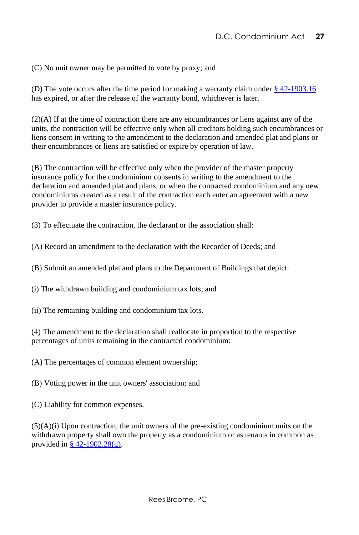(C) No unit owner may be permitted to vote by proxy; and

(D) The vote occurs after the time period for making a warranty claim under [§ 42-1903.16](https://code.dccouncil.us/us/dc/council/code/sections/42-1903.16) has expired, or after the release of the warranty bond, whichever is later.

(2)(A) If at the time of contraction there are any encumbrances or liens against any of the units, the contraction will be effective only when all creditors holding such encumbrances or liens consent in writing to the amendment to the declaration and amended plat and plans or their encumbrances or liens are satisfied or expire by operation of law.

(B) The contraction will be effective only when the provider of the master property insurance policy for the condominium consents in writing to the amendment to the declaration and amended plat and plans, or when the contracted condominium and any new condominiums created as a result of the contraction each enter an agreement with a new provider to provide a master insurance policy.

(3) To effectuate the contraction, the declarant or the association shall:

(A) Record an amendment to the declaration with the Recorder of Deeds; and

(B) Submit an amended plat and plans to the Department of Buildings that depict:

(i) The withdrawn building and condominium tax lots; and

(ii) The remaining building and condominium tax lots.

(4) The amendment to the declaration shall reallocate in proportion to the respective percentages of units remaining in the contracted condominium:

(A) The percentages of common element ownership;

(B) Voting power in the unit owners' association; and

(C) Liability for common expenses.

 $(5)(A)(i)$  Upon contraction, the unit owners of the pre-existing condominium units on the withdrawn property shall own the property as a condominium or as tenants in common as provided in  $\S$  42-1902.28(g).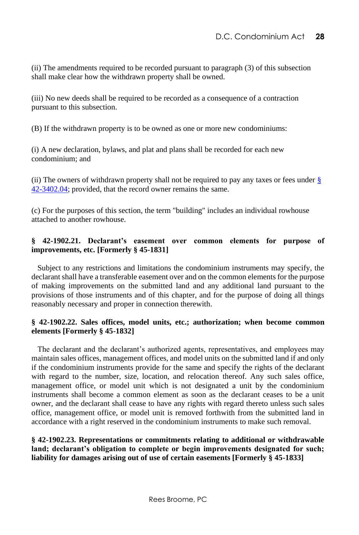(ii) The amendments required to be recorded pursuant to paragraph (3) of this subsection shall make clear how the withdrawn property shall be owned.

(iii) No new deeds shall be required to be recorded as a consequence of a contraction pursuant to this subsection.

(B) If the withdrawn property is to be owned as one or more new condominiums:

(i) A new declaration, bylaws, and plat and plans shall be recorded for each new condominium; and

(ii) The owners of withdrawn property shall not be required to pay any taxes or fees under  $\S$ [42-3402.04;](https://code.dccouncil.us/us/dc/council/code/sections/42-3402.04) provided, that the record owner remains the same.

(c) For the purposes of this section, the term "building" includes an individual rowhouse attached to another rowhouse.

#### <span id="page-34-0"></span>**§ 42-1902.21. Declarant's easement over common elements for purpose of improvements, etc. [Formerly § 45-1831]**

 Subject to any restrictions and limitations the condominium instruments may specify, the declarant shall have a transferable easement over and on the common elements for the purpose of making improvements on the submitted land and any additional land pursuant to the provisions of those instruments and of this chapter, and for the purpose of doing all things reasonably necessary and proper in connection therewith.

#### <span id="page-34-1"></span>**§ 42-1902.22. Sales offices, model units, etc.; authorization; when become common elements [Formerly § 45-1832]**

 The declarant and the declarant's authorized agents, representatives, and employees may maintain sales offices, management offices, and model units on the submitted land if and only if the condominium instruments provide for the same and specify the rights of the declarant with regard to the number, size, location, and relocation thereof. Any such sales office, management office, or model unit which is not designated a unit by the condominium instruments shall become a common element as soon as the declarant ceases to be a unit owner, and the declarant shall cease to have any rights with regard thereto unless such sales office, management office, or model unit is removed forthwith from the submitted land in accordance with a right reserved in the condominium instruments to make such removal.

#### <span id="page-34-2"></span>**§ 42-1902.23. Representations or commitments relating to additional or withdrawable land; declarant's obligation to complete or begin improvements designated for such; liability for damages arising out of use of certain easements [Formerly § 45-1833]**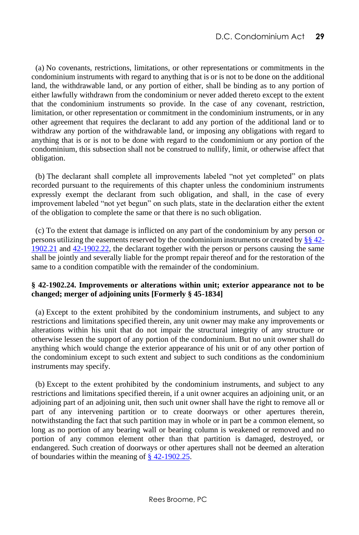(a) No covenants, restrictions, limitations, or other representations or commitments in the condominium instruments with regard to anything that is or is not to be done on the additional land, the withdrawable land, or any portion of either, shall be binding as to any portion of either lawfully withdrawn from the condominium or never added thereto except to the extent that the condominium instruments so provide. In the case of any covenant, restriction, limitation, or other representation or commitment in the condominium instruments, or in any other agreement that requires the declarant to add any portion of the additional land or to withdraw any portion of the withdrawable land, or imposing any obligations with regard to anything that is or is not to be done with regard to the condominium or any portion of the condominium, this subsection shall not be construed to nullify, limit, or otherwise affect that obligation.

 (b) The declarant shall complete all improvements labeled "not yet completed" on plats recorded pursuant to the requirements of this chapter unless the condominium instruments expressly exempt the declarant from such obligation, and shall, in the case of every improvement labeled "not yet begun" on such plats, state in the declaration either the extent of the obligation to complete the same or that there is no such obligation.

 (c) To the extent that damage is inflicted on any part of the condominium by any person or persons utilizing the easements reserved by the condominium instruments or created by  $\S_8$  [42-](http://www.lexis.com/research/buttonTFLink?_m=f7470240238356ea85675d9ae3515064&_xfercite=%3ccite%20cc%3d%22USA%22%3e%3c%21%5bCDATA%5bD.C.%20Code%20%a7%2042-1902.23%5d%5d%3e%3c%2fcite%3e&_butType=4&_butStat=0&_butNum=2&_butInline=1&_butinfo=DC%20CODE%2042-1902.21&_fmtstr=FULL&docnum=1&_startdoc=1&wchp=dGLzVlz-zSkAz&_md5=f9b164af58a7600935ee4bbd0d610f6c) [1902.21](http://www.lexis.com/research/buttonTFLink?_m=f7470240238356ea85675d9ae3515064&_xfercite=%3ccite%20cc%3d%22USA%22%3e%3c%21%5bCDATA%5bD.C.%20Code%20%a7%2042-1902.23%5d%5d%3e%3c%2fcite%3e&_butType=4&_butStat=0&_butNum=2&_butInline=1&_butinfo=DC%20CODE%2042-1902.21&_fmtstr=FULL&docnum=1&_startdoc=1&wchp=dGLzVlz-zSkAz&_md5=f9b164af58a7600935ee4bbd0d610f6c) and [42-1902.22,](http://www.lexis.com/research/buttonTFLink?_m=f7470240238356ea85675d9ae3515064&_xfercite=%3ccite%20cc%3d%22USA%22%3e%3c%21%5bCDATA%5bD.C.%20Code%20%a7%2042-1902.23%5d%5d%3e%3c%2fcite%3e&_butType=4&_butStat=0&_butNum=3&_butInline=1&_butinfo=DC%20CODE%2042-1902.22&_fmtstr=FULL&docnum=1&_startdoc=1&wchp=dGLzVlz-zSkAz&_md5=a183de7c51c8c1c08e3a7b75c29e1b7d) the declarant together with the person or persons causing the same shall be jointly and severally liable for the prompt repair thereof and for the restoration of the same to a condition compatible with the remainder of the condominium.

#### <span id="page-35-0"></span>**§ 42-1902.24. Improvements or alterations within unit; exterior appearance not to be changed; merger of adjoining units [Formerly § 45-1834]**

 (a) Except to the extent prohibited by the condominium instruments, and subject to any restrictions and limitations specified therein, any unit owner may make any improvements or alterations within his unit that do not impair the structural integrity of any structure or otherwise lessen the support of any portion of the condominium. But no unit owner shall do anything which would change the exterior appearance of his unit or of any other portion of the condominium except to such extent and subject to such conditions as the condominium instruments may specify.

 (b) Except to the extent prohibited by the condominium instruments, and subject to any restrictions and limitations specified therein, if a unit owner acquires an adjoining unit, or an adjoining part of an adjoining unit, then such unit owner shall have the right to remove all or part of any intervening partition or to create doorways or other apertures therein, notwithstanding the fact that such partition may in whole or in part be a common element, so long as no portion of any bearing wall or bearing column is weakened or removed and no portion of any common element other than that partition is damaged, destroyed, or endangered. Such creation of doorways or other apertures shall not be deemed an alteration of boundaries within the meaning of [§ 42-1902.25.](http://www.lexis.com/research/buttonTFLink?_m=f73e0eaf58e910157e58c6ae852c44ba&_xfercite=%3ccite%20cc%3d%22USA%22%3e%3c%21%5bCDATA%5bD.C.%20Code%20%a7%2042-1902.24%5d%5d%3e%3c%2fcite%3e&_butType=4&_butStat=0&_butNum=2&_butInline=1&_butinfo=DC%20CODE%2042-1902.25&_fmtstr=FULL&docnum=1&_startdoc=1&wchp=dGLzVlz-zSkAz&_md5=4ba9f60bfad557c13fb3a264c55e95ec)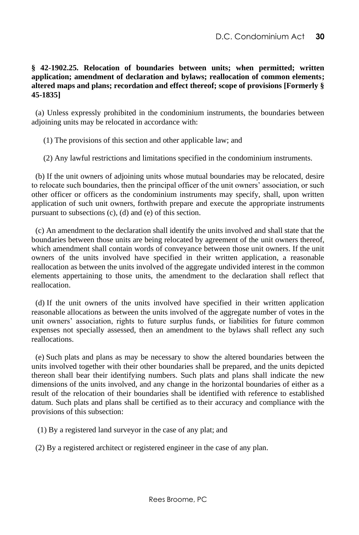## **§ 42-1902.25. Relocation of boundaries between units; when permitted; written application; amendment of declaration and bylaws; reallocation of common elements; altered maps and plans; recordation and effect thereof; scope of provisions [Formerly § 45-1835]**

(a) Unless expressly prohibited in the condominium instruments, the boundaries between adjoining units may be relocated in accordance with:

(1) The provisions of this section and other applicable law; and

(2) Any lawful restrictions and limitations specified in the condominium instruments.

 (b) If the unit owners of adjoining units whose mutual boundaries may be relocated, desire to relocate such boundaries, then the principal officer of the unit owners' association, or such other officer or officers as the condominium instruments may specify, shall, upon written application of such unit owners, forthwith prepare and execute the appropriate instruments pursuant to subsections (c), (d) and (e) of this section.

 (c) An amendment to the declaration shall identify the units involved and shall state that the boundaries between those units are being relocated by agreement of the unit owners thereof, which amendment shall contain words of conveyance between those unit owners. If the unit owners of the units involved have specified in their written application, a reasonable reallocation as between the units involved of the aggregate undivided interest in the common elements appertaining to those units, the amendment to the declaration shall reflect that reallocation.

 (d) If the unit owners of the units involved have specified in their written application reasonable allocations as between the units involved of the aggregate number of votes in the unit owners' association, rights to future surplus funds, or liabilities for future common expenses not specially assessed, then an amendment to the bylaws shall reflect any such reallocations.

 (e) Such plats and plans as may be necessary to show the altered boundaries between the units involved together with their other boundaries shall be prepared, and the units depicted thereon shall bear their identifying numbers. Such plats and plans shall indicate the new dimensions of the units involved, and any change in the horizontal boundaries of either as a result of the relocation of their boundaries shall be identified with reference to established datum. Such plats and plans shall be certified as to their accuracy and compliance with the provisions of this subsection:

(1) By a registered land surveyor in the case of any plat; and

(2) By a registered architect or registered engineer in the case of any plan.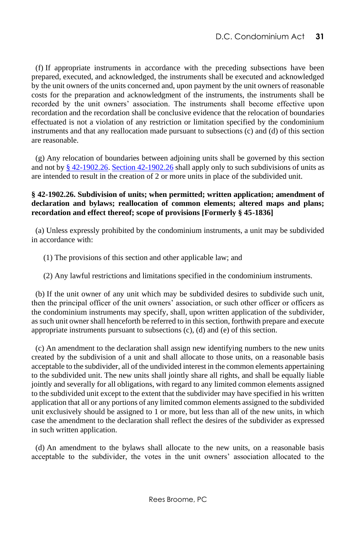(f) If appropriate instruments in accordance with the preceding subsections have been prepared, executed, and acknowledged, the instruments shall be executed and acknowledged by the unit owners of the units concerned and, upon payment by the unit owners of reasonable costs for the preparation and acknowledgment of the instruments, the instruments shall be recorded by the unit owners' association. The instruments shall become effective upon recordation and the recordation shall be conclusive evidence that the relocation of boundaries effectuated is not a violation of any restriction or limitation specified by the condominium instruments and that any reallocation made pursuant to subsections (c) and (d) of this section are reasonable.

 (g) Any relocation of boundaries between adjoining units shall be governed by this section and not by  $\frac{8}{9}$  42-1902.26. [Section 42-1902.26](http://www.lexis.com/research/buttonTFLink?_m=1570d27dd06fe02e113fea57c7524e43&_xfercite=%3ccite%20cc%3d%22USA%22%3e%3c%21%5bCDATA%5bD.C.%20Code%20%a7%2042-1902.25%5d%5d%3e%3c%2fcite%3e&_butType=4&_butStat=0&_butNum=3&_butInline=1&_butinfo=DC%20CODE%2042-1902.26&_fmtstr=FULL&docnum=1&_startdoc=1&wchp=dGLzVlz-zSkAz&_md5=4d9b1a486929ff0e19e3e179ce3af27c) shall apply only to such subdivisions of units as are intended to result in the creation of 2 or more units in place of the subdivided unit.

## **§ 42-1902.26. Subdivision of units; when permitted; written application; amendment of declaration and bylaws; reallocation of common elements; altered maps and plans; recordation and effect thereof; scope of provisions [Formerly § 45-1836]**

(a) Unless expressly prohibited by the condominium instruments, a unit may be subdivided in accordance with:

(1) The provisions of this section and other applicable law; and

(2) Any lawful restrictions and limitations specified in the condominium instruments.

 (b) If the unit owner of any unit which may be subdivided desires to subdivide such unit, then the principal officer of the unit owners' association, or such other officer or officers as the condominium instruments may specify, shall, upon written application of the subdivider, as such unit owner shall henceforth be referred to in this section, forthwith prepare and execute appropriate instruments pursuant to subsections (c), (d) and (e) of this section.

 (c) An amendment to the declaration shall assign new identifying numbers to the new units created by the subdivision of a unit and shall allocate to those units, on a reasonable basis acceptable to the subdivider, all of the undivided interest in the common elements appertaining to the subdivided unit. The new units shall jointly share all rights, and shall be equally liable jointly and severally for all obligations, with regard to any limited common elements assigned to the subdivided unit except to the extent that the subdivider may have specified in his written application that all or any portions of any limited common elements assigned to the subdivided unit exclusively should be assigned to 1 or more, but less than all of the new units, in which case the amendment to the declaration shall reflect the desires of the subdivider as expressed in such written application.

 (d) An amendment to the bylaws shall allocate to the new units, on a reasonable basis acceptable to the subdivider, the votes in the unit owners' association allocated to the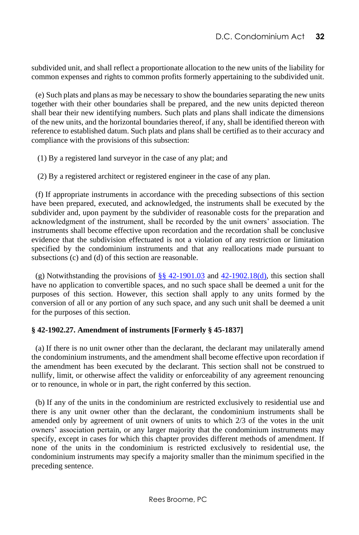subdivided unit, and shall reflect a proportionate allocation to the new units of the liability for common expenses and rights to common profits formerly appertaining to the subdivided unit.

 (e) Such plats and plans as may be necessary to show the boundaries separating the new units together with their other boundaries shall be prepared, and the new units depicted thereon shall bear their new identifying numbers. Such plats and plans shall indicate the dimensions of the new units, and the horizontal boundaries thereof, if any, shall be identified thereon with reference to established datum. Such plats and plans shall be certified as to their accuracy and compliance with the provisions of this subsection:

- (1) By a registered land surveyor in the case of any plat; and
- (2) By a registered architect or registered engineer in the case of any plan.

 (f) If appropriate instruments in accordance with the preceding subsections of this section have been prepared, executed, and acknowledged, the instruments shall be executed by the subdivider and, upon payment by the subdivider of reasonable costs for the preparation and acknowledgment of the instrument, shall be recorded by the unit owners' association. The instruments shall become effective upon recordation and the recordation shall be conclusive evidence that the subdivision effectuated is not a violation of any restriction or limitation specified by the condominium instruments and that any reallocations made pursuant to subsections (c) and (d) of this section are reasonable.

(g) Notwithstanding the provisions of  $\S$ § 42-1901.03 and [42-1902.18\(d\),](http://www.lexis.com/research/buttonTFLink?_m=6b8ebbd9458ce2202a4b7d3d9c0595d6&_xfercite=%3ccite%20cc%3d%22USA%22%3e%3c%21%5bCDATA%5bD.C.%20Code%20%a7%2042-1902.26%5d%5d%3e%3c%2fcite%3e&_butType=4&_butStat=0&_butNum=3&_butInline=1&_butinfo=DC%20CODE%2042-1902.18&_fmtstr=FULL&docnum=1&_startdoc=1&wchp=dGLzVlz-zSkAz&_md5=82f98d0b06ef77f597c3316d4a47175a) this section shall have no application to convertible spaces, and no such space shall be deemed a unit for the purposes of this section. However, this section shall apply to any units formed by the conversion of all or any portion of any such space, and any such unit shall be deemed a unit for the purposes of this section.

#### **§ 42-1902.27. Amendment of instruments [Formerly § 45-1837]**

 (a) If there is no unit owner other than the declarant, the declarant may unilaterally amend the condominium instruments, and the amendment shall become effective upon recordation if the amendment has been executed by the declarant. This section shall not be construed to nullify, limit, or otherwise affect the validity or enforceability of any agreement renouncing or to renounce, in whole or in part, the right conferred by this section.

 (b) If any of the units in the condominium are restricted exclusively to residential use and there is any unit owner other than the declarant, the condominium instruments shall be amended only by agreement of unit owners of units to which 2/3 of the votes in the unit owners' association pertain, or any larger majority that the condominium instruments may specify, except in cases for which this chapter provides different methods of amendment. If none of the units in the condominium is restricted exclusively to residential use, the condominium instruments may specify a majority smaller than the minimum specified in the preceding sentence.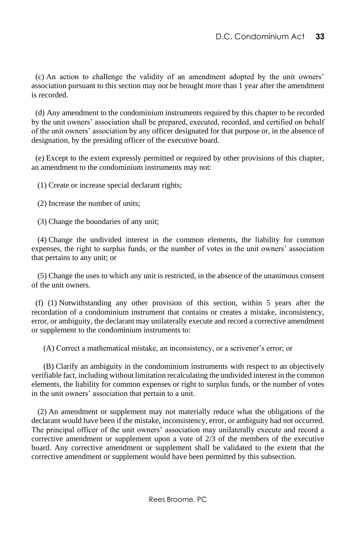(c) An action to challenge the validity of an amendment adopted by the unit owners' association pursuant to this section may not be brought more than 1 year after the amendment is recorded.

 (d) Any amendment to the condominium instruments required by this chapter to be recorded by the unit owners' association shall be prepared, executed, recorded, and certified on behalf of the unit owners' association by any officer designated for that purpose or, in the absence of designation, by the presiding officer of the executive board.

 (e) Except to the extent expressly permitted or required by other provisions of this chapter, an amendment to the condominium instruments may not:

(1) Create or increase special declarant rights;

(2) Increase the number of units;

(3) Change the boundaries of any unit;

 (4) Change the undivided interest in the common elements, the liability for common expenses, the right to surplus funds, or the number of votes in the unit owners' association that pertains to any unit; or

 (5) Change the uses to which any unit is restricted, in the absence of the unanimous consent of the unit owners.

 (f) (1) Notwithstanding any other provision of this section, within 5 years after the recordation of a condominium instrument that contains or creates a mistake, inconsistency, error, or ambiguity, the declarant may unilaterally execute and record a corrective amendment or supplement to the condominium instruments to:

(A) Correct a mathematical mistake, an inconsistency, or a scrivener's error; or

 (B) Clarify an ambiguity in the condominium instruments with respect to an objectively verifiable fact, including without limitation recalculating the undivided interest in the common elements, the liability for common expenses or right to surplus funds, or the number of votes in the unit owners' association that pertain to a unit.

 (2) An amendment or supplement may not materially reduce what the obligations of the declarant would have been if the mistake, inconsistency, error, or ambiguity had not occurred. The principal officer of the unit owners' association may unilaterally execute and record a corrective amendment or supplement upon a vote of 2/3 of the members of the executive board. Any corrective amendment or supplement shall be validated to the extent that the corrective amendment or supplement would have been permitted by this subsection.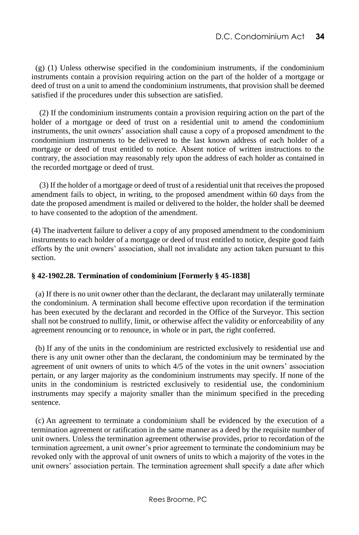(g) (1) Unless otherwise specified in the condominium instruments, if the condominium instruments contain a provision requiring action on the part of the holder of a mortgage or deed of trust on a unit to amend the condominium instruments, that provision shall be deemed satisfied if the procedures under this subsection are satisfied.

(2) If the condominium instruments contain a provision requiring action on the part of the holder of a mortgage or deed of trust on a residential unit to amend the condominium instruments, the unit owners' association shall cause a copy of a proposed amendment to the condominium instruments to be delivered to the last known address of each holder of a mortgage or deed of trust entitled to notice. Absent notice of written instructions to the contrary, the association may reasonably rely upon the address of each holder as contained in the recorded mortgage or deed of trust.

(3) If the holder of a mortgage or deed of trust of a residential unit that receives the proposed amendment fails to object, in writing, to the proposed amendment within 60 days from the date the proposed amendment is mailed or delivered to the holder, the holder shall be deemed to have consented to the adoption of the amendment.

(4) The inadvertent failure to deliver a copy of any proposed amendment to the condominium instruments to each holder of a mortgage or deed of trust entitled to notice, despite good faith efforts by the unit owners' association, shall not invalidate any action taken pursuant to this section.

#### **§ 42-1902.28. Termination of condominium [Formerly § 45-1838]**

 (a) If there is no unit owner other than the declarant, the declarant may unilaterally terminate the condominium. A termination shall become effective upon recordation if the termination has been executed by the declarant and recorded in the Office of the Surveyor. This section shall not be construed to nullify, limit, or otherwise affect the validity or enforceability of any agreement renouncing or to renounce, in whole or in part, the right conferred.

 (b) If any of the units in the condominium are restricted exclusively to residential use and there is any unit owner other than the declarant, the condominium may be terminated by the agreement of unit owners of units to which 4/5 of the votes in the unit owners' association pertain, or any larger majority as the condominium instruments may specify. If none of the units in the condominium is restricted exclusively to residential use, the condominium instruments may specify a majority smaller than the minimum specified in the preceding sentence.

 (c) An agreement to terminate a condominium shall be evidenced by the execution of a termination agreement or ratification in the same manner as a deed by the requisite number of unit owners. Unless the termination agreement otherwise provides, prior to recordation of the termination agreement, a unit owner's prior agreement to terminate the condominium may be revoked only with the approval of unit owners of units to which a majority of the votes in the unit owners' association pertain. The termination agreement shall specify a date after which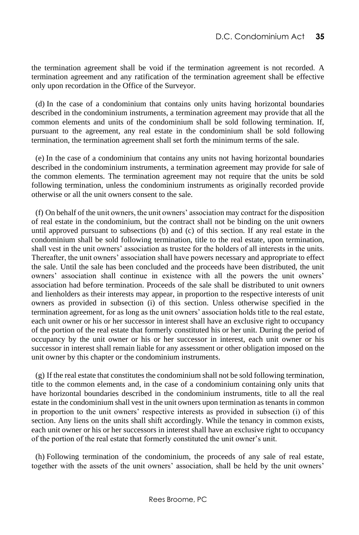the termination agreement shall be void if the termination agreement is not recorded. A termination agreement and any ratification of the termination agreement shall be effective only upon recordation in the Office of the Surveyor.

 (d) In the case of a condominium that contains only units having horizontal boundaries described in the condominium instruments, a termination agreement may provide that all the common elements and units of the condominium shall be sold following termination. If, pursuant to the agreement, any real estate in the condominium shall be sold following termination, the termination agreement shall set forth the minimum terms of the sale.

 (e) In the case of a condominium that contains any units not having horizontal boundaries described in the condominium instruments, a termination agreement may provide for sale of the common elements. The termination agreement may not require that the units be sold following termination, unless the condominium instruments as originally recorded provide otherwise or all the unit owners consent to the sale.

 (f) On behalf of the unit owners, the unit owners' association may contract for the disposition of real estate in the condominium, but the contract shall not be binding on the unit owners until approved pursuant to subsections (b) and (c) of this section. If any real estate in the condominium shall be sold following termination, title to the real estate, upon termination, shall vest in the unit owners' association as trustee for the holders of all interests in the units. Thereafter, the unit owners' association shall have powers necessary and appropriate to effect the sale. Until the sale has been concluded and the proceeds have been distributed, the unit owners' association shall continue in existence with all the powers the unit owners' association had before termination. Proceeds of the sale shall be distributed to unit owners and lienholders as their interests may appear, in proportion to the respective interests of unit owners as provided in subsection (i) of this section. Unless otherwise specified in the termination agreement, for as long as the unit owners' association holds title to the real estate, each unit owner or his or her successor in interest shall have an exclusive right to occupancy of the portion of the real estate that formerly constituted his or her unit. During the period of occupancy by the unit owner or his or her successor in interest, each unit owner or his successor in interest shall remain liable for any assessment or other obligation imposed on the unit owner by this chapter or the condominium instruments.

 (g) If the real estate that constitutes the condominium shall not be sold following termination, title to the common elements and, in the case of a condominium containing only units that have horizontal boundaries described in the condominium instruments, title to all the real estate in the condominium shall vest in the unit owners upon termination as tenants in common in proportion to the unit owners' respective interests as provided in subsection (i) of this section. Any liens on the units shall shift accordingly. While the tenancy in common exists, each unit owner or his or her successors in interest shall have an exclusive right to occupancy of the portion of the real estate that formerly constituted the unit owner's unit.

 (h) Following termination of the condominium, the proceeds of any sale of real estate, together with the assets of the unit owners' association, shall be held by the unit owners'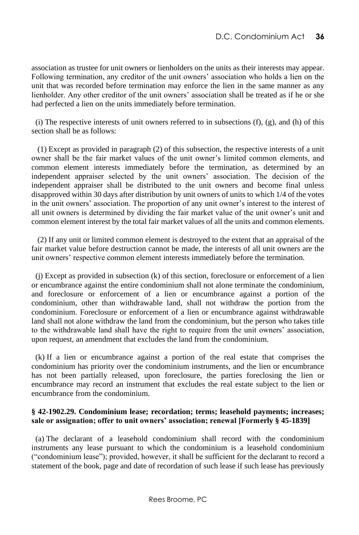association as trustee for unit owners or lienholders on the units as their interests may appear. Following termination, any creditor of the unit owners' association who holds a lien on the unit that was recorded before termination may enforce the lien in the same manner as any lienholder. Any other creditor of the unit owners' association shall be treated as if he or she had perfected a lien on the units immediately before termination.

(i) The respective interests of unit owners referred to in subsections  $(f)$ ,  $(g)$ , and  $(h)$  of this section shall be as follows:

 (1) Except as provided in paragraph (2) of this subsection, the respective interests of a unit owner shall be the fair market values of the unit owner's limited common elements, and common element interests immediately before the termination, as determined by an independent appraiser selected by the unit owners' association. The decision of the independent appraiser shall be distributed to the unit owners and become final unless disapproved within 30 days after distribution by unit owners of units to which 1/4 of the votes in the unit owners' association. The proportion of any unit owner's interest to the interest of all unit owners is determined by dividing the fair market value of the unit owner's unit and common element interest by the total fair market values of all the units and common elements.

 (2) If any unit or limited common element is destroyed to the extent that an appraisal of the fair market value before destruction cannot be made, the interests of all unit owners are the unit owners' respective common element interests immediately before the termination.

 (j) Except as provided in subsection (k) of this section, foreclosure or enforcement of a lien or encumbrance against the entire condominium shall not alone terminate the condominium, and foreclosure or enforcement of a lien or encumbrance against a portion of the condominium, other than withdrawable land, shall not withdraw the portion from the condominium. Foreclosure or enforcement of a lien or encumbrance against withdrawable land shall not alone withdraw the land from the condominium, but the person who takes title to the withdrawable land shall have the right to require from the unit owners' association, upon request, an amendment that excludes the land from the condominium.

 (k) If a lien or encumbrance against a portion of the real estate that comprises the condominium has priority over the condominium instruments, and the lien or encumbrance has not been partially released, upon foreclosure, the parties foreclosing the lien or encumbrance may record an instrument that excludes the real estate subject to the lien or encumbrance from the condominium.

#### **§ 42-1902.29. Condominium lease; recordation; terms; leasehold payments; increases; sale or assignation; offer to unit owners' association; renewal [Formerly § 45-1839]**

 (a) The declarant of a leasehold condominium shall record with the condominium instruments any lease pursuant to which the condominium is a leasehold condominium ("condominium lease"); provided, however, it shall be sufficient for the declarant to record a statement of the book, page and date of recordation of such lease if such lease has previously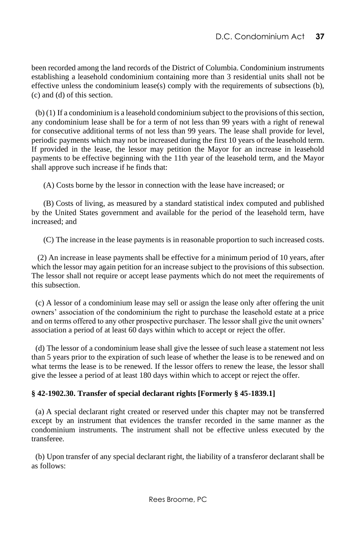been recorded among the land records of the District of Columbia. Condominium instruments establishing a leasehold condominium containing more than 3 residential units shall not be effective unless the condominium lease(s) comply with the requirements of subsections (b), (c) and (d) of this section.

 (b) (1) If a condominium is a leasehold condominium subject to the provisions of this section, any condominium lease shall be for a term of not less than 99 years with a right of renewal for consecutive additional terms of not less than 99 years. The lease shall provide for level, periodic payments which may not be increased during the first 10 years of the leasehold term. If provided in the lease, the lessor may petition the Mayor for an increase in leasehold payments to be effective beginning with the 11th year of the leasehold term, and the Mayor shall approve such increase if he finds that:

(A) Costs borne by the lessor in connection with the lease have increased; or

 (B) Costs of living, as measured by a standard statistical index computed and published by the United States government and available for the period of the leasehold term, have increased; and

(C) The increase in the lease payments is in reasonable proportion to such increased costs.

 (2) An increase in lease payments shall be effective for a minimum period of 10 years, after which the lessor may again petition for an increase subject to the provisions of this subsection. The lessor shall not require or accept lease payments which do not meet the requirements of this subsection.

 (c) A lessor of a condominium lease may sell or assign the lease only after offering the unit owners' association of the condominium the right to purchase the leasehold estate at a price and on terms offered to any other prospective purchaser. The lessor shall give the unit owners' association a period of at least 60 days within which to accept or reject the offer.

 (d) The lessor of a condominium lease shall give the lessee of such lease a statement not less than 5 years prior to the expiration of such lease of whether the lease is to be renewed and on what terms the lease is to be renewed. If the lessor offers to renew the lease, the lessor shall give the lessee a period of at least 180 days within which to accept or reject the offer.

# **§ 42-1902.30. Transfer of special declarant rights [Formerly § 45-1839.1]**

 (a) A special declarant right created or reserved under this chapter may not be transferred except by an instrument that evidences the transfer recorded in the same manner as the condominium instruments. The instrument shall not be effective unless executed by the transferee.

 (b) Upon transfer of any special declarant right, the liability of a transferor declarant shall be as follows: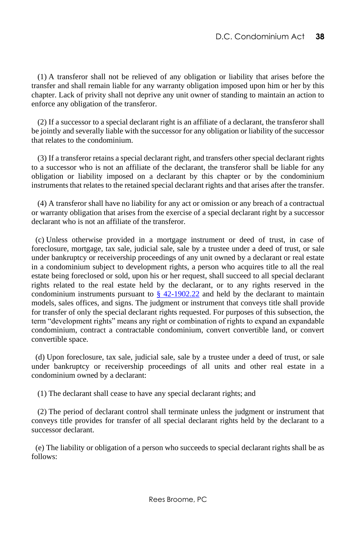(1) A transferor shall not be relieved of any obligation or liability that arises before the transfer and shall remain liable for any warranty obligation imposed upon him or her by this chapter. Lack of privity shall not deprive any unit owner of standing to maintain an action to enforce any obligation of the transferor.

 (2) If a successor to a special declarant right is an affiliate of a declarant, the transferor shall be jointly and severally liable with the successor for any obligation or liability of the successor that relates to the condominium.

 (3) If a transferor retains a special declarant right, and transfers other special declarant rights to a successor who is not an affiliate of the declarant, the transferor shall be liable for any obligation or liability imposed on a declarant by this chapter or by the condominium instruments that relates to the retained special declarant rights and that arises after the transfer.

 (4) A transferor shall have no liability for any act or omission or any breach of a contractual or warranty obligation that arises from the exercise of a special declarant right by a successor declarant who is not an affiliate of the transferor.

 (c) Unless otherwise provided in a mortgage instrument or deed of trust, in case of foreclosure, mortgage, tax sale, judicial sale, sale by a trustee under a deed of trust, or sale under bankruptcy or receivership proceedings of any unit owned by a declarant or real estate in a condominium subject to development rights, a person who acquires title to all the real estate being foreclosed or sold, upon his or her request, shall succeed to all special declarant rights related to the real estate held by the declarant, or to any rights reserved in the condominium instruments pursuant to  $\S$  42-1902.22 and held by the declarant to maintain models, sales offices, and signs. The judgment or instrument that conveys title shall provide for transfer of only the special declarant rights requested. For purposes of this subsection, the term "development rights" means any right or combination of rights to expand an expandable condominium, contract a contractable condominium, convert convertible land, or convert convertible space.

 (d) Upon foreclosure, tax sale, judicial sale, sale by a trustee under a deed of trust, or sale under bankruptcy or receivership proceedings of all units and other real estate in a condominium owned by a declarant:

(1) The declarant shall cease to have any special declarant rights; and

 (2) The period of declarant control shall terminate unless the judgment or instrument that conveys title provides for transfer of all special declarant rights held by the declarant to a successor declarant.

 (e) The liability or obligation of a person who succeeds to special declarant rights shall be as follows: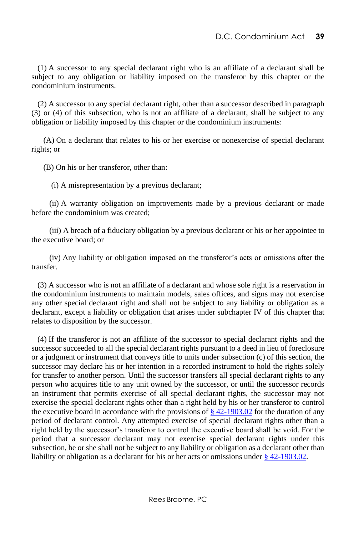(1) A successor to any special declarant right who is an affiliate of a declarant shall be subject to any obligation or liability imposed on the transferor by this chapter or the condominium instruments.

 (2) A successor to any special declarant right, other than a successor described in paragraph (3) or (4) of this subsection, who is not an affiliate of a declarant, shall be subject to any obligation or liability imposed by this chapter or the condominium instruments:

 (A) On a declarant that relates to his or her exercise or nonexercise of special declarant rights; or

(B) On his or her transferor, other than:

(i) A misrepresentation by a previous declarant;

 (ii) A warranty obligation on improvements made by a previous declarant or made before the condominium was created;

 (iii) A breach of a fiduciary obligation by a previous declarant or his or her appointee to the executive board; or

 (iv) Any liability or obligation imposed on the transferor's acts or omissions after the transfer.

 (3) A successor who is not an affiliate of a declarant and whose sole right is a reservation in the condominium instruments to maintain models, sales offices, and signs may not exercise any other special declarant right and shall not be subject to any liability or obligation as a declarant, except a liability or obligation that arises under subchapter IV of this chapter that relates to disposition by the successor.

 (4) If the transferor is not an affiliate of the successor to special declarant rights and the successor succeeded to all the special declarant rights pursuant to a deed in lieu of foreclosure or a judgment or instrument that conveys title to units under subsection (c) of this section, the successor may declare his or her intention in a recorded instrument to hold the rights solely for transfer to another person. Until the successor transfers all special declarant rights to any person who acquires title to any unit owned by the successor, or until the successor records an instrument that permits exercise of all special declarant rights, the successor may not exercise the special declarant rights other than a right held by his or her transferor to control the executive board in accordance with the provisions of  $\S$  42-1903.02 for the duration of any period of declarant control. Any attempted exercise of special declarant rights other than a right held by the successor's transferor to control the executive board shall be void. For the period that a successor declarant may not exercise special declarant rights under this subsection, he or she shall not be subject to any liability or obligation as a declarant other than liability or obligation as a declarant for his or her acts or omissions under [§ 42-1903.02.](http://www.lexis.com/research/buttonTFLink?_m=b57e1034375c2393b3d69679ef2039cf&_xfercite=%3ccite%20cc%3d%22USA%22%3e%3c%21%5bCDATA%5bD.C.%20Code%20%a7%2042-1902.30%5d%5d%3e%3c%2fcite%3e&_butType=4&_butStat=0&_butNum=4&_butInline=1&_butinfo=DC%20CODE%2042-1903.02&_fmtstr=FULL&docnum=1&_startdoc=1&wchp=dGLzVlz-zSkAz&_md5=540768bfae609f1745bcff9fffce11ca)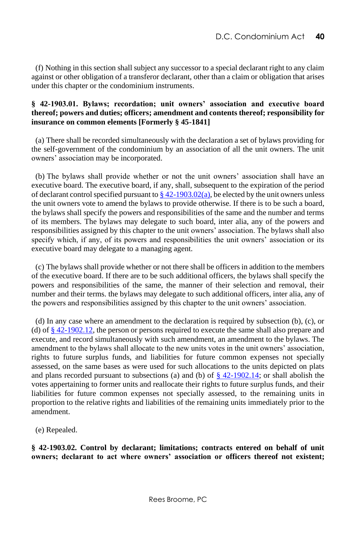(f) Nothing in this section shall subject any successor to a special declarant right to any claim against or other obligation of a transferor declarant, other than a claim or obligation that arises under this chapter or the condominium instruments.

### **§ 42-1903.01. Bylaws; recordation; unit owners' association and executive board thereof; powers and duties; officers; amendment and contents thereof; responsibility for insurance on common elements [Formerly § 45-1841]**

 (a) There shall be recorded simultaneously with the declaration a set of bylaws providing for the self-government of the condominium by an association of all the unit owners. The unit owners' association may be incorporated.

 (b) The bylaws shall provide whether or not the unit owners' association shall have an executive board. The executive board, if any, shall, subsequent to the expiration of the period of declarant control specified pursuant to  $\S 42-1903.02(a)$ , be elected by the unit owners unless the unit owners vote to amend the bylaws to provide otherwise. If there is to be such a board, the bylaws shall specify the powers and responsibilities of the same and the number and terms of its members. The bylaws may delegate to such board, inter alia, any of the powers and responsibilities assigned by this chapter to the unit owners' association. The bylaws shall also specify which, if any, of its powers and responsibilities the unit owners' association or its executive board may delegate to a managing agent.

 (c) The bylaws shall provide whether or not there shall be officers in addition to the members of the executive board. If there are to be such additional officers, the bylaws shall specify the powers and responsibilities of the same, the manner of their selection and removal, their number and their terms. the bylaws may delegate to such additional officers, inter alia, any of the powers and responsibilities assigned by this chapter to the unit owners' association.

 (d) In any case where an amendment to the declaration is required by subsection (b), (c), or (d) of  $\S 42-1902.12$ , the person or persons required to execute the same shall also prepare and execute, and record simultaneously with such amendment, an amendment to the bylaws. The amendment to the bylaws shall allocate to the new units votes in the unit owners' association, rights to future surplus funds, and liabilities for future common expenses not specially assessed, on the same bases as were used for such allocations to the units depicted on plats and plans recorded pursuant to subsections (a) and (b) of  $\frac{8}{3}$  42-1902.14; or shall abolish the votes appertaining to former units and reallocate their rights to future surplus funds, and their liabilities for future common expenses not specially assessed, to the remaining units in proportion to the relative rights and liabilities of the remaining units immediately prior to the amendment.

(e) Repealed.

**§ 42-1903.02. Control by declarant; limitations; contracts entered on behalf of unit owners; declarant to act where owners' association or officers thereof not existent;**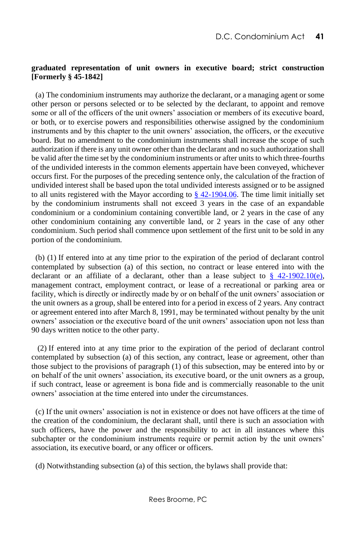### **graduated representation of unit owners in executive board; strict construction [Formerly § 45-1842]**

 (a) The condominium instruments may authorize the declarant, or a managing agent or some other person or persons selected or to be selected by the declarant, to appoint and remove some or all of the officers of the unit owners' association or members of its executive board, or both, or to exercise powers and responsibilities otherwise assigned by the condominium instruments and by this chapter to the unit owners' association, the officers, or the executive board. But no amendment to the condominium instruments shall increase the scope of such authorization if there is any unit owner other than the declarant and no such authorization shall be valid after the time set by the condominium instruments or after units to which three-fourths of the undivided interests in the common elements appertain have been conveyed, whichever occurs first. For the purposes of the preceding sentence only, the calculation of the fraction of undivided interest shall be based upon the total undivided interests assigned or to be assigned to all units registered with the Mayor according to  $\S$  42-1904.06. The time limit initially set by the condominium instruments shall not exceed 3 years in the case of an expandable condominium or a condominium containing convertible land, or 2 years in the case of any other condominium containing any convertible land, or 2 years in the case of any other condominium. Such period shall commence upon settlement of the first unit to be sold in any portion of the condominium.

 (b) (1) If entered into at any time prior to the expiration of the period of declarant control contemplated by subsection (a) of this section, no contract or lease entered into with the declarant or an affiliate of a declarant, other than a lease subject to  $\S$  42-1902.10(e), management contract, employment contract, or lease of a recreational or parking area or facility, which is directly or indirectly made by or on behalf of the unit owners' association or the unit owners as a group, shall be entered into for a period in excess of 2 years. Any contract or agreement entered into after March 8, 1991, may be terminated without penalty by the unit owners' association or the executive board of the unit owners' association upon not less than 90 days written notice to the other party.

 (2) If entered into at any time prior to the expiration of the period of declarant control contemplated by subsection (a) of this section, any contract, lease or agreement, other than those subject to the provisions of paragraph (1) of this subsection, may be entered into by or on behalf of the unit owners' association, its executive board, or the unit owners as a group, if such contract, lease or agreement is bona fide and is commercially reasonable to the unit owners' association at the time entered into under the circumstances.

 (c) If the unit owners' association is not in existence or does not have officers at the time of the creation of the condominium, the declarant shall, until there is such an association with such officers, have the power and the responsibility to act in all instances where this subchapter or the condominium instruments require or permit action by the unit owners' association, its executive board, or any officer or officers.

(d) Notwithstanding subsection (a) of this section, the bylaws shall provide that: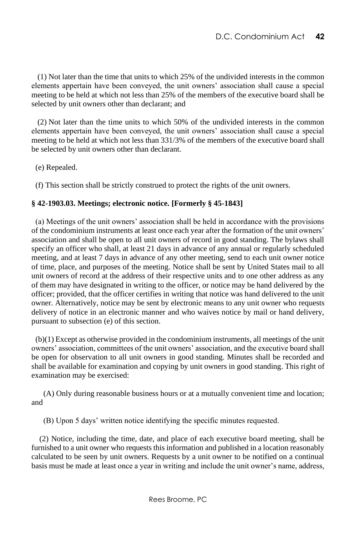(1) Not later than the time that units to which 25% of the undivided interests in the common elements appertain have been conveyed, the unit owners' association shall cause a special meeting to be held at which not less than 25% of the members of the executive board shall be selected by unit owners other than declarant; and

 (2) Not later than the time units to which 50% of the undivided interests in the common elements appertain have been conveyed, the unit owners' association shall cause a special meeting to be held at which not less than 331/3% of the members of the executive board shall be selected by unit owners other than declarant.

(e) Repealed.

(f) This section shall be strictly construed to protect the rights of the unit owners.

## **§ 42-1903.03. Meetings; electronic notice. [Formerly § 45-1843]**

(a) Meetings of the unit owners' association shall be held in accordance with the provisions of the condominium instruments at least once each year after the formation of the unit owners' association and shall be open to all unit owners of record in good standing. The bylaws shall specify an officer who shall, at least 21 days in advance of any annual or regularly scheduled meeting, and at least 7 days in advance of any other meeting, send to each unit owner notice of time, place, and purposes of the meeting. Notice shall be sent by United States mail to all unit owners of record at the address of their respective units and to one other address as any of them may have designated in writing to the officer, or notice may be hand delivered by the officer; provided, that the officer certifies in writing that notice was hand delivered to the unit owner. Alternatively, notice may be sent by electronic means to any unit owner who requests delivery of notice in an electronic manner and who waives notice by mail or hand delivery, pursuant to subsection (e) of this section.

(b)(1) Except as otherwise provided in the condominium instruments, all meetings of the unit owners' association, committees of the unit owners' association, and the executive board shall be open for observation to all unit owners in good standing. Minutes shall be recorded and shall be available for examination and copying by unit owners in good standing. This right of examination may be exercised:

(A) Only during reasonable business hours or at a mutually convenient time and location; and

(B) Upon 5 days' written notice identifying the specific minutes requested.

(2) Notice, including the time, date, and place of each executive board meeting, shall be furnished to a unit owner who requests this information and published in a location reasonably calculated to be seen by unit owners. Requests by a unit owner to be notified on a continual basis must be made at least once a year in writing and include the unit owner's name, address,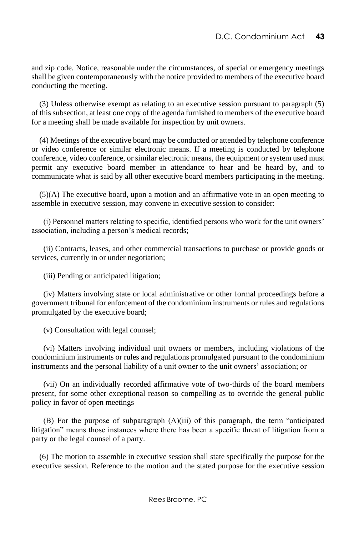and zip code. Notice, reasonable under the circumstances, of special or emergency meetings shall be given contemporaneously with the notice provided to members of the executive board conducting the meeting.

(3) Unless otherwise exempt as relating to an executive session pursuant to paragraph (5) of this subsection, at least one copy of the agenda furnished to members of the executive board for a meeting shall be made available for inspection by unit owners.

(4) Meetings of the executive board may be conducted or attended by telephone conference or video conference or similar electronic means. If a meeting is conducted by telephone conference, video conference, or similar electronic means, the equipment or system used must permit any executive board member in attendance to hear and be heard by, and to communicate what is said by all other executive board members participating in the meeting.

(5)(A) The executive board, upon a motion and an affirmative vote in an open meeting to assemble in executive session, may convene in executive session to consider:

(i) Personnel matters relating to specific, identified persons who work for the unit owners' association, including a person's medical records;

(ii) Contracts, leases, and other commercial transactions to purchase or provide goods or services, currently in or under negotiation;

(iii) Pending or anticipated litigation;

(iv) Matters involving state or local administrative or other formal proceedings before a government tribunal for enforcement of the condominium instruments or rules and regulations promulgated by the executive board;

(v) Consultation with legal counsel;

(vi) Matters involving individual unit owners or members, including violations of the condominium instruments or rules and regulations promulgated pursuant to the condominium instruments and the personal liability of a unit owner to the unit owners' association; or

(vii) On an individually recorded affirmative vote of two-thirds of the board members present, for some other exceptional reason so compelling as to override the general public policy in favor of open meetings

(B) For the purpose of subparagraph (A)(iii) of this paragraph, the term "anticipated litigation" means those instances where there has been a specific threat of litigation from a party or the legal counsel of a party.

(6) The motion to assemble in executive session shall state specifically the purpose for the executive session. Reference to the motion and the stated purpose for the executive session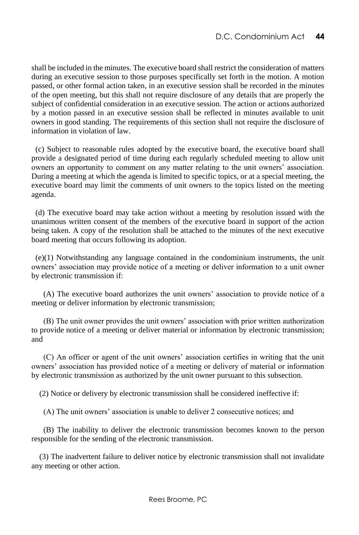shall be included in the minutes. The executive board shall restrict the consideration of matters during an executive session to those purposes specifically set forth in the motion. A motion passed, or other formal action taken, in an executive session shall be recorded in the minutes of the open meeting, but this shall not require disclosure of any details that are properly the subject of confidential consideration in an executive session. The action or actions authorized by a motion passed in an executive session shall be reflected in minutes available to unit owners in good standing. The requirements of this section shall not require the disclosure of information in violation of law.

(c) Subject to reasonable rules adopted by the executive board, the executive board shall provide a designated period of time during each regularly scheduled meeting to allow unit owners an opportunity to comment on any matter relating to the unit owners' association. During a meeting at which the agenda is limited to specific topics, or at a special meeting, the executive board may limit the comments of unit owners to the topics listed on the meeting agenda.

(d) The executive board may take action without a meeting by resolution issued with the unanimous written consent of the members of the executive board in support of the action being taken. A copy of the resolution shall be attached to the minutes of the next executive board meeting that occurs following its adoption.

(e)(1) Notwithstanding any language contained in the condominium instruments, the unit owners' association may provide notice of a meeting or deliver information to a unit owner by electronic transmission if:

(A) The executive board authorizes the unit owners' association to provide notice of a meeting or deliver information by electronic transmission;

(B) The unit owner provides the unit owners' association with prior written authorization to provide notice of a meeting or deliver material or information by electronic transmission; and

(C) An officer or agent of the unit owners' association certifies in writing that the unit owners' association has provided notice of a meeting or delivery of material or information by electronic transmission as authorized by the unit owner pursuant to this subsection.

(2) Notice or delivery by electronic transmission shall be considered ineffective if:

(A) The unit owners' association is unable to deliver 2 consecutive notices; and

(B) The inability to deliver the electronic transmission becomes known to the person responsible for the sending of the electronic transmission.

(3) The inadvertent failure to deliver notice by electronic transmission shall not invalidate any meeting or other action.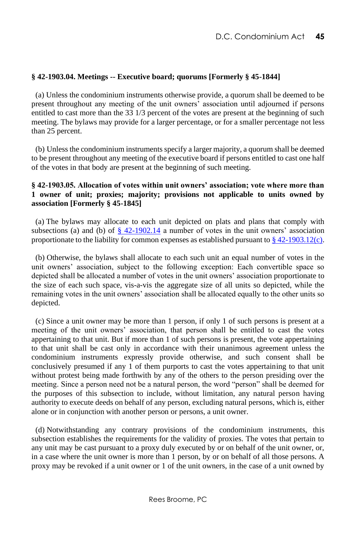## **§ 42-1903.04. Meetings -- Executive board; quorums [Formerly § 45-1844]**

 (a) Unless the condominium instruments otherwise provide, a quorum shall be deemed to be present throughout any meeting of the unit owners' association until adjourned if persons entitled to cast more than the 33 1/3 percent of the votes are present at the beginning of such meeting. The bylaws may provide for a larger percentage, or for a smaller percentage not less than 25 percent.

 (b) Unless the condominium instruments specify a larger majority, a quorum shall be deemed to be present throughout any meeting of the executive board if persons entitled to cast one half of the votes in that body are present at the beginning of such meeting.

#### **§ 42-1903.05. Allocation of votes within unit owners' association; vote where more than 1 owner of unit; proxies; majority; provisions not applicable to units owned by association [Formerly § 45-1845]**

 (a) The bylaws may allocate to each unit depicted on plats and plans that comply with subsections (a) and (b) of  $\S$  42-1902.14 a number of votes in the unit owners' association proportionate to the liability for common expenses as established pursuant to  $\S$  42-1903.12(c).

 (b) Otherwise, the bylaws shall allocate to each such unit an equal number of votes in the unit owners' association, subject to the following exception: Each convertible space so depicted shall be allocated a number of votes in the unit owners' association proportionate to the size of each such space, vis-a-vis the aggregate size of all units so depicted, while the remaining votes in the unit owners' association shall be allocated equally to the other units so depicted.

 (c) Since a unit owner may be more than 1 person, if only 1 of such persons is present at a meeting of the unit owners' association, that person shall be entitled to cast the votes appertaining to that unit. But if more than 1 of such persons is present, the vote appertaining to that unit shall be cast only in accordance with their unanimous agreement unless the condominium instruments expressly provide otherwise, and such consent shall be conclusively presumed if any 1 of them purports to cast the votes appertaining to that unit without protest being made forthwith by any of the others to the person presiding over the meeting. Since a person need not be a natural person, the word "person" shall be deemed for the purposes of this subsection to include, without limitation, any natural person having authority to execute deeds on behalf of any person, excluding natural persons, which is, either alone or in conjunction with another person or persons, a unit owner.

 (d) Notwithstanding any contrary provisions of the condominium instruments, this subsection establishes the requirements for the validity of proxies. The votes that pertain to any unit may be cast pursuant to a proxy duly executed by or on behalf of the unit owner, or, in a case where the unit owner is more than 1 person, by or on behalf of all those persons. A proxy may be revoked if a unit owner or 1 of the unit owners, in the case of a unit owned by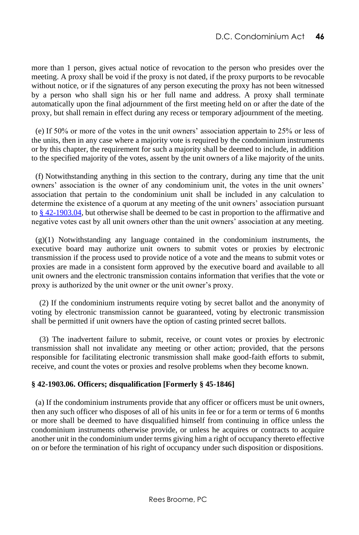more than 1 person, gives actual notice of revocation to the person who presides over the meeting. A proxy shall be void if the proxy is not dated, if the proxy purports to be revocable without notice, or if the signatures of any person executing the proxy has not been witnessed by a person who shall sign his or her full name and address. A proxy shall terminate automatically upon the final adjournment of the first meeting held on or after the date of the proxy, but shall remain in effect during any recess or temporary adjournment of the meeting.

 (e) If 50% or more of the votes in the unit owners' association appertain to 25% or less of the units, then in any case where a majority vote is required by the condominium instruments or by this chapter, the requirement for such a majority shall be deemed to include, in addition to the specified majority of the votes, assent by the unit owners of a like majority of the units.

 (f) Notwithstanding anything in this section to the contrary, during any time that the unit owners' association is the owner of any condominium unit, the votes in the unit owners' association that pertain to the condominium unit shall be included in any calculation to determine the existence of a quorum at any meeting of the unit owners' association pursuant t[o § 42-1903.04,](http://www.lexis.com/research/buttonTFLink?_m=933f8135f0cf0121711fa3ff30423c91&_xfercite=%3ccite%20cc%3d%22USA%22%3e%3c%21%5bCDATA%5bD.C.%20Code%20%a7%2042-1903.05%5d%5d%3e%3c%2fcite%3e&_butType=4&_butStat=0&_butNum=4&_butInline=1&_butinfo=DC%20CODE%2042-1903.04&_fmtstr=FULL&docnum=1&_startdoc=1&wchp=dGLzVlz-zSkAz&_md5=46940f2ed3906e9cd580b203510218a1) but otherwise shall be deemed to be cast in proportion to the affirmative and negative votes cast by all unit owners other than the unit owners' association at any meeting.

(g)(1) Notwithstanding any language contained in the condominium instruments, the executive board may authorize unit owners to submit votes or proxies by electronic transmission if the process used to provide notice of a vote and the means to submit votes or proxies are made in a consistent form approved by the executive board and available to all unit owners and the electronic transmission contains information that verifies that the vote or proxy is authorized by the unit owner or the unit owner's proxy.

(2) If the condominium instruments require voting by secret ballot and the anonymity of voting by electronic transmission cannot be guaranteed, voting by electronic transmission shall be permitted if unit owners have the option of casting printed secret ballots.

(3) The inadvertent failure to submit, receive, or count votes or proxies by electronic transmission shall not invalidate any meeting or other action; provided, that the persons responsible for facilitating electronic transmission shall make good-faith efforts to submit, receive, and count the votes or proxies and resolve problems when they become known.

### **§ 42-1903.06. Officers; disqualification [Formerly § 45-1846]**

 (a) If the condominium instruments provide that any officer or officers must be unit owners, then any such officer who disposes of all of his units in fee or for a term or terms of 6 months or more shall be deemed to have disqualified himself from continuing in office unless the condominium instruments otherwise provide, or unless he acquires or contracts to acquire another unit in the condominium under terms giving him a right of occupancy thereto effective on or before the termination of his right of occupancy under such disposition or dispositions.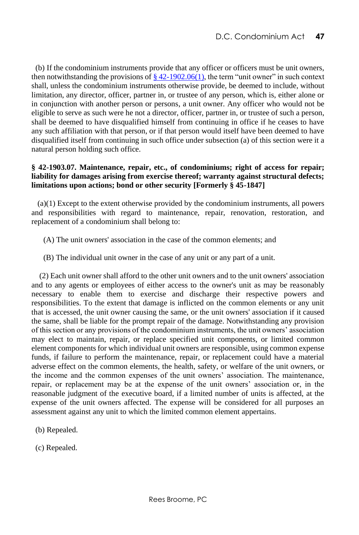(b) If the condominium instruments provide that any officer or officers must be unit owners, then notwithstanding the provisions of  $\S$  42-1902.06(1), the term "unit owner" in such context shall, unless the condominium instruments otherwise provide, be deemed to include, without limitation, any director, officer, partner in, or trustee of any person, which is, either alone or in conjunction with another person or persons, a unit owner. Any officer who would not be eligible to serve as such were he not a director, officer, partner in, or trustee of such a person, shall be deemed to have disqualified himself from continuing in office if he ceases to have any such affiliation with that person, or if that person would itself have been deemed to have disqualified itself from continuing in such office under subsection (a) of this section were it a natural person holding such office.

## **§ 42-1903.07. Maintenance, repair, etc., of condominiums; right of access for repair; liability for damages arising from exercise thereof; warranty against structural defects; limitations upon actions; bond or other security [Formerly § 45-1847]**

 (a)(1) Except to the extent otherwise provided by the condominium instruments, all powers and responsibilities with regard to maintenance, repair, renovation, restoration, and replacement of a condominium shall belong to:

- (A) The unit owners' association in the case of the common elements; and
- (B) The individual unit owner in the case of any unit or any part of a unit.

(2) Each unit owner shall afford to the other unit owners and to the unit owners' association and to any agents or employees of either access to the owner's unit as may be reasonably necessary to enable them to exercise and discharge their respective powers and responsibilities. To the extent that damage is inflicted on the common elements or any unit that is accessed, the unit owner causing the same, or the unit owners' association if it caused the same, shall be liable for the prompt repair of the damage. Notwithstanding any provision of this section or any provisions of the condominium instruments, the unit owners' association may elect to maintain, repair, or replace specified unit components, or limited common element components for which individual unit owners are responsible, using common expense funds, if failure to perform the maintenance, repair, or replacement could have a material adverse effect on the common elements, the health, safety, or welfare of the unit owners, or the income and the common expenses of the unit owners' association. The maintenance, repair, or replacement may be at the expense of the unit owners' association or, in the reasonable judgment of the executive board, if a limited number of units is affected, at the expense of the unit owners affected. The expense will be considered for all purposes an assessment against any unit to which the limited common element appertains.

- (b) Repealed.
- (c) Repealed.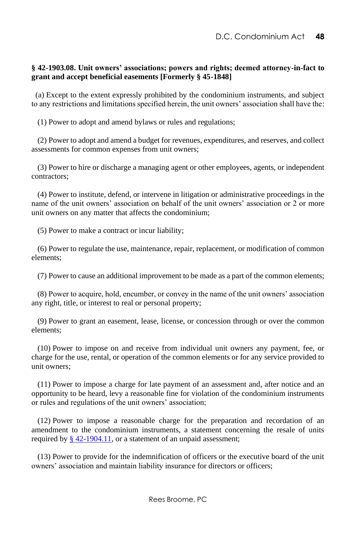## **§ 42-1903.08. Unit owners' associations; powers and rights; deemed attorney-in-fact to grant and accept beneficial easements [Formerly § 45-1848]**

 (a) Except to the extent expressly prohibited by the condominium instruments, and subject to any restrictions and limitations specified herein, the unit owners' association shall have the:

(1) Power to adopt and amend bylaws or rules and regulations;

 (2) Power to adopt and amend a budget for revenues, expenditures, and reserves, and collect assessments for common expenses from unit owners;

 (3) Power to hire or discharge a managing agent or other employees, agents, or independent contractors;

 (4) Power to institute, defend, or intervene in litigation or administrative proceedings in the name of the unit owners' association on behalf of the unit owners' association or 2 or more unit owners on any matter that affects the condominium;

(5) Power to make a contract or incur liability;

 (6) Power to regulate the use, maintenance, repair, replacement, or modification of common elements;

(7) Power to cause an additional improvement to be made as a part of the common elements;

 (8) Power to acquire, hold, encumber, or convey in the name of the unit owners' association any right, title, or interest to real or personal property;

 (9) Power to grant an easement, lease, license, or concession through or over the common elements;

 (10) Power to impose on and receive from individual unit owners any payment, fee, or charge for the use, rental, or operation of the common elements or for any service provided to unit owners;

 (11) Power to impose a charge for late payment of an assessment and, after notice and an opportunity to be heard, levy a reasonable fine for violation of the condominium instruments or rules and regulations of the unit owners' association;

 (12) Power to impose a reasonable charge for the preparation and recordation of an amendment to the condominium instruments, a statement concerning the resale of units required b[y § 42-1904.11,](http://www.lexis.com/research/buttonTFLink?_m=fa3eeb2d9de8044b74ac0448c0c12a7c&_xfercite=%3ccite%20cc%3d%22USA%22%3e%3c%21%5bCDATA%5bD.C.%20Code%20%a7%2042-1903.08%5d%5d%3e%3c%2fcite%3e&_butType=4&_butStat=0&_butNum=2&_butInline=1&_butinfo=DC%20CODE%2042-1904.11&_fmtstr=FULL&docnum=1&_startdoc=1&wchp=dGLzVlz-zSkAz&_md5=afbc5b6c5996a398f5fcfa1f3fb46113) or a statement of an unpaid assessment;

 (13) Power to provide for the indemnification of officers or the executive board of the unit owners' association and maintain liability insurance for directors or officers;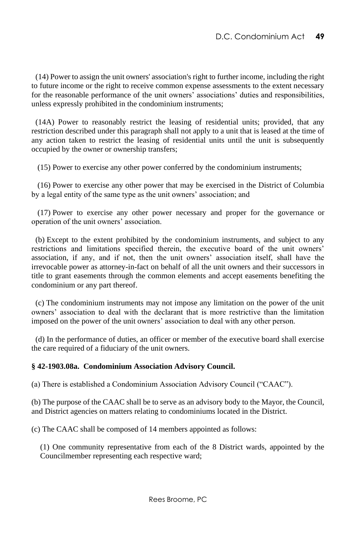(14) Power to assign the unit owners' association's right to further income, including the right to future income or the right to receive common expense assessments to the extent necessary for the reasonable performance of the unit owners' associations' duties and responsibilities, unless expressly prohibited in the condominium instruments;

(14A) Power to reasonably restrict the leasing of residential units; provided, that any restriction described under this paragraph shall not apply to a unit that is leased at the time of any action taken to restrict the leasing of residential units until the unit is subsequently occupied by the owner or ownership transfers;

(15) Power to exercise any other power conferred by the condominium instruments;

 (16) Power to exercise any other power that may be exercised in the District of Columbia by a legal entity of the same type as the unit owners' association; and

 (17) Power to exercise any other power necessary and proper for the governance or operation of the unit owners' association.

 (b) Except to the extent prohibited by the condominium instruments, and subject to any restrictions and limitations specified therein, the executive board of the unit owners' association, if any, and if not, then the unit owners' association itself, shall have the irrevocable power as attorney-in-fact on behalf of all the unit owners and their successors in title to grant easements through the common elements and accept easements benefiting the condominium or any part thereof.

 (c) The condominium instruments may not impose any limitation on the power of the unit owners' association to deal with the declarant that is more restrictive than the limitation imposed on the power of the unit owners' association to deal with any other person.

 (d) In the performance of duties, an officer or member of the executive board shall exercise the care required of a fiduciary of the unit owners.

#### **§ 42-1903.08a. Condominium Association Advisory Council.**

(a) There is established a Condominium Association Advisory Council ("CAAC").

(b) The purpose of the CAAC shall be to serve as an advisory body to the Mayor, the Council, and District agencies on matters relating to condominiums located in the District.

(c) The CAAC shall be composed of 14 members appointed as follows:

(1) One community representative from each of the 8 District wards, appointed by the Councilmember representing each respective ward;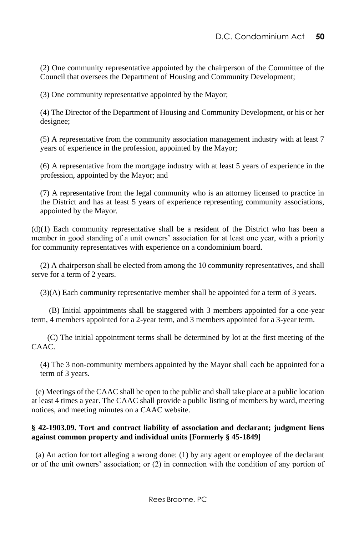(2) One community representative appointed by the chairperson of the Committee of the Council that oversees the Department of Housing and Community Development;

(3) One community representative appointed by the Mayor;

(4) The Director of the Department of Housing and Community Development, or his or her designee;

(5) A representative from the community association management industry with at least 7 years of experience in the profession, appointed by the Mayor;

(6) A representative from the mortgage industry with at least 5 years of experience in the profession, appointed by the Mayor; and

(7) A representative from the legal community who is an attorney licensed to practice in the District and has at least 5 years of experience representing community associations, appointed by the Mayor.

(d)(1) Each community representative shall be a resident of the District who has been a member in good standing of a unit owners' association for at least one year, with a priority for community representatives with experience on a condominium board.

(2) A chairperson shall be elected from among the 10 community representatives, and shall serve for a term of 2 years.

(3)(A) Each community representative member shall be appointed for a term of 3 years.

(B) Initial appointments shall be staggered with 3 members appointed for a one-year term, 4 members appointed for a 2-year term, and 3 members appointed for a 3-year term.

 (C) The initial appointment terms shall be determined by lot at the first meeting of the CAAC.

(4) The 3 non-community members appointed by the Mayor shall each be appointed for a term of 3 years.

 (e) Meetings of the CAAC shall be open to the public and shall take place at a public location at least 4 times a year. The CAAC shall provide a public listing of members by ward, meeting notices, and meeting minutes on a CAAC website.

## **§ 42-1903.09. Tort and contract liability of association and declarant; judgment liens against common property and individual units [Formerly § 45-1849]**

 (a) An action for tort alleging a wrong done: (1) by any agent or employee of the declarant or of the unit owners' association; or (2) in connection with the condition of any portion of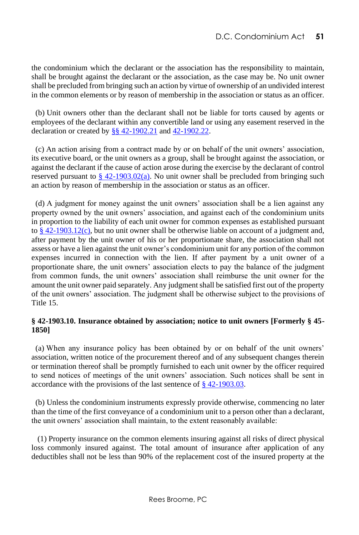the condominium which the declarant or the association has the responsibility to maintain, shall be brought against the declarant or the association, as the case may be. No unit owner shall be precluded from bringing such an action by virtue of ownership of an undivided interest in the common elements or by reason of membership in the association or status as an officer.

 (b) Unit owners other than the declarant shall not be liable for torts caused by agents or employees of the declarant within any convertible land or using any easement reserved in the declaration or created b[y §§ 42-1902.21](http://www.lexis.com/research/buttonTFLink?_m=c2e09749f7f0131be67e4bfe8a07a546&_xfercite=%3ccite%20cc%3d%22USA%22%3e%3c%21%5bCDATA%5bD.C.%20Code%20%a7%2042-1903.09%5d%5d%3e%3c%2fcite%3e&_butType=4&_butStat=0&_butNum=2&_butInline=1&_butinfo=DC%20CODE%2042-1902.21&_fmtstr=FULL&docnum=1&_startdoc=1&wchp=dGLzVlz-zSkAz&_md5=ae5ff9e23b04ef9d2d90d633cb789b49) an[d 42-1902.22.](http://www.lexis.com/research/buttonTFLink?_m=c2e09749f7f0131be67e4bfe8a07a546&_xfercite=%3ccite%20cc%3d%22USA%22%3e%3c%21%5bCDATA%5bD.C.%20Code%20%a7%2042-1903.09%5d%5d%3e%3c%2fcite%3e&_butType=4&_butStat=0&_butNum=3&_butInline=1&_butinfo=DC%20CODE%2042-1902.22&_fmtstr=FULL&docnum=1&_startdoc=1&wchp=dGLzVlz-zSkAz&_md5=fc58b5bb4817491065719a522be8bb92)

 (c) An action arising from a contract made by or on behalf of the unit owners' association, its executive board, or the unit owners as a group, shall be brought against the association, or against the declarant if the cause of action arose during the exercise by the declarant of control reserved pursuant to  $\S$  42-1903.02(a). No unit owner shall be precluded from bringing such an action by reason of membership in the association or status as an officer.

 (d) A judgment for money against the unit owners' association shall be a lien against any property owned by the unit owners' association, and against each of the condominium units in proportion to the liability of each unit owner for common expenses as established pursuant to  $§$  42-1903.12(c), but no unit owner shall be otherwise liable on account of a judgment and, after payment by the unit owner of his or her proportionate share, the association shall not assess or have a lien against the unit owner's condominium unit for any portion of the common expenses incurred in connection with the lien. If after payment by a unit owner of a proportionate share, the unit owners' association elects to pay the balance of the judgment from common funds, the unit owners' association shall reimburse the unit owner for the amount the unit owner paid separately. Any judgment shall be satisfied first out of the property of the unit owners' association. The judgment shall be otherwise subject to the provisions of Title 15.

#### **§ 42-1903.10. Insurance obtained by association; notice to unit owners [Formerly § 45- 1850]**

 (a) When any insurance policy has been obtained by or on behalf of the unit owners' association, written notice of the procurement thereof and of any subsequent changes therein or termination thereof shall be promptly furnished to each unit owner by the officer required to send notices of meetings of the unit owners' association. Such notices shall be sent in accordance with the provisions of the last sentence o[f § 42-1903.03.](http://www.lexis.com/research/buttonTFLink?_m=3675962a0b86d211567ce5a367b49373&_xfercite=%3ccite%20cc%3d%22USA%22%3e%3c%21%5bCDATA%5bD.C.%20Code%20%a7%2042-1903.10%5d%5d%3e%3c%2fcite%3e&_butType=4&_butStat=0&_butNum=2&_butInline=1&_butinfo=DC%20CODE%2042-1903.03&_fmtstr=FULL&docnum=1&_startdoc=1&wchp=dGLzVlz-zSkAz&_md5=a63826cee1c760fd9a4773809a2c8643)

 (b) Unless the condominium instruments expressly provide otherwise, commencing no later than the time of the first conveyance of a condominium unit to a person other than a declarant, the unit owners' association shall maintain, to the extent reasonably available:

 (1) Property insurance on the common elements insuring against all risks of direct physical loss commonly insured against. The total amount of insurance after application of any deductibles shall not be less than 90% of the replacement cost of the insured property at the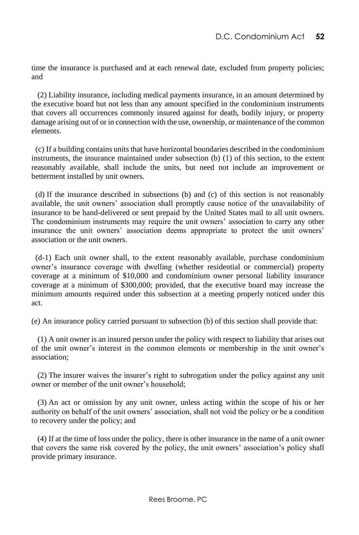time the insurance is purchased and at each renewal date, excluded from property policies; and

 (2) Liability insurance, including medical payments insurance, in an amount determined by the executive board but not less than any amount specified in the condominium instruments that covers all occurrences commonly insured against for death, bodily injury, or property damage arising out of or in connection with the use, ownership, or maintenance of the common elements.

 (c) If a building contains units that have horizontal boundaries described in the condominium instruments, the insurance maintained under subsection (b) (1) of this section, to the extent reasonably available, shall include the units, but need not include an improvement or betterment installed by unit owners.

 (d) If the insurance described in subsections (b) and (c) of this section is not reasonably available, the unit owners' association shall promptly cause notice of the unavailability of insurance to be hand-delivered or sent prepaid by the United States mail to all unit owners. The condominium instruments may require the unit owners' association to carry any other insurance the unit owners' association deems appropriate to protect the unit owners' association or the unit owners.

(d-1) Each unit owner shall, to the extent reasonably available, purchase condominium owner's insurance coverage with dwelling (whether residential or commercial) property coverage at a minimum of \$10,000 and condominium owner personal liability insurance coverage at a minimum of \$300,000; provided, that the executive board may increase the minimum amounts required under this subsection at a meeting properly noticed under this act.

(e) An insurance policy carried pursuant to subsection (b) of this section shall provide that:

 (1) A unit owner is an insured person under the policy with respect to liability that arises out of the unit owner's interest in the common elements or membership in the unit owner's association;

 (2) The insurer waives the insurer's right to subrogation under the policy against any unit owner or member of the unit owner's household;

 (3) An act or omission by any unit owner, unless acting within the scope of his or her authority on behalf of the unit owners' association, shall not void the policy or be a condition to recovery under the policy; and

 (4) If at the time of loss under the policy, there is other insurance in the name of a unit owner that covers the same risk covered by the policy, the unit owners' association's policy shall provide primary insurance.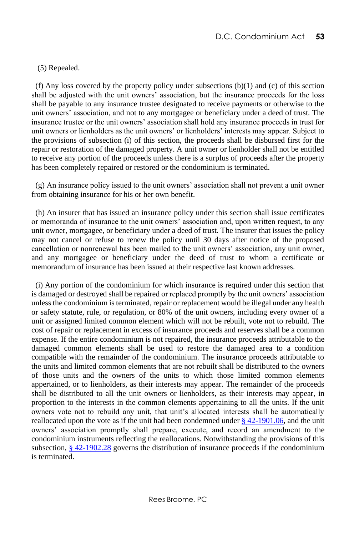(5) Repealed.

(f) Any loss covered by the property policy under subsections  $(b)(1)$  and  $(c)$  of this section shall be adjusted with the unit owners' association, but the insurance proceeds for the loss shall be payable to any insurance trustee designated to receive payments or otherwise to the unit owners' association, and not to any mortgagee or beneficiary under a deed of trust. The insurance trustee or the unit owners' association shall hold any insurance proceeds in trust for unit owners or lienholders as the unit owners' or lienholders' interests may appear. Subject to the provisions of subsection (i) of this section, the proceeds shall be disbursed first for the repair or restoration of the damaged property. A unit owner or lienholder shall not be entitled to receive any portion of the proceeds unless there is a surplus of proceeds after the property has been completely repaired or restored or the condominium is terminated.

 (g) An insurance policy issued to the unit owners' association shall not prevent a unit owner from obtaining insurance for his or her own benefit.

 (h) An insurer that has issued an insurance policy under this section shall issue certificates or memoranda of insurance to the unit owners' association and, upon written request, to any unit owner, mortgagee, or beneficiary under a deed of trust. The insurer that issues the policy may not cancel or refuse to renew the policy until 30 days after notice of the proposed cancellation or nonrenewal has been mailed to the unit owners' association, any unit owner, and any mortgagee or beneficiary under the deed of trust to whom a certificate or memorandum of insurance has been issued at their respective last known addresses.

 (i) Any portion of the condominium for which insurance is required under this section that is damaged or destroyed shall be repaired or replaced promptly by the unit owners' association unless the condominium is terminated, repair or replacement would be illegal under any health or safety statute, rule, or regulation, or 80% of the unit owners, including every owner of a unit or assigned limited common element which will not be rebuilt, vote not to rebuild. The cost of repair or replacement in excess of insurance proceeds and reserves shall be a common expense. If the entire condominium is not repaired, the insurance proceeds attributable to the damaged common elements shall be used to restore the damaged area to a condition compatible with the remainder of the condominium. The insurance proceeds attributable to the units and limited common elements that are not rebuilt shall be distributed to the owners of those units and the owners of the units to which those limited common elements appertained, or to lienholders, as their interests may appear. The remainder of the proceeds shall be distributed to all the unit owners or lienholders, as their interests may appear, in proportion to the interests in the common elements appertaining to all the units. If the unit owners vote not to rebuild any unit, that unit's allocated interests shall be automatically reallocated upon the vote as if the unit had been condemned under  $\S$  42-1901.06, and the unit owners' association promptly shall prepare, execute, and record an amendment to the condominium instruments reflecting the reallocations. Notwithstanding the provisions of this subsection[, § 42-1902.28](http://www.lexis.com/research/buttonTFLink?_m=3675962a0b86d211567ce5a367b49373&_xfercite=%3ccite%20cc%3d%22USA%22%3e%3c%21%5bCDATA%5bD.C.%20Code%20%a7%2042-1903.10%5d%5d%3e%3c%2fcite%3e&_butType=4&_butStat=0&_butNum=4&_butInline=1&_butinfo=DC%20CODE%2042-1902.28&_fmtstr=FULL&docnum=1&_startdoc=1&wchp=dGLzVlz-zSkAz&_md5=78de91acdf3911833819d7fe7326f391) governs the distribution of insurance proceeds if the condominium is terminated.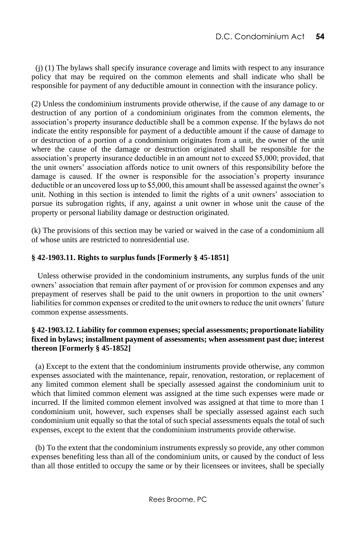(j) (1) The bylaws shall specify insurance coverage and limits with respect to any insurance policy that may be required on the common elements and shall indicate who shall be responsible for payment of any deductible amount in connection with the insurance policy.

(2) Unless the condominium instruments provide otherwise, if the cause of any damage to or destruction of any portion of a condominium originates from the common elements, the association's property insurance deductible shall be a common expense. If the bylaws do not indicate the entity responsible for payment of a deductible amount if the cause of damage to or destruction of a portion of a condominium originates from a unit, the owner of the unit where the cause of the damage or destruction originated shall be responsible for the association's property insurance deductible in an amount not to exceed \$5,000; provided, that the unit owners' association affords notice to unit owners of this responsibility before the damage is caused. If the owner is responsible for the association's property insurance deductible or an uncovered loss up to \$5,000, this amount shall be assessed against the owner's unit. Nothing in this section is intended to limit the rights of a unit owners' association to pursue its subrogation rights, if any, against a unit owner in whose unit the cause of the property or personal liability damage or destruction originated.

(k) The provisions of this section may be varied or waived in the case of a condominium all of whose units are restricted to nonresidential use.

# **§ 42-1903.11. Rights to surplus funds [Formerly § 45-1851]**

 Unless otherwise provided in the condominium instruments, any surplus funds of the unit owners' association that remain after payment of or provision for common expenses and any prepayment of reserves shall be paid to the unit owners in proportion to the unit owners' liabilities for common expenses or credited to the unit owners to reduce the unit owners' future common expense assessments.

## **§ 42-1903.12. Liability for common expenses; special assessments; proportionate liability fixed in bylaws; installment payment of assessments; when assessment past due; interest thereon [Formerly § 45-1852]**

 (a) Except to the extent that the condominium instruments provide otherwise, any common expenses associated with the maintenance, repair, renovation, restoration, or replacement of any limited common element shall be specially assessed against the condominium unit to which that limited common element was assigned at the time such expenses were made or incurred. If the limited common element involved was assigned at that time to more than 1 condominium unit, however, such expenses shall be specially assessed against each such condominium unit equally so that the total of such special assessments equals the total of such expenses, except to the extent that the condominium instruments provide otherwise.

 (b) To the extent that the condominium instruments expressly so provide, any other common expenses benefiting less than all of the condominium units, or caused by the conduct of less than all those entitled to occupy the same or by their licensees or invitees, shall be specially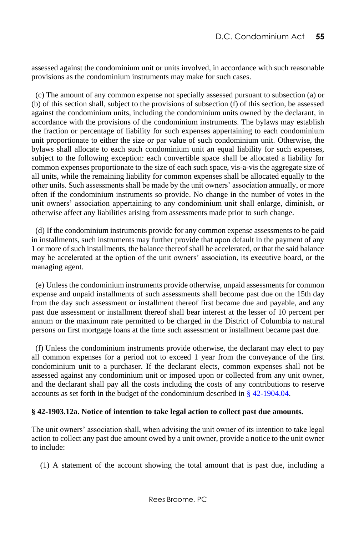assessed against the condominium unit or units involved, in accordance with such reasonable provisions as the condominium instruments may make for such cases.

 (c) The amount of any common expense not specially assessed pursuant to subsection (a) or (b) of this section shall, subject to the provisions of subsection (f) of this section, be assessed against the condominium units, including the condominium units owned by the declarant, in accordance with the provisions of the condominium instruments. The bylaws may establish the fraction or percentage of liability for such expenses appertaining to each condominium unit proportionate to either the size or par value of such condominium unit. Otherwise, the bylaws shall allocate to each such condominium unit an equal liability for such expenses, subject to the following exception: each convertible space shall be allocated a liability for common expenses proportionate to the size of each such space, vis-a-vis the aggregate size of all units, while the remaining liability for common expenses shall be allocated equally to the other units. Such assessments shall be made by the unit owners' association annually, or more often if the condominium instruments so provide. No change in the number of votes in the unit owners' association appertaining to any condominium unit shall enlarge, diminish, or otherwise affect any liabilities arising from assessments made prior to such change.

 (d) If the condominium instruments provide for any common expense assessments to be paid in installments, such instruments may further provide that upon default in the payment of any 1 or more of such installments, the balance thereof shall be accelerated, or that the said balance may be accelerated at the option of the unit owners' association, its executive board, or the managing agent.

 (e) Unless the condominium instruments provide otherwise, unpaid assessments for common expense and unpaid installments of such assessments shall become past due on the 15th day from the day such assessment or installment thereof first became due and payable, and any past due assessment or installment thereof shall bear interest at the lesser of 10 percent per annum or the maximum rate permitted to be charged in the District of Columbia to natural persons on first mortgage loans at the time such assessment or installment became past due.

 (f) Unless the condominium instruments provide otherwise, the declarant may elect to pay all common expenses for a period not to exceed 1 year from the conveyance of the first condominium unit to a purchaser. If the declarant elects, common expenses shall not be assessed against any condominium unit or imposed upon or collected from any unit owner, and the declarant shall pay all the costs including the costs of any contributions to reserve accounts as set forth in the budget of the condominium described in [§ 42-1904.04.](http://www.lexis.com/research/buttonTFLink?_m=de68d89a7dc998eafeb392746a307fe5&_xfercite=%3ccite%20cc%3d%22USA%22%3e%3c%21%5bCDATA%5bD.C.%20Code%20%a7%2042-1903.12%5d%5d%3e%3c%2fcite%3e&_butType=4&_butStat=0&_butNum=2&_butInline=1&_butinfo=DC%20CODE%2042-1904.04&_fmtstr=FULL&docnum=1&_startdoc=1&wchp=dGLzVlz-zSkAz&_md5=09cf9a6027c9143c55c14fd961972063)

#### **§ 42-1903.12a. Notice of intention to take legal action to collect past due amounts.**

The unit owners' association shall, when advising the unit owner of its intention to take legal action to collect any past due amount owed by a unit owner, provide a notice to the unit owner to include:

(1) A statement of the account showing the total amount that is past due, including a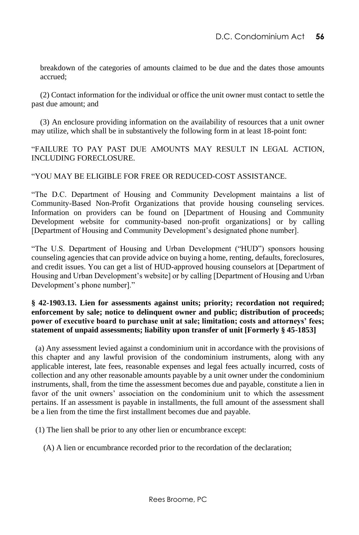breakdown of the categories of amounts claimed to be due and the dates those amounts accrued;

(2) Contact information for the individual or office the unit owner must contact to settle the past due amount; and

(3) An enclosure providing information on the availability of resources that a unit owner may utilize, which shall be in substantively the following form in at least 18-point font:

"FAILURE TO PAY PAST DUE AMOUNTS MAY RESULT IN LEGAL ACTION, INCLUDING FORECLOSURE.

"YOU MAY BE ELIGIBLE FOR FREE OR REDUCED-COST ASSISTANCE.

"The D.C. Department of Housing and Community Development maintains a list of Community-Based Non-Profit Organizations that provide housing counseling services. Information on providers can be found on [Department of Housing and Community Development website for community-based non-profit organizations] or by calling [Department of Housing and Community Development's designated phone number].

"The U.S. Department of Housing and Urban Development ("HUD") sponsors housing counseling agencies that can provide advice on buying a home, renting, defaults, foreclosures, and credit issues. You can get a list of HUD-approved housing counselors at [Department of Housing and Urban Development's website] or by calling [Department of Housing and Urban Development's phone number]."

### **§ 42-1903.13. Lien for assessments against units; priority; recordation not required; enforcement by sale; notice to delinquent owner and public; distribution of proceeds; power of executive board to purchase unit at sale; limitation; costs and attorneys' fees; statement of unpaid assessments; liability upon transfer of unit [Formerly § 45-1853]**

 (a) Any assessment levied against a condominium unit in accordance with the provisions of this chapter and any lawful provision of the condominium instruments, along with any applicable interest, late fees, reasonable expenses and legal fees actually incurred, costs of collection and any other reasonable amounts payable by a unit owner under the condominium instruments, shall, from the time the assessment becomes due and payable, constitute a lien in favor of the unit owners' association on the condominium unit to which the assessment pertains. If an assessment is payable in installments, the full amount of the assessment shall be a lien from the time the first installment becomes due and payable.

(1) The lien shall be prior to any other lien or encumbrance except:

(A) A lien or encumbrance recorded prior to the recordation of the declaration;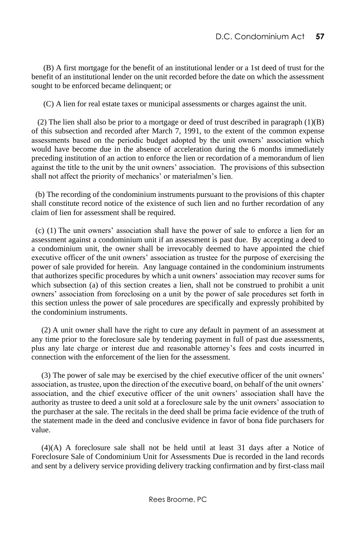(B) A first mortgage for the benefit of an institutional lender or a 1st deed of trust for the benefit of an institutional lender on the unit recorded before the date on which the assessment sought to be enforced became delinquent; or

(C) A lien for real estate taxes or municipal assessments or charges against the unit.

 (2) The lien shall also be prior to a mortgage or deed of trust described in paragraph (1)(B) of this subsection and recorded after March 7, 1991, to the extent of the common expense assessments based on the periodic budget adopted by the unit owners' association which would have become due in the absence of acceleration during the 6 months immediately preceding institution of an action to enforce the lien or recordation of a memorandum of lien against the title to the unit by the unit owners' association. The provisions of this subsection shall not affect the priority of mechanics' or materialmen's lien.

 (b) The recording of the condominium instruments pursuant to the provisions of this chapter shall constitute record notice of the existence of such lien and no further recordation of any claim of lien for assessment shall be required.

 (c) (1) The unit owners' association shall have the power of sale to enforce a lien for an assessment against a condominium unit if an assessment is past due. By accepting a deed to a condominium unit, the owner shall be irrevocably deemed to have appointed the chief executive officer of the unit owners' association as trustee for the purpose of exercising the power of sale provided for herein. Any language contained in the condominium instruments that authorizes specific procedures by which a unit owners' association may recover sums for which subsection (a) of this section creates a lien, shall not be construed to prohibit a unit owners' association from foreclosing on a unit by the power of sale procedures set forth in this section unless the power of sale procedures are specifically and expressly prohibited by the condominium instruments.

 (2) A unit owner shall have the right to cure any default in payment of an assessment at any time prior to the foreclosure sale by tendering payment in full of past due assessments, plus any late charge or interest due and reasonable attorney's fees and costs incurred in connection with the enforcement of the lien for the assessment.

 (3) The power of sale may be exercised by the chief executive officer of the unit owners' association, as trustee, upon the direction of the executive board, on behalf of the unit owners' association, and the chief executive officer of the unit owners' association shall have the authority as trustee to deed a unit sold at a foreclosure sale by the unit owners' association to the purchaser at the sale. The recitals in the deed shall be prima facie evidence of the truth of the statement made in the deed and conclusive evidence in favor of bona fide purchasers for value.

 (4)(A) A foreclosure sale shall not be held until at least 31 days after a Notice of Foreclosure Sale of Condominium Unit for Assessments Due is recorded in the land records and sent by a delivery service providing delivery tracking confirmation and by first-class mail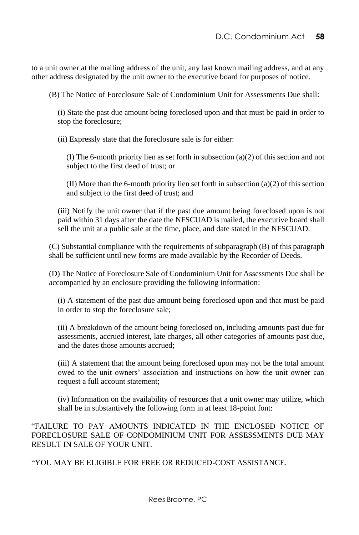to a unit owner at the mailing address of the unit, any last known mailing address, and at any other address designated by the unit owner to the executive board for purposes of notice.

(B) The Notice of Foreclosure Sale of Condominium Unit for Assessments Due shall:

(i) State the past due amount being foreclosed upon and that must be paid in order to stop the foreclosure;

(ii) Expressly state that the foreclosure sale is for either:

(I) The 6-month priority lien as set forth in subsection (a)(2) of this section and not subject to the first deed of trust; or

(II) More than the 6-month priority lien set forth in subsection (a)(2) of this section and subject to the first deed of trust; and

(iii) Notify the unit owner that if the past due amount being foreclosed upon is not paid within 31 days after the date the NFSCUAD is mailed, the executive board shall sell the unit at a public sale at the time, place, and date stated in the NFSCUAD.

(C) Substantial compliance with the requirements of subparagraph (B) of this paragraph shall be sufficient until new forms are made available by the Recorder of Deeds.

(D) The Notice of Foreclosure Sale of Condominium Unit for Assessments Due shall be accompanied by an enclosure providing the following information:

(i) A statement of the past due amount being foreclosed upon and that must be paid in order to stop the foreclosure sale;

(ii) A breakdown of the amount being foreclosed on, including amounts past due for assessments, accrued interest, late charges, all other categories of amounts past due, and the dates those amounts accrued;

(iii) A statement that the amount being foreclosed upon may not be the total amount owed to the unit owners' association and instructions on how the unit owner can request a full account statement;

(iv) Information on the availability of resources that a unit owner may utilize, which shall be in substantively the following form in at least 18-point font:

"FAILURE TO PAY AMOUNTS INDICATED IN THE ENCLOSED NOTICE OF FORECLOSURE SALE OF CONDOMINIUM UNIT FOR ASSESSMENTS DUE MAY RESULT IN SALE OF YOUR UNIT.

"YOU MAY BE ELIGIBLE FOR FREE OR REDUCED-COST ASSISTANCE.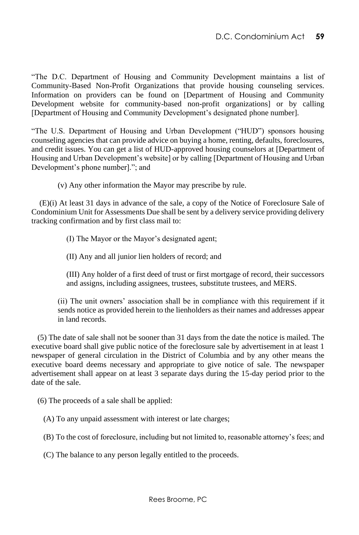"The D.C. Department of Housing and Community Development maintains a list of Community-Based Non-Profit Organizations that provide housing counseling services. Information on providers can be found on [Department of Housing and Community Development website for community-based non-profit organizations] or by calling [Department of Housing and Community Development's designated phone number].

"The U.S. Department of Housing and Urban Development ("HUD") sponsors housing counseling agencies that can provide advice on buying a home, renting, defaults, foreclosures, and credit issues. You can get a list of HUD-approved housing counselors at [Department of Housing and Urban Development's website] or by calling [Department of Housing and Urban Development's phone number]."; and

(v) Any other information the Mayor may prescribe by rule.

 (E)(i) At least 31 days in advance of the sale, a copy of the Notice of Foreclosure Sale of Condominium Unit for Assessments Due shall be sent by a delivery service providing delivery tracking confirmation and by first class mail to:

(I) The Mayor or the Mayor's designated agent;

(II) Any and all junior lien holders of record; and

(III) Any holder of a first deed of trust or first mortgage of record, their successors and assigns, including assignees, trustees, substitute trustees, and MERS.

(ii) The unit owners' association shall be in compliance with this requirement if it sends notice as provided herein to the lienholders as their names and addresses appear in land records.

 (5) The date of sale shall not be sooner than 31 days from the date the notice is mailed. The executive board shall give public notice of the foreclosure sale by advertisement in at least 1 newspaper of general circulation in the District of Columbia and by any other means the executive board deems necessary and appropriate to give notice of sale. The newspaper advertisement shall appear on at least 3 separate days during the 15-day period prior to the date of the sale.

(6) The proceeds of a sale shall be applied:

(A) To any unpaid assessment with interest or late charges;

(B) To the cost of foreclosure, including but not limited to, reasonable attorney's fees; and

(C) The balance to any person legally entitled to the proceeds.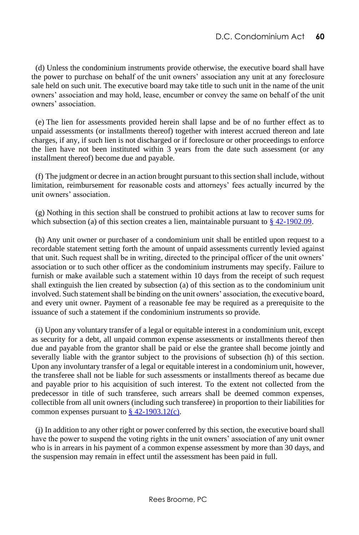(d) Unless the condominium instruments provide otherwise, the executive board shall have the power to purchase on behalf of the unit owners' association any unit at any foreclosure sale held on such unit. The executive board may take title to such unit in the name of the unit owners' association and may hold, lease, encumber or convey the same on behalf of the unit owners' association.

 (e) The lien for assessments provided herein shall lapse and be of no further effect as to unpaid assessments (or installments thereof) together with interest accrued thereon and late charges, if any, if such lien is not discharged or if foreclosure or other proceedings to enforce the lien have not been instituted within 3 years from the date such assessment (or any installment thereof) become due and payable.

 (f) The judgment or decree in an action brought pursuant to this section shall include, without limitation, reimbursement for reasonable costs and attorneys' fees actually incurred by the unit owners' association.

 (g) Nothing in this section shall be construed to prohibit actions at law to recover sums for which subsection (a) of this section creates a lien, maintainable pursuant to [§ 42-1902.09.](http://www.lexis.com/research/buttonTFLink?_m=e1be714ba210605c792558b20803e1c4&_xfercite=%3ccite%20cc%3d%22USA%22%3e%3c%21%5bCDATA%5bD.C.%20Code%20%a7%2042-1903.13%5d%5d%3e%3c%2fcite%3e&_butType=4&_butStat=0&_butNum=2&_butInline=1&_butinfo=DC%20CODE%2042-1902.09&_fmtstr=FULL&docnum=1&_startdoc=1&wchp=dGLzVlz-zSkAz&_md5=58f122b9887f2df801b6776c84c5624a)

 (h) Any unit owner or purchaser of a condominium unit shall be entitled upon request to a recordable statement setting forth the amount of unpaid assessments currently levied against that unit. Such request shall be in writing, directed to the principal officer of the unit owners' association or to such other officer as the condominium instruments may specify. Failure to furnish or make available such a statement within 10 days from the receipt of such request shall extinguish the lien created by subsection (a) of this section as to the condominium unit involved. Such statement shall be binding on the unit owners' association, the executive board, and every unit owner. Payment of a reasonable fee may be required as a prerequisite to the issuance of such a statement if the condominium instruments so provide.

 (i) Upon any voluntary transfer of a legal or equitable interest in a condominium unit, except as security for a debt, all unpaid common expense assessments or installments thereof then due and payable from the grantor shall be paid or else the grantee shall become jointly and severally liable with the grantor subject to the provisions of subsection (h) of this section. Upon any involuntary transfer of a legal or equitable interest in a condominium unit, however, the transferee shall not be liable for such assessments or installments thereof as became due and payable prior to his acquisition of such interest. To the extent not collected from the predecessor in title of such transferee, such arrears shall be deemed common expenses, collectible from all unit owners (including such transferee) in proportion to their liabilities for common expenses pursuant to  $\frac{8}{9}$  42-1903.12(c).

 (j) In addition to any other right or power conferred by this section, the executive board shall have the power to suspend the voting rights in the unit owners' association of any unit owner who is in arrears in his payment of a common expense assessment by more than 30 days, and the suspension may remain in effect until the assessment has been paid in full.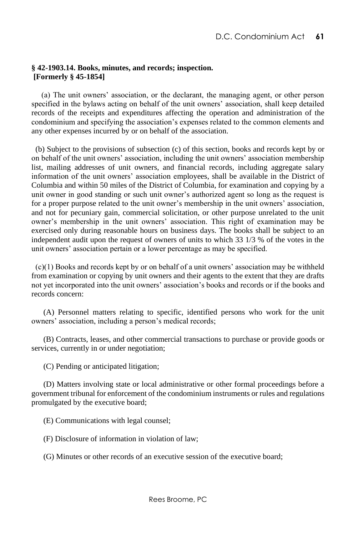### **§ 42-1903.14. Books, minutes, and records; inspection. [Formerly § 45-1854]**

 (a) The unit owners' association, or the declarant, the managing agent, or other person specified in the bylaws acting on behalf of the unit owners' association, shall keep detailed records of the receipts and expenditures affecting the operation and administration of the condominium and specifying the association's expenses related to the common elements and any other expenses incurred by or on behalf of the association.

(b) Subject to the provisions of subsection (c) of this section, books and records kept by or on behalf of the unit owners' association, including the unit owners' association membership list, mailing addresses of unit owners, and financial records, including aggregate salary information of the unit owners' association employees, shall be available in the District of Columbia and within 50 miles of the District of Columbia, for examination and copying by a unit owner in good standing or such unit owner's authorized agent so long as the request is for a proper purpose related to the unit owner's membership in the unit owners' association, and not for pecuniary gain, commercial solicitation, or other purpose unrelated to the unit owner's membership in the unit owners' association. This right of examination may be exercised only during reasonable hours on business days. The books shall be subject to an independent audit upon the request of owners of units to which 33 1/3 % of the votes in the unit owners' association pertain or a lower percentage as may be specified.

(c)(1) Books and records kept by or on behalf of a unit owners' association may be withheld from examination or copying by unit owners and their agents to the extent that they are drafts not yet incorporated into the unit owners' association's books and records or if the books and records concern:

(A) Personnel matters relating to specific, identified persons who work for the unit owners' association, including a person's medical records;

(B) Contracts, leases, and other commercial transactions to purchase or provide goods or services, currently in or under negotiation;

(C) Pending or anticipated litigation;

(D) Matters involving state or local administrative or other formal proceedings before a government tribunal for enforcement of the condominium instruments or rules and regulations promulgated by the executive board;

(E) Communications with legal counsel;

(F) Disclosure of information in violation of law;

(G) Minutes or other records of an executive session of the executive board;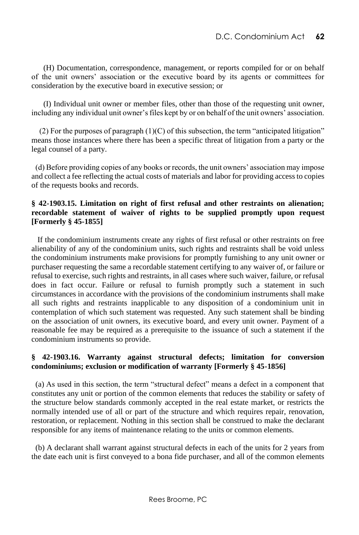(H) Documentation, correspondence, management, or reports compiled for or on behalf of the unit owners' association or the executive board by its agents or committees for consideration by the executive board in executive session; or

(I) Individual unit owner or member files, other than those of the requesting unit owner, including any individual unit owner's files kept by or on behalf of the unit owners' association.

(2) For the purposes of paragraph  $(1)(C)$  of this subsection, the term "anticipated litigation" means those instances where there has been a specific threat of litigation from a party or the legal counsel of a party.

(d) Before providing copies of any books or records, the unit owners' association may impose and collect a fee reflecting the actual costs of materials and labor for providing access to copies of the requests books and records.

## **§ 42-1903.15. Limitation on right of first refusal and other restraints on alienation; recordable statement of waiver of rights to be supplied promptly upon request [Formerly § 45-1855]**

 If the condominium instruments create any rights of first refusal or other restraints on free alienability of any of the condominium units, such rights and restraints shall be void unless the condominium instruments make provisions for promptly furnishing to any unit owner or purchaser requesting the same a recordable statement certifying to any waiver of, or failure or refusal to exercise, such rights and restraints, in all cases where such waiver, failure, or refusal does in fact occur. Failure or refusal to furnish promptly such a statement in such circumstances in accordance with the provisions of the condominium instruments shall make all such rights and restraints inapplicable to any disposition of a condominium unit in contemplation of which such statement was requested. Any such statement shall be binding on the association of unit owners, its executive board, and every unit owner. Payment of a reasonable fee may be required as a prerequisite to the issuance of such a statement if the condominium instruments so provide.

# **§ 42-1903.16. Warranty against structural defects; limitation for conversion condominiums; exclusion or modification of warranty [Formerly § 45-1856]**

 (a) As used in this section, the term "structural defect" means a defect in a component that constitutes any unit or portion of the common elements that reduces the stability or safety of the structure below standards commonly accepted in the real estate market, or restricts the normally intended use of all or part of the structure and which requires repair, renovation, restoration, or replacement. Nothing in this section shall be construed to make the declarant responsible for any items of maintenance relating to the units or common elements.

 (b) A declarant shall warrant against structural defects in each of the units for 2 years from the date each unit is first conveyed to a bona fide purchaser, and all of the common elements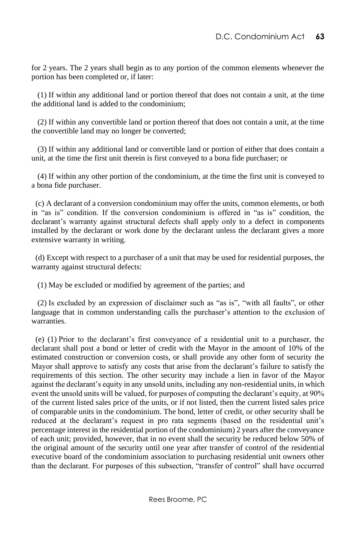for 2 years. The 2 years shall begin as to any portion of the common elements whenever the portion has been completed or, if later:

 (1) If within any additional land or portion thereof that does not contain a unit, at the time the additional land is added to the condominium;

 (2) If within any convertible land or portion thereof that does not contain a unit, at the time the convertible land may no longer be converted;

 (3) If within any additional land or convertible land or portion of either that does contain a unit, at the time the first unit therein is first conveyed to a bona fide purchaser; or

 (4) If within any other portion of the condominium, at the time the first unit is conveyed to a bona fide purchaser.

 (c) A declarant of a conversion condominium may offer the units, common elements, or both in "as is" condition. If the conversion condominium is offered in "as is" condition, the declarant's warranty against structural defects shall apply only to a defect in components installed by the declarant or work done by the declarant unless the declarant gives a more extensive warranty in writing.

 (d) Except with respect to a purchaser of a unit that may be used for residential purposes, the warranty against structural defects:

(1) May be excluded or modified by agreement of the parties; and

 (2) Is excluded by an expression of disclaimer such as "as is", "with all faults", or other language that in common understanding calls the purchaser's attention to the exclusion of warranties.

 (e) (1) Prior to the declarant's first conveyance of a residential unit to a purchaser, the declarant shall post a bond or letter of credit with the Mayor in the amount of 10% of the estimated construction or conversion costs, or shall provide any other form of security the Mayor shall approve to satisfy any costs that arise from the declarant's failure to satisfy the requirements of this section. The other security may include a lien in favor of the Mayor against the declarant's equity in any unsold units, including any non-residential units, in which event the unsold units will be valued, for purposes of computing the declarant's equity, at 90% of the current listed sales price of the units, or if not listed, then the current listed sales price of comparable units in the condominium. The bond, letter of credit, or other security shall be reduced at the declarant's request in pro rata segments (based on the residential unit's percentage interest in the residential portion of the condominium) 2 years after the conveyance of each unit; provided, however, that in no event shall the security be reduced below 50% of the original amount of the security until one year after transfer of control of the residential executive board of the condominium association to purchasing residential unit owners other than the declarant. For purposes of this subsection, "transfer of control" shall have occurred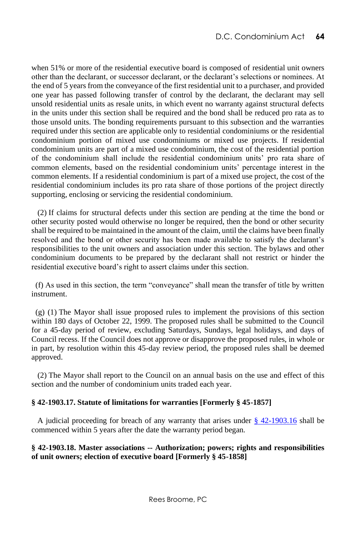when 51% or more of the residential executive board is composed of residential unit owners other than the declarant, or successor declarant, or the declarant's selections or nominees. At the end of 5 years from the conveyance of the first residential unit to a purchaser, and provided one year has passed following transfer of control by the declarant, the declarant may sell unsold residential units as resale units, in which event no warranty against structural defects in the units under this section shall be required and the bond shall be reduced pro rata as to those unsold units. The bonding requirements pursuant to this subsection and the warranties required under this section are applicable only to residential condominiums or the residential condominium portion of mixed use condominiums or mixed use projects. If residential condominium units are part of a mixed use condominium, the cost of the residential portion of the condominium shall include the residential condominium units' pro rata share of common elements, based on the residential condominium units' percentage interest in the common elements. If a residential condominium is part of a mixed use project, the cost of the residential condominium includes its pro rata share of those portions of the project directly supporting, enclosing or servicing the residential condominium.

 (2) If claims for structural defects under this section are pending at the time the bond or other security posted would otherwise no longer be required, then the bond or other security shall be required to be maintained in the amount of the claim, until the claims have been finally resolved and the bond or other security has been made available to satisfy the declarant's responsibilities to the unit owners and association under this section. The bylaws and other condominium documents to be prepared by the declarant shall not restrict or hinder the residential executive board's right to assert claims under this section.

 (f) As used in this section, the term "conveyance" shall mean the transfer of title by written instrument.

 (g) (1) The Mayor shall issue proposed rules to implement the provisions of this section within 180 days of October 22, 1999. The proposed rules shall be submitted to the Council for a 45-day period of review, excluding Saturdays, Sundays, legal holidays, and days of Council recess. If the Council does not approve or disapprove the proposed rules, in whole or in part, by resolution within this 45-day review period, the proposed rules shall be deemed approved.

 (2) The Mayor shall report to the Council on an annual basis on the use and effect of this section and the number of condominium units traded each year.

# **§ 42-1903.17. Statute of limitations for warranties [Formerly § 45-1857]**

A judicial proceeding for breach of any warranty that arises under  $\S$  42-1903.16 shall be commenced within 5 years after the date the warranty period began.

#### **§ 42-1903.18. Master associations -- Authorization; powers; rights and responsibilities of unit owners; election of executive board [Formerly § 45-1858]**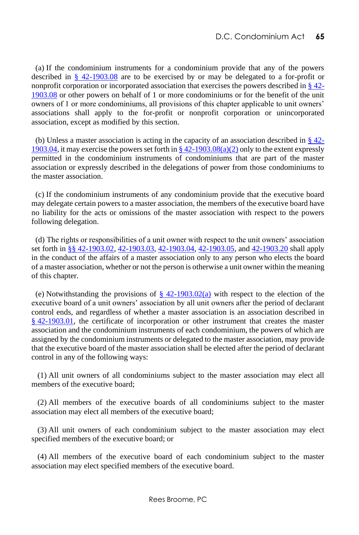(a) If the condominium instruments for a condominium provide that any of the powers described in  $\frac{8}{9}$  42-1903.08 are to be exercised by or may be delegated to a for-profit or nonprofit corporation or incorporated association that exercises the powers described in § [42-](http://www.lexis.com/research/buttonTFLink?_m=53255f18c0bb5608b2114326ea619355&_xfercite=%3ccite%20cc%3d%22USA%22%3e%3c%21%5bCDATA%5bD.C.%20Code%20%a7%2042-1903.18%5d%5d%3e%3c%2fcite%3e&_butType=4&_butStat=0&_butNum=3&_butInline=1&_butinfo=DC%20CODE%2042-1903.08&_fmtstr=FULL&docnum=1&_startdoc=1&wchp=dGLzVlz-zSkAz&_md5=d5cc00585611d6ed1daee0bc20cd0da8) [1903.08](http://www.lexis.com/research/buttonTFLink?_m=53255f18c0bb5608b2114326ea619355&_xfercite=%3ccite%20cc%3d%22USA%22%3e%3c%21%5bCDATA%5bD.C.%20Code%20%a7%2042-1903.18%5d%5d%3e%3c%2fcite%3e&_butType=4&_butStat=0&_butNum=3&_butInline=1&_butinfo=DC%20CODE%2042-1903.08&_fmtstr=FULL&docnum=1&_startdoc=1&wchp=dGLzVlz-zSkAz&_md5=d5cc00585611d6ed1daee0bc20cd0da8) or other powers on behalf of 1 or more condominiums or for the benefit of the unit owners of 1 or more condominiums, all provisions of this chapter applicable to unit owners' associations shall apply to the for-profit or nonprofit corporation or unincorporated association, except as modified by this section.

(b) Unless a master association is acting in the capacity of an association described in  $\S 42$ -[1903.04,](http://www.lexis.com/research/buttonTFLink?_m=53255f18c0bb5608b2114326ea619355&_xfercite=%3ccite%20cc%3d%22USA%22%3e%3c%21%5bCDATA%5bD.C.%20Code%20%a7%2042-1903.18%5d%5d%3e%3c%2fcite%3e&_butType=4&_butStat=0&_butNum=4&_butInline=1&_butinfo=DC%20CODE%2042-1903.04&_fmtstr=FULL&docnum=1&_startdoc=1&wchp=dGLzVlz-zSkAz&_md5=a62c631e9aa36fe99920dbf2a9a2e690) it may exercise the powers set forth in  $\S 42$ -1903.08(a)(2) only to the extent expressly permitted in the condominium instruments of condominiums that are part of the master association or expressly described in the delegations of power from those condominiums to the master association.

 (c) If the condominium instruments of any condominium provide that the executive board may delegate certain powers to a master association, the members of the executive board have no liability for the acts or omissions of the master association with respect to the powers following delegation.

 (d) The rights or responsibilities of a unit owner with respect to the unit owners' association set forth i[n §§ 42-1903.02,](http://www.lexis.com/research/buttonTFLink?_m=53255f18c0bb5608b2114326ea619355&_xfercite=%3ccite%20cc%3d%22USA%22%3e%3c%21%5bCDATA%5bD.C.%20Code%20%a7%2042-1903.18%5d%5d%3e%3c%2fcite%3e&_butType=4&_butStat=0&_butNum=6&_butInline=1&_butinfo=DC%20CODE%2042-1903.02&_fmtstr=FULL&docnum=1&_startdoc=1&wchp=dGLzVlz-zSkAz&_md5=19b3eed84e86cb0e5e9b8d7b2342089d) [42-1903.03,](http://www.lexis.com/research/buttonTFLink?_m=53255f18c0bb5608b2114326ea619355&_xfercite=%3ccite%20cc%3d%22USA%22%3e%3c%21%5bCDATA%5bD.C.%20Code%20%a7%2042-1903.18%5d%5d%3e%3c%2fcite%3e&_butType=4&_butStat=0&_butNum=7&_butInline=1&_butinfo=DC%20CODE%2042-1903.03&_fmtstr=FULL&docnum=1&_startdoc=1&wchp=dGLzVlz-zSkAz&_md5=0a5073c084e6ea2cbc422fa8f81d60a1) [42-1903.04,](http://www.lexis.com/research/buttonTFLink?_m=53255f18c0bb5608b2114326ea619355&_xfercite=%3ccite%20cc%3d%22USA%22%3e%3c%21%5bCDATA%5bD.C.%20Code%20%a7%2042-1903.18%5d%5d%3e%3c%2fcite%3e&_butType=4&_butStat=0&_butNum=8&_butInline=1&_butinfo=DC%20CODE%2042-1903.04&_fmtstr=FULL&docnum=1&_startdoc=1&wchp=dGLzVlz-zSkAz&_md5=f17dc86dec785a8196f8c98fc2f01d5a) [42-1903.05,](http://www.lexis.com/research/buttonTFLink?_m=53255f18c0bb5608b2114326ea619355&_xfercite=%3ccite%20cc%3d%22USA%22%3e%3c%21%5bCDATA%5bD.C.%20Code%20%a7%2042-1903.18%5d%5d%3e%3c%2fcite%3e&_butType=4&_butStat=0&_butNum=9&_butInline=1&_butinfo=DC%20CODE%2042-1903.05&_fmtstr=FULL&docnum=1&_startdoc=1&wchp=dGLzVlz-zSkAz&_md5=c346e1d0c4a01c40b692fb9d8c80a8df) and [42-1903.20](http://www.lexis.com/research/buttonTFLink?_m=53255f18c0bb5608b2114326ea619355&_xfercite=%3ccite%20cc%3d%22USA%22%3e%3c%21%5bCDATA%5bD.C.%20Code%20%a7%2042-1903.18%5d%5d%3e%3c%2fcite%3e&_butType=4&_butStat=0&_butNum=10&_butInline=1&_butinfo=DC%20CODE%2042-1903.20&_fmtstr=FULL&docnum=1&_startdoc=1&wchp=dGLzVlz-zSkAz&_md5=69a8d66f5071c08f194ff49587631d47) shall apply in the conduct of the affairs of a master association only to any person who elects the board of a master association, whether or not the person is otherwise a unit owner within the meaning of this chapter.

(e) Notwithstanding the provisions of  $\S$  42-1903.02(a) with respect to the election of the executive board of a unit owners' association by all unit owners after the period of declarant control ends, and regardless of whether a master association is an association described in § [42-1903.01,](http://www.lexis.com/research/buttonTFLink?_m=53255f18c0bb5608b2114326ea619355&_xfercite=%3ccite%20cc%3d%22USA%22%3e%3c%21%5bCDATA%5bD.C.%20Code%20%a7%2042-1903.18%5d%5d%3e%3c%2fcite%3e&_butType=4&_butStat=0&_butNum=12&_butInline=1&_butinfo=DC%20CODE%2042-1903.01&_fmtstr=FULL&docnum=1&_startdoc=1&wchp=dGLzVlz-zSkAz&_md5=e60ae2b68c48d2514a3f038c7b7ff64d) the certificate of incorporation or other instrument that creates the master association and the condominium instruments of each condominium, the powers of which are assigned by the condominium instruments or delegated to the master association, may provide that the executive board of the master association shall be elected after the period of declarant control in any of the following ways:

 (1) All unit owners of all condominiums subject to the master association may elect all members of the executive board;

 (2) All members of the executive boards of all condominiums subject to the master association may elect all members of the executive board;

 (3) All unit owners of each condominium subject to the master association may elect specified members of the executive board; or

 (4) All members of the executive board of each condominium subject to the master association may elect specified members of the executive board.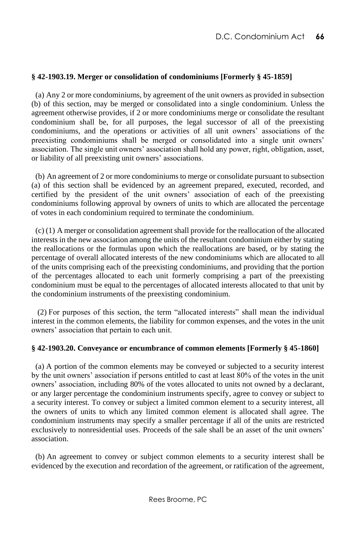# **§ 42-1903.19. Merger or consolidation of condominiums [Formerly § 45-1859]**

 (a) Any 2 or more condominiums, by agreement of the unit owners as provided in subsection (b) of this section, may be merged or consolidated into a single condominium. Unless the agreement otherwise provides, if 2 or more condominiums merge or consolidate the resultant condominium shall be, for all purposes, the legal successor of all of the preexisting condominiums, and the operations or activities of all unit owners' associations of the preexisting condominiums shall be merged or consolidated into a single unit owners' association. The single unit owners' association shall hold any power, right, obligation, asset, or liability of all preexisting unit owners' associations.

 (b) An agreement of 2 or more condominiums to merge or consolidate pursuant to subsection (a) of this section shall be evidenced by an agreement prepared, executed, recorded, and certified by the president of the unit owners' association of each of the preexisting condominiums following approval by owners of units to which are allocated the percentage of votes in each condominium required to terminate the condominium.

 (c) (1) A merger or consolidation agreement shall provide for the reallocation of the allocated interests in the new association among the units of the resultant condominium either by stating the reallocations or the formulas upon which the reallocations are based, or by stating the percentage of overall allocated interests of the new condominiums which are allocated to all of the units comprising each of the preexisting condominiums, and providing that the portion of the percentages allocated to each unit formerly comprising a part of the preexisting condominium must be equal to the percentages of allocated interests allocated to that unit by the condominium instruments of the preexisting condominium.

 (2) For purposes of this section, the term "allocated interests" shall mean the individual interest in the common elements, the liability for common expenses, and the votes in the unit owners' association that pertain to each unit.

#### **§ 42-1903.20. Conveyance or encumbrance of common elements [Formerly § 45-1860]**

 (a) A portion of the common elements may be conveyed or subjected to a security interest by the unit owners' association if persons entitled to cast at least 80% of the votes in the unit owners' association, including 80% of the votes allocated to units not owned by a declarant, or any larger percentage the condominium instruments specify, agree to convey or subject to a security interest. To convey or subject a limited common element to a security interest, all the owners of units to which any limited common element is allocated shall agree. The condominium instruments may specify a smaller percentage if all of the units are restricted exclusively to nonresidential uses. Proceeds of the sale shall be an asset of the unit owners' association.

 (b) An agreement to convey or subject common elements to a security interest shall be evidenced by the execution and recordation of the agreement, or ratification of the agreement,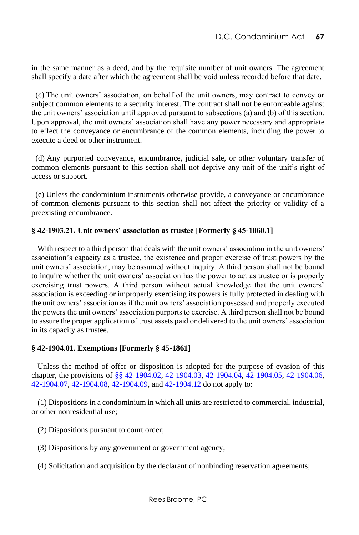in the same manner as a deed, and by the requisite number of unit owners. The agreement shall specify a date after which the agreement shall be void unless recorded before that date.

 (c) The unit owners' association, on behalf of the unit owners, may contract to convey or subject common elements to a security interest. The contract shall not be enforceable against the unit owners' association until approved pursuant to subsections (a) and (b) of this section. Upon approval, the unit owners' association shall have any power necessary and appropriate to effect the conveyance or encumbrance of the common elements, including the power to execute a deed or other instrument.

 (d) Any purported conveyance, encumbrance, judicial sale, or other voluntary transfer of common elements pursuant to this section shall not deprive any unit of the unit's right of access or support.

 (e) Unless the condominium instruments otherwise provide, a conveyance or encumbrance of common elements pursuant to this section shall not affect the priority or validity of a preexisting encumbrance.

# **§ 42-1903.21. Unit owners' association as trustee [Formerly § 45-1860.1]**

 With respect to a third person that deals with the unit owners' association in the unit owners' association's capacity as a trustee, the existence and proper exercise of trust powers by the unit owners' association, may be assumed without inquiry. A third person shall not be bound to inquire whether the unit owners' association has the power to act as trustee or is properly exercising trust powers. A third person without actual knowledge that the unit owners' association is exceeding or improperly exercising its powers is fully protected in dealing with the unit owners' association as if the unit owners' association possessed and properly executed the powers the unit owners' association purports to exercise. A third person shall not be bound to assure the proper application of trust assets paid or delivered to the unit owners' association in its capacity as trustee.

#### **§ 42-1904.01. Exemptions [Formerly § 45-1861]**

 Unless the method of offer or disposition is adopted for the purpose of evasion of this chapter, the provisions of [§§ 42-1904.02,](http://www.lexis.com/research/buttonTFLink?_m=8ddbf73879ac6c231cfa8e1109f9da7d&_xfercite=%3ccite%20cc%3d%22USA%22%3e%3c%21%5bCDATA%5bD.C.%20Code%20%a7%2042-1904.01%5d%5d%3e%3c%2fcite%3e&_butType=4&_butStat=0&_butNum=2&_butInline=1&_butinfo=DC%20CODE%2042-1904.02&_fmtstr=FULL&docnum=1&_startdoc=1&wchp=dGLzVlz-zSkAz&_md5=ce8dbc901fc98de8958680527fb93670) [42-1904.03,](http://www.lexis.com/research/buttonTFLink?_m=8ddbf73879ac6c231cfa8e1109f9da7d&_xfercite=%3ccite%20cc%3d%22USA%22%3e%3c%21%5bCDATA%5bD.C.%20Code%20%a7%2042-1904.01%5d%5d%3e%3c%2fcite%3e&_butType=4&_butStat=0&_butNum=3&_butInline=1&_butinfo=DC%20CODE%2042-1904.03&_fmtstr=FULL&docnum=1&_startdoc=1&wchp=dGLzVlz-zSkAz&_md5=ba19e9465c8098a9577d3d39448f6b7e) [42-1904.04,](http://www.lexis.com/research/buttonTFLink?_m=8ddbf73879ac6c231cfa8e1109f9da7d&_xfercite=%3ccite%20cc%3d%22USA%22%3e%3c%21%5bCDATA%5bD.C.%20Code%20%a7%2042-1904.01%5d%5d%3e%3c%2fcite%3e&_butType=4&_butStat=0&_butNum=4&_butInline=1&_butinfo=DC%20CODE%2042-1904.04&_fmtstr=FULL&docnum=1&_startdoc=1&wchp=dGLzVlz-zSkAz&_md5=1c5324f0063743c09baa68815b80e8ec) [42-1904.05,](http://www.lexis.com/research/buttonTFLink?_m=8ddbf73879ac6c231cfa8e1109f9da7d&_xfercite=%3ccite%20cc%3d%22USA%22%3e%3c%21%5bCDATA%5bD.C.%20Code%20%a7%2042-1904.01%5d%5d%3e%3c%2fcite%3e&_butType=4&_butStat=0&_butNum=5&_butInline=1&_butinfo=DC%20CODE%2042-1904.05&_fmtstr=FULL&docnum=1&_startdoc=1&wchp=dGLzVlz-zSkAz&_md5=1a0a4848be95e98a07640f247c0d1f45) [42-1904.06,](http://www.lexis.com/research/buttonTFLink?_m=8ddbf73879ac6c231cfa8e1109f9da7d&_xfercite=%3ccite%20cc%3d%22USA%22%3e%3c%21%5bCDATA%5bD.C.%20Code%20%a7%2042-1904.01%5d%5d%3e%3c%2fcite%3e&_butType=4&_butStat=0&_butNum=6&_butInline=1&_butinfo=DC%20CODE%2042-1904.06&_fmtstr=FULL&docnum=1&_startdoc=1&wchp=dGLzVlz-zSkAz&_md5=9bcaba56d8dd678f853e8ef19ed882f9)  [42-1904.07,](http://www.lexis.com/research/buttonTFLink?_m=8ddbf73879ac6c231cfa8e1109f9da7d&_xfercite=%3ccite%20cc%3d%22USA%22%3e%3c%21%5bCDATA%5bD.C.%20Code%20%a7%2042-1904.01%5d%5d%3e%3c%2fcite%3e&_butType=4&_butStat=0&_butNum=7&_butInline=1&_butinfo=DC%20CODE%2042-1904.07&_fmtstr=FULL&docnum=1&_startdoc=1&wchp=dGLzVlz-zSkAz&_md5=413680a82789d673602f0f520a7d667d) [42-1904.08,](http://www.lexis.com/research/buttonTFLink?_m=8ddbf73879ac6c231cfa8e1109f9da7d&_xfercite=%3ccite%20cc%3d%22USA%22%3e%3c%21%5bCDATA%5bD.C.%20Code%20%a7%2042-1904.01%5d%5d%3e%3c%2fcite%3e&_butType=4&_butStat=0&_butNum=8&_butInline=1&_butinfo=DC%20CODE%2042-1904.08&_fmtstr=FULL&docnum=1&_startdoc=1&wchp=dGLzVlz-zSkAz&_md5=806e77b5222c25edeb4965bb007675fe) [42-1904.09,](http://www.lexis.com/research/buttonTFLink?_m=8ddbf73879ac6c231cfa8e1109f9da7d&_xfercite=%3ccite%20cc%3d%22USA%22%3e%3c%21%5bCDATA%5bD.C.%20Code%20%a7%2042-1904.01%5d%5d%3e%3c%2fcite%3e&_butType=4&_butStat=0&_butNum=9&_butInline=1&_butinfo=DC%20CODE%2042-1904.09&_fmtstr=FULL&docnum=1&_startdoc=1&wchp=dGLzVlz-zSkAz&_md5=d9c2e2ac52c38ed66e8d3ae3af16d731) an[d 42-1904.12](http://www.lexis.com/research/buttonTFLink?_m=8ddbf73879ac6c231cfa8e1109f9da7d&_xfercite=%3ccite%20cc%3d%22USA%22%3e%3c%21%5bCDATA%5bD.C.%20Code%20%a7%2042-1904.01%5d%5d%3e%3c%2fcite%3e&_butType=4&_butStat=0&_butNum=10&_butInline=1&_butinfo=DC%20CODE%2042-1904.12&_fmtstr=FULL&docnum=1&_startdoc=1&wchp=dGLzVlz-zSkAz&_md5=e7f4ab85a6eec1b05e9e46dd15578c8c) do not apply to:

 (1) Dispositions in a condominium in which all units are restricted to commercial, industrial, or other nonresidential use;

- (2) Dispositions pursuant to court order;
- (3) Dispositions by any government or government agency;
- (4) Solicitation and acquisition by the declarant of nonbinding reservation agreements;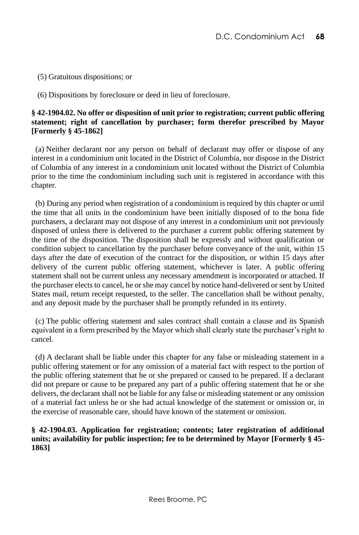(5) Gratuitous dispositions; or

(6) Dispositions by foreclosure or deed in lieu of foreclosure.

# **§ 42-1904.02. No offer or disposition of unit prior to registration; current public offering statement; right of cancellation by purchaser; form therefor prescribed by Mayor [Formerly § 45-1862]**

 (a) Neither declarant nor any person on behalf of declarant may offer or dispose of any interest in a condominium unit located in the District of Columbia, nor dispose in the District of Columbia of any interest in a condominium unit located without the District of Columbia prior to the time the condominium including such unit is registered in accordance with this chapter.

 (b) During any period when registration of a condominium is required by this chapter or until the time that all units in the condominium have been initially disposed of to the bona fide purchasers, a declarant may not dispose of any interest in a condominium unit not previously disposed of unless there is delivered to the purchaser a current public offering statement by the time of the disposition. The disposition shall be expressly and without qualification or condition subject to cancellation by the purchaser before conveyance of the unit, within 15 days after the date of execution of the contract for the disposition, or within 15 days after delivery of the current public offering statement, whichever is later. A public offering statement shall not be current unless any necessary amendment is incorporated or attached. If the purchaser elects to cancel, he or she may cancel by notice hand-delivered or sent by United States mail, return receipt requested, to the seller. The cancellation shall be without penalty, and any deposit made by the purchaser shall be promptly refunded in its entirety.

 (c) The public offering statement and sales contract shall contain a clause and its Spanish equivalent in a form prescribed by the Mayor which shall clearly state the purchaser's right to cancel.

 (d) A declarant shall be liable under this chapter for any false or misleading statement in a public offering statement or for any omission of a material fact with respect to the portion of the public offering statement that he or she prepared or caused to be prepared. If a declarant did not prepare or cause to be prepared any part of a public offering statement that he or she delivers, the declarant shall not be liable for any false or misleading statement or any omission of a material fact unless he or she had actual knowledge of the statement or omission or, in the exercise of reasonable care, should have known of the statement or omission.

# **§ 42-1904.03. Application for registration; contents; later registration of additional units; availability for public inspection; fee to be determined by Mayor [Formerly § 45- 1863]**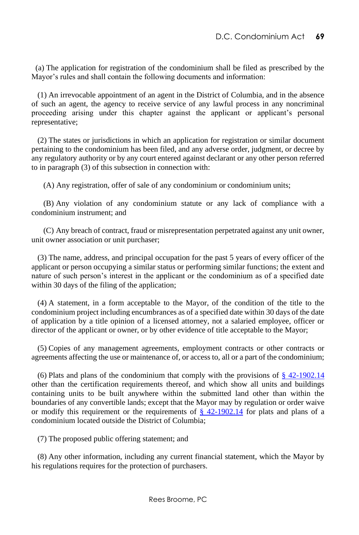(a) The application for registration of the condominium shall be filed as prescribed by the Mayor's rules and shall contain the following documents and information:

 (1) An irrevocable appointment of an agent in the District of Columbia, and in the absence of such an agent, the agency to receive service of any lawful process in any noncriminal proceeding arising under this chapter against the applicant or applicant's personal representative;

 (2) The states or jurisdictions in which an application for registration or similar document pertaining to the condominium has been filed, and any adverse order, judgment, or decree by any regulatory authority or by any court entered against declarant or any other person referred to in paragraph (3) of this subsection in connection with:

(A) Any registration, offer of sale of any condominium or condominium units;

 (B) Any violation of any condominium statute or any lack of compliance with a condominium instrument; and

 (C) Any breach of contract, fraud or misrepresentation perpetrated against any unit owner, unit owner association or unit purchaser;

 (3) The name, address, and principal occupation for the past 5 years of every officer of the applicant or person occupying a similar status or performing similar functions; the extent and nature of such person's interest in the applicant or the condominium as of a specified date within 30 days of the filing of the application;

 (4) A statement, in a form acceptable to the Mayor, of the condition of the title to the condominium project including encumbrances as of a specified date within 30 days of the date of application by a title opinion of a licensed attorney, not a salaried employee, officer or director of the applicant or owner, or by other evidence of title acceptable to the Mayor;

 (5) Copies of any management agreements, employment contracts or other contracts or agreements affecting the use or maintenance of, or access to, all or a part of the condominium;

(6) Plats and plans of the condominium that comply with the provisions of  $\S$  42-1902.14 other than the certification requirements thereof, and which show all units and buildings containing units to be built anywhere within the submitted land other than within the boundaries of any convertible lands; except that the Mayor may by regulation or order waive or modify this requirement or the requirements of  $\S$  42-1902.14 for plats and plans of a condominium located outside the District of Columbia;

(7) The proposed public offering statement; and

 (8) Any other information, including any current financial statement, which the Mayor by his regulations requires for the protection of purchasers.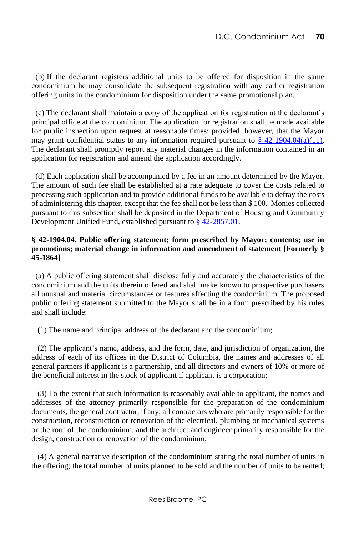(b) If the declarant registers additional units to be offered for disposition in the same condominium he may consolidate the subsequent registration with any earlier registration offering units in the condominium for disposition under the same promotional plan.

 (c) The declarant shall maintain a copy of the application for registration at the declarant's principal office at the condominium. The application for registration shall be made available for public inspection upon request at reasonable times; provided, however, that the Mayor may grant confidential status to any information required pursuant to  $\frac{8}{3}$  42-1904.04(a)(11). The declarant shall promptly report any material changes in the information contained in an application for registration and amend the application accordingly.

 (d) Each application shall be accompanied by a fee in an amount determined by the Mayor. The amount of such fee shall be established at a rate adequate to cover the costs related to processing such application and to provide additional funds to be available to defray the costs of administering this chapter, except that the fee shall not be less than \$ 100. Monies collected pursuant to this subsection shall be deposited in the Department of Housing and Community Development Unified Fund, established pursuant to [§ 42-2857.01.](http://www.westlaw.com/Link/Document/FullText?findType=L&pubNum=1000869&cite=DCCODES42-2857.01&originatingDoc=NF72A13C0E76411DF8A72874CED735CDF&refType=LQ&originationContext=document&vr=3.0&rs=cblt1.0&transitionType=DocumentItem&contextData=(sc.Default))

# **§ 42-1904.04. Public offering statement; form prescribed by Mayor; contents; use in promotions; material change in information and amendment of statement [Formerly § 45-1864]**

 (a) A public offering statement shall disclose fully and accurately the characteristics of the condominium and the units therein offered and shall make known to prospective purchasers all unusual and material circumstances or features affecting the condominium. The proposed public offering statement submitted to the Mayor shall be in a form prescribed by his rules and shall include:

(1) The name and principal address of the declarant and the condominium;

 (2) The applicant's name, address, and the form, date, and jurisdiction of organization, the address of each of its offices in the District of Columbia, the names and addresses of all general partners if applicant is a partnership, and all directors and owners of 10% or more of the beneficial interest in the stock of applicant if applicant is a corporation;

 (3) To the extent that such information is reasonably available to applicant, the names and addresses of the attorney primarily responsible for the preparation of the condominium documents, the general contractor, if any, all contractors who are primarily responsible for the construction, reconstruction or renovation of the electrical, plumbing or mechanical systems or the roof of the condominium, and the architect and engineer primarily responsible for the design, construction or renovation of the condominium;

 (4) A general narrative description of the condominium stating the total number of units in the offering; the total number of units planned to be sold and the number of units to be rented;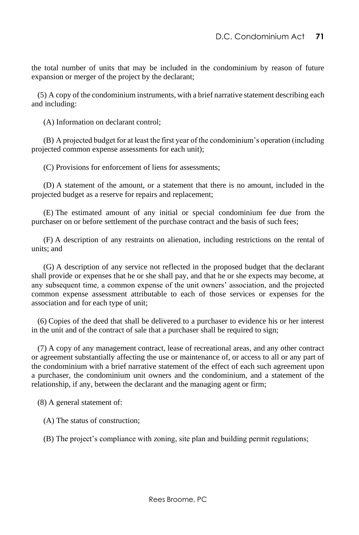the total number of units that may be included in the condominium by reason of future expansion or merger of the project by the declarant;

 (5) A copy of the condominium instruments, with a brief narrative statement describing each and including:

(A) Information on declarant control;

 (B) A projected budget for at least the first year of the condominium's operation (including projected common expense assessments for each unit);

(C) Provisions for enforcement of liens for assessments;

 (D) A statement of the amount, or a statement that there is no amount, included in the projected budget as a reserve for repairs and replacement;

 (E) The estimated amount of any initial or special condominium fee due from the purchaser on or before settlement of the purchase contract and the basis of such fees;

 (F) A description of any restraints on alienation, including restrictions on the rental of units; and

 (G) A description of any service not reflected in the proposed budget that the declarant shall provide or expenses that he or she shall pay, and that he or she expects may become, at any subsequent time, a common expense of the unit owners' association, and the projected common expense assessment attributable to each of those services or expenses for the association and for each type of unit;

 (6) Copies of the deed that shall be delivered to a purchaser to evidence his or her interest in the unit and of the contract of sale that a purchaser shall be required to sign;

 (7) A copy of any management contract, lease of recreational areas, and any other contract or agreement substantially affecting the use or maintenance of, or access to all or any part of the condominium with a brief narrative statement of the effect of each such agreement upon a purchaser, the condominium unit owners and the condominium, and a statement of the relationship, if any, between the declarant and the managing agent or firm;

(8) A general statement of:

(A) The status of construction;

(B) The project's compliance with zoning, site plan and building permit regulations;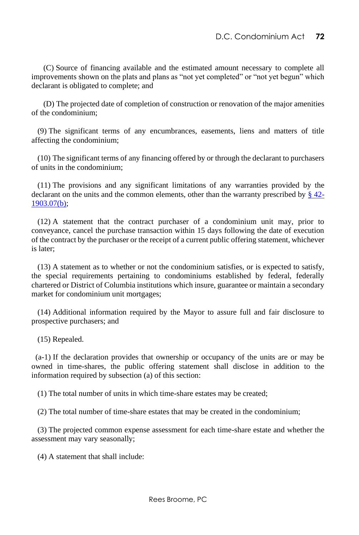(C) Source of financing available and the estimated amount necessary to complete all improvements shown on the plats and plans as "not yet completed" or "not yet begun" which declarant is obligated to complete; and

 (D) The projected date of completion of construction or renovation of the major amenities of the condominium;

 (9) The significant terms of any encumbrances, easements, liens and matters of title affecting the condominium;

 (10) The significant terms of any financing offered by or through the declarant to purchasers of units in the condominium;

 (11) The provisions and any significant limitations of any warranties provided by the declarant on the units and the common elements, other than the warranty prescribed by  $\S$  42-[1903.07\(b\);](http://www.lexis.com/research/buttonTFLink?_m=269dd3a93943f45a6c1ae4ca9665204f&_xfercite=%3ccite%20cc%3d%22USA%22%3e%3c%21%5bCDATA%5bD.C.%20Code%20%a7%2042-1904.04%5d%5d%3e%3c%2fcite%3e&_butType=4&_butStat=0&_butNum=2&_butInline=1&_butinfo=DC%20CODE%2042-1903.07&_fmtstr=FULL&docnum=1&_startdoc=1&wchp=dGLzVlz-zSkAz&_md5=1288d7db6575694f0c71e786b2dcf0b5)

 (12) A statement that the contract purchaser of a condominium unit may, prior to conveyance, cancel the purchase transaction within 15 days following the date of execution of the contract by the purchaser or the receipt of a current public offering statement, whichever is later;

 (13) A statement as to whether or not the condominium satisfies, or is expected to satisfy, the special requirements pertaining to condominiums established by federal, federally chartered or District of Columbia institutions which insure, guarantee or maintain a secondary market for condominium unit mortgages;

 (14) Additional information required by the Mayor to assure full and fair disclosure to prospective purchasers; and

(15) Repealed.

(a-1) If the declaration provides that ownership or occupancy of the units are or may be owned in time-shares, the public offering statement shall disclose in addition to the information required by subsection (a) of this section:

(1) The total number of units in which time-share estates may be created;

(2) The total number of time-share estates that may be created in the condominium;

 (3) The projected common expense assessment for each time-share estate and whether the assessment may vary seasonally;

(4) A statement that shall include: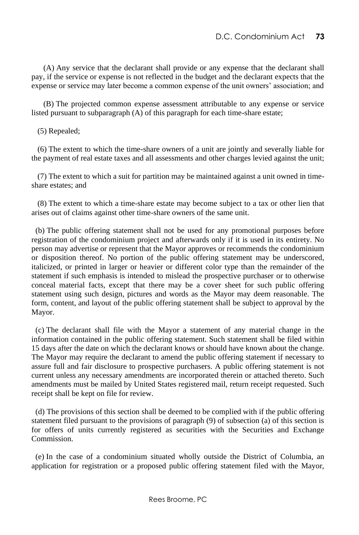(A) Any service that the declarant shall provide or any expense that the declarant shall pay, if the service or expense is not reflected in the budget and the declarant expects that the expense or service may later become a common expense of the unit owners' association; and

 (B) The projected common expense assessment attributable to any expense or service listed pursuant to subparagraph (A) of this paragraph for each time-share estate;

(5) Repealed;

 (6) The extent to which the time-share owners of a unit are jointly and severally liable for the payment of real estate taxes and all assessments and other charges levied against the unit;

 (7) The extent to which a suit for partition may be maintained against a unit owned in timeshare estates; and

 (8) The extent to which a time-share estate may become subject to a tax or other lien that arises out of claims against other time-share owners of the same unit.

 (b) The public offering statement shall not be used for any promotional purposes before registration of the condominium project and afterwards only if it is used in its entirety. No person may advertise or represent that the Mayor approves or recommends the condominium or disposition thereof. No portion of the public offering statement may be underscored, italicized, or printed in larger or heavier or different color type than the remainder of the statement if such emphasis is intended to mislead the prospective purchaser or to otherwise conceal material facts, except that there may be a cover sheet for such public offering statement using such design, pictures and words as the Mayor may deem reasonable. The form, content, and layout of the public offering statement shall be subject to approval by the Mayor.

 (c) The declarant shall file with the Mayor a statement of any material change in the information contained in the public offering statement. Such statement shall be filed within 15 days after the date on which the declarant knows or should have known about the change. The Mayor may require the declarant to amend the public offering statement if necessary to assure full and fair disclosure to prospective purchasers. A public offering statement is not current unless any necessary amendments are incorporated therein or attached thereto. Such amendments must be mailed by United States registered mail, return receipt requested. Such receipt shall be kept on file for review.

 (d) The provisions of this section shall be deemed to be complied with if the public offering statement filed pursuant to the provisions of paragraph (9) of subsection (a) of this section is for offers of units currently registered as securities with the Securities and Exchange Commission.

 (e) In the case of a condominium situated wholly outside the District of Columbia, an application for registration or a proposed public offering statement filed with the Mayor,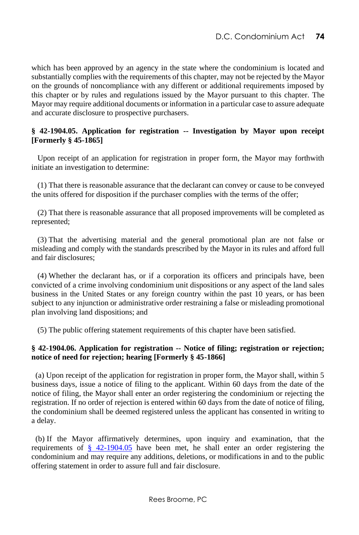which has been approved by an agency in the state where the condominium is located and substantially complies with the requirements of this chapter, may not be rejected by the Mayor on the grounds of noncompliance with any different or additional requirements imposed by this chapter or by rules and regulations issued by the Mayor pursuant to this chapter. The Mayor may require additional documents or information in a particular case to assure adequate and accurate disclosure to prospective purchasers.

### **§ 42-1904.05. Application for registration -- Investigation by Mayor upon receipt [Formerly § 45-1865]**

 Upon receipt of an application for registration in proper form, the Mayor may forthwith initiate an investigation to determine:

 (1) That there is reasonable assurance that the declarant can convey or cause to be conveyed the units offered for disposition if the purchaser complies with the terms of the offer;

 (2) That there is reasonable assurance that all proposed improvements will be completed as represented;

 (3) That the advertising material and the general promotional plan are not false or misleading and comply with the standards prescribed by the Mayor in its rules and afford full and fair disclosures;

 (4) Whether the declarant has, or if a corporation its officers and principals have, been convicted of a crime involving condominium unit dispositions or any aspect of the land sales business in the United States or any foreign country within the past 10 years, or has been subject to any injunction or administrative order restraining a false or misleading promotional plan involving land dispositions; and

(5) The public offering statement requirements of this chapter have been satisfied.

#### **§ 42-1904.06. Application for registration -- Notice of filing; registration or rejection; notice of need for rejection; hearing [Formerly § 45-1866]**

 (a) Upon receipt of the application for registration in proper form, the Mayor shall, within 5 business days, issue a notice of filing to the applicant. Within 60 days from the date of the notice of filing, the Mayor shall enter an order registering the condominium or rejecting the registration. If no order of rejection is entered within 60 days from the date of notice of filing, the condominium shall be deemed registered unless the applicant has consented in writing to a delay.

 (b) If the Mayor affirmatively determines, upon inquiry and examination, that the requirements of [§ 42-1904.05](http://www.lexis.com/research/buttonTFLink?_m=9605546ee77d5d27ec3861cd0a2846cd&_xfercite=%3ccite%20cc%3d%22USA%22%3e%3c%21%5bCDATA%5bD.C.%20Code%20%a7%2042-1904.06%5d%5d%3e%3c%2fcite%3e&_butType=4&_butStat=0&_butNum=2&_butInline=1&_butinfo=DC%20CODE%2042-1904.05&_fmtstr=FULL&docnum=1&_startdoc=1&wchp=dGLzVlz-zSkAz&_md5=5d349f84179f44d0757c20ca8dd4e74d) have been met, he shall enter an order registering the condominium and may require any additions, deletions, or modifications in and to the public offering statement in order to assure full and fair disclosure.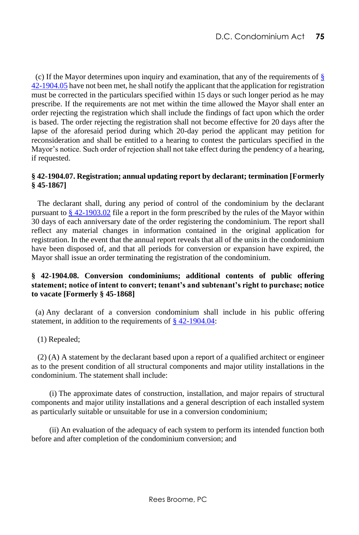(c) If the Mayor determines upon inquiry and examination, that any of the requirements of  $\S$ [42-1904.05](http://www.lexis.com/research/buttonTFLink?_m=9605546ee77d5d27ec3861cd0a2846cd&_xfercite=%3ccite%20cc%3d%22USA%22%3e%3c%21%5bCDATA%5bD.C.%20Code%20%a7%2042-1904.06%5d%5d%3e%3c%2fcite%3e&_butType=4&_butStat=0&_butNum=3&_butInline=1&_butinfo=DC%20CODE%2042-1904.05&_fmtstr=FULL&docnum=1&_startdoc=1&wchp=dGLzVlz-zSkAz&_md5=c8bf254aab7729eb940422296b54c1ed) have not been met, he shall notify the applicant that the application for registration must be corrected in the particulars specified within 15 days or such longer period as he may prescribe. If the requirements are not met within the time allowed the Mayor shall enter an order rejecting the registration which shall include the findings of fact upon which the order is based. The order rejecting the registration shall not become effective for 20 days after the lapse of the aforesaid period during which 20-day period the applicant may petition for reconsideration and shall be entitled to a hearing to contest the particulars specified in the Mayor's notice. Such order of rejection shall not take effect during the pendency of a hearing, if requested.

### **§ 42-1904.07. Registration; annual updating report by declarant; termination [Formerly § 45-1867]**

 The declarant shall, during any period of control of the condominium by the declarant pursuant t[o § 42-1903.02](http://www.lexis.com/research/buttonTFLink?_m=4f3a08716d841dd1b5679c90e6ce8836&_xfercite=%3ccite%20cc%3d%22USA%22%3e%3c%21%5bCDATA%5bD.C.%20Code%20%a7%2042-1904.07%5d%5d%3e%3c%2fcite%3e&_butType=4&_butStat=0&_butNum=2&_butInline=1&_butinfo=DC%20CODE%2042-1903.02&_fmtstr=FULL&docnum=1&_startdoc=1&wchp=dGLzVlz-zSkAz&_md5=48561d3d8a64925bddce4d9222c732d7) file a report in the form prescribed by the rules of the Mayor within 30 days of each anniversary date of the order registering the condominium. The report shall reflect any material changes in information contained in the original application for registration. In the event that the annual report reveals that all of the units in the condominium have been disposed of, and that all periods for conversion or expansion have expired, the Mayor shall issue an order terminating the registration of the condominium.

#### **§ 42-1904.08. Conversion condominiums; additional contents of public offering statement; notice of intent to convert; tenant's and subtenant's right to purchase; notice to vacate [Formerly § 45-1868]**

 (a) Any declarant of a conversion condominium shall include in his public offering statement, in addition to the requirements o[f § 42-1904.04:](http://www.lexis.com/research/buttonTFLink?_m=8632361916a2bdcf58d860d4d5258a8d&_xfercite=%3ccite%20cc%3d%22USA%22%3e%3c%21%5bCDATA%5bD.C.%20Code%20%a7%2042-1904.08%5d%5d%3e%3c%2fcite%3e&_butType=4&_butStat=0&_butNum=2&_butInline=1&_butinfo=DC%20CODE%2042-1904.04&_fmtstr=FULL&docnum=1&_startdoc=1&wchp=dGLzVlz-zSkAz&_md5=825be03aecbabc4b40fa6c1b4ee6b518)

(1) Repealed;

 (2) (A) A statement by the declarant based upon a report of a qualified architect or engineer as to the present condition of all structural components and major utility installations in the condominium. The statement shall include:

 (i) The approximate dates of construction, installation, and major repairs of structural components and major utility installations and a general description of each installed system as particularly suitable or unsuitable for use in a conversion condominium;

 (ii) An evaluation of the adequacy of each system to perform its intended function both before and after completion of the condominium conversion; and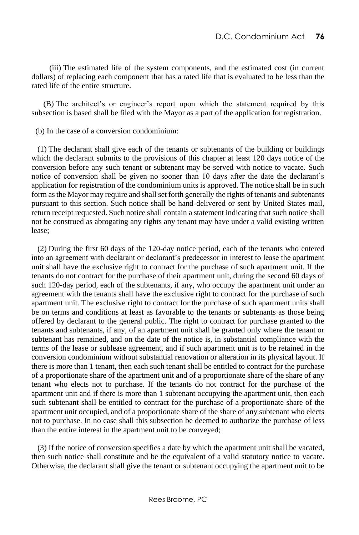(iii) The estimated life of the system components, and the estimated cost (in current dollars) of replacing each component that has a rated life that is evaluated to be less than the rated life of the entire structure.

 (B) The architect's or engineer's report upon which the statement required by this subsection is based shall be filed with the Mayor as a part of the application for registration.

(b) In the case of a conversion condominium:

 (1) The declarant shall give each of the tenants or subtenants of the building or buildings which the declarant submits to the provisions of this chapter at least 120 days notice of the conversion before any such tenant or subtenant may be served with notice to vacate. Such notice of conversion shall be given no sooner than 10 days after the date the declarant's application for registration of the condominium units is approved. The notice shall be in such form as the Mayor may require and shall set forth generally the rights of tenants and subtenants pursuant to this section. Such notice shall be hand-delivered or sent by United States mail, return receipt requested. Such notice shall contain a statement indicating that such notice shall not be construed as abrogating any rights any tenant may have under a valid existing written lease;

 (2) During the first 60 days of the 120-day notice period, each of the tenants who entered into an agreement with declarant or declarant's predecessor in interest to lease the apartment unit shall have the exclusive right to contract for the purchase of such apartment unit. If the tenants do not contract for the purchase of their apartment unit, during the second 60 days of such 120-day period, each of the subtenants, if any, who occupy the apartment unit under an agreement with the tenants shall have the exclusive right to contract for the purchase of such apartment unit. The exclusive right to contract for the purchase of such apartment units shall be on terms and conditions at least as favorable to the tenants or subtenants as those being offered by declarant to the general public. The right to contract for purchase granted to the tenants and subtenants, if any, of an apartment unit shall be granted only where the tenant or subtenant has remained, and on the date of the notice is, in substantial compliance with the terms of the lease or sublease agreement, and if such apartment unit is to be retained in the conversion condominium without substantial renovation or alteration in its physical layout. If there is more than 1 tenant, then each such tenant shall be entitled to contract for the purchase of a proportionate share of the apartment unit and of a proportionate share of the share of any tenant who elects not to purchase. If the tenants do not contract for the purchase of the apartment unit and if there is more than 1 subtenant occupying the apartment unit, then each such subtenant shall be entitled to contract for the purchase of a proportionate share of the apartment unit occupied, and of a proportionate share of the share of any subtenant who elects not to purchase. In no case shall this subsection be deemed to authorize the purchase of less than the entire interest in the apartment unit to be conveyed;

 (3) If the notice of conversion specifies a date by which the apartment unit shall be vacated, then such notice shall constitute and be the equivalent of a valid statutory notice to vacate. Otherwise, the declarant shall give the tenant or subtenant occupying the apartment unit to be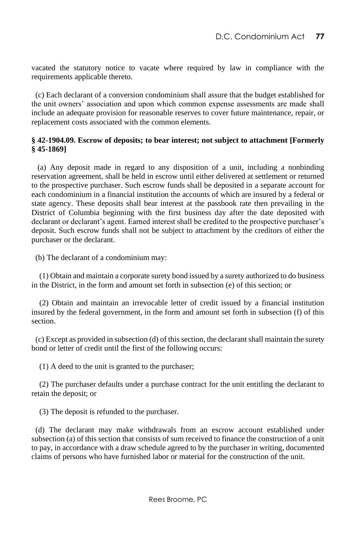vacated the statutory notice to vacate where required by law in compliance with the requirements applicable thereto.

 (c) Each declarant of a conversion condominium shall assure that the budget established for the unit owners' association and upon which common expense assessments are made shall include an adequate provision for reasonable reserves to cover future maintenance, repair, or replacement costs associated with the common elements.

### **§ 42-1904.09. Escrow of deposits; to bear interest; not subject to attachment [Formerly § 45-1869]**

 (a) Any deposit made in regard to any disposition of a unit, including a nonbinding reservation agreement, shall be held in escrow until either delivered at settlement or returned to the prospective purchaser. Such escrow funds shall be deposited in a separate account for each condominium in a financial institution the accounts of which are insured by a federal or state agency. These deposits shall bear interest at the passbook rate then prevailing in the District of Columbia beginning with the first business day after the date deposited with declarant or declarant's agent. Earned interest shall be credited to the prospective purchaser's deposit. Such escrow funds shall not be subject to attachment by the creditors of either the purchaser or the declarant.

(b) The declarant of a condominium may:

(1) Obtain and maintain a corporate surety bond issued by a surety authorized to do business in the District, in the form and amount set forth in subsection (e) of this section; or

(2) Obtain and maintain an irrevocable letter of credit issued by a financial institution insured by the federal government, in the form and amount set forth in subsection (f) of this section.

(c) Except as provided in subsection (d) of this section, the declarant shall maintain the surety bond or letter of credit until the first of the following occurs:

(1) A deed to the unit is granted to the purchaser;

(2) The purchaser defaults under a purchase contract for the unit entitling the declarant to retain the deposit; or

(3) The deposit is refunded to the purchaser.

(d) The declarant may make withdrawals from an escrow account established under subsection (a) of this section that consists of sum received to finance the construction of a unit to pay, in accordance with a draw schedule agreed to by the purchaser in writing, documented claims of persons who have furnished labor or material for the construction of the unit.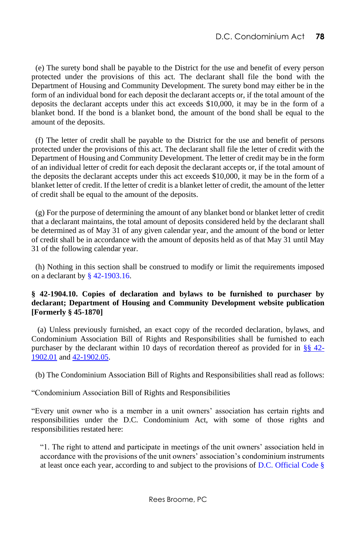(e) The surety bond shall be payable to the District for the use and benefit of every person protected under the provisions of this act. The declarant shall file the bond with the Department of Housing and Community Development. The surety bond may either be in the form of an individual bond for each deposit the declarant accepts or, if the total amount of the deposits the declarant accepts under this act exceeds \$10,000, it may be in the form of a blanket bond. If the bond is a blanket bond, the amount of the bond shall be equal to the amount of the deposits.

(f) The letter of credit shall be payable to the District for the use and benefit of persons protected under the provisions of this act. The declarant shall file the letter of credit with the Department of Housing and Community Development. The letter of credit may be in the form of an individual letter of credit for each deposit the declarant accepts or, if the total amount of the deposits the declarant accepts under this act exceeds \$10,000, it may be in the form of a blanket letter of credit. If the letter of credit is a blanket letter of credit, the amount of the letter of credit shall be equal to the amount of the deposits.

(g) For the purpose of determining the amount of any blanket bond or blanket letter of credit that a declarant maintains, the total amount of deposits considered held by the declarant shall be determined as of May 31 of any given calendar year, and the amount of the bond or letter of credit shall be in accordance with the amount of deposits held as of that May 31 until May 31 of the following calendar year.

(h) Nothing in this section shall be construed to modify or limit the requirements imposed on a declarant by [§ 42-1903.16.](http://www.westlaw.com/Link/Document/FullText?findType=L&pubNum=1000869&cite=DCCODES42-1903.16&originatingDoc=N53E2D8A0FCE611E38BD2F86D7AFED3BD&refType=LQ&originationContext=document&vr=3.0&rs=cblt1.0&transitionType=DocumentItem&contextData=(sc.Default))

# **§ 42-1904.10. Copies of declaration and bylaws to be furnished to purchaser by declarant; Department of Housing and Community Development website publication [Formerly § 45-1870]**

 (a) Unless previously furnished, an exact copy of the recorded declaration, bylaws, and Condominium Association Bill of Rights and Responsibilities shall be furnished to each purchaser by the declarant within 10 days of recordation thereof as provided for in  $\S$ § 42-[1902.01](http://www.lexis.com/research/buttonTFLink?_m=e2d9061f5c35c84bf10921fd95c14dad&_xfercite=%3ccite%20cc%3d%22USA%22%3e%3c%21%5bCDATA%5bD.C.%20Code%20%a7%2042-1904.10%5d%5d%3e%3c%2fcite%3e&_butType=4&_butStat=0&_butNum=2&_butInline=1&_butinfo=DC%20CODE%2042-1902.01&_fmtstr=FULL&docnum=1&_startdoc=1&wchp=dGLzVlz-zSkAz&_md5=7e62109af34da1547603978e12524ceb) an[d 42-1902.05.](http://www.lexis.com/research/buttonTFLink?_m=e2d9061f5c35c84bf10921fd95c14dad&_xfercite=%3ccite%20cc%3d%22USA%22%3e%3c%21%5bCDATA%5bD.C.%20Code%20%a7%2042-1904.10%5d%5d%3e%3c%2fcite%3e&_butType=4&_butStat=0&_butNum=3&_butInline=1&_butinfo=DC%20CODE%2042-1902.05&_fmtstr=FULL&docnum=1&_startdoc=1&wchp=dGLzVlz-zSkAz&_md5=5312c492fdf4f8e71c6cd0f5a445c215)

(b) The Condominium Association Bill of Rights and Responsibilities shall read as follows:

"Condominium Association Bill of Rights and Responsibilities

"Every unit owner who is a member in a unit owners' association has certain rights and responsibilities under the D.C. Condominium Act, with some of those rights and responsibilities restated here:

"1. The right to attend and participate in meetings of the unit owners' association held in accordance with the provisions of the unit owners' association's condominium instruments at least once each year, according to and subject to the provisions of [D.C. Official Code §](http://www.westlaw.com/Link/Document/FullText?findType=L&pubNum=1000869&cite=DCCODES42-1903.03&originatingDoc=N3FF1B9001F8F11E799A989A99F17BBA8&refType=SP&originationContext=document&vr=3.0&rs=cblt1.0&transitionType=DocumentItem&contextData=(sc.Default)#co_pp_8b3b0000958a4)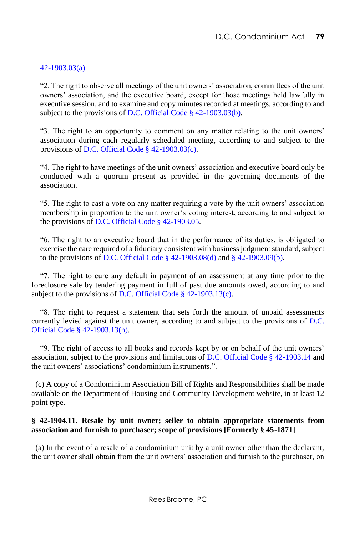### [42-1903.03\(a\).](http://www.westlaw.com/Link/Document/FullText?findType=L&pubNum=1000869&cite=DCCODES42-1903.03&originatingDoc=N3FF1B9001F8F11E799A989A99F17BBA8&refType=SP&originationContext=document&vr=3.0&rs=cblt1.0&transitionType=DocumentItem&contextData=(sc.Default)#co_pp_8b3b0000958a4)

"2. The right to observe all meetings of the unit owners' association, committees of the unit owners' association, and the executive board, except for those meetings held lawfully in executive session, and to examine and copy minutes recorded at meetings, according to and subject to the provisions o[f D.C. Official Code § 42-1903.03\(b\).](http://www.westlaw.com/Link/Document/FullText?findType=L&pubNum=1000869&cite=DCCODES42-1903.03&originatingDoc=N3FF1B9001F8F11E799A989A99F17BBA8&refType=SP&originationContext=document&vr=3.0&rs=cblt1.0&transitionType=DocumentItem&contextData=(sc.Default)#co_pp_a83b000018c76)

"3. The right to an opportunity to comment on any matter relating to the unit owners' association during each regularly scheduled meeting, according to and subject to the provisions o[f D.C. Official Code § 42-1903.03\(c\).](http://www.westlaw.com/Link/Document/FullText?findType=L&pubNum=1000869&cite=DCCODES42-1903.03&originatingDoc=N3FF1B9001F8F11E799A989A99F17BBA8&refType=SP&originationContext=document&vr=3.0&rs=cblt1.0&transitionType=DocumentItem&contextData=(sc.Default)#co_pp_4b24000003ba5)

"4. The right to have meetings of the unit owners' association and executive board only be conducted with a quorum present as provided in the governing documents of the association.

"5. The right to cast a vote on any matter requiring a vote by the unit owners' association membership in proportion to the unit owner's voting interest, according to and subject to the provisions o[f D.C. Official Code § 42-1903.05.](http://www.westlaw.com/Link/Document/FullText?findType=L&pubNum=1000869&cite=DCCODES42-1903.05&originatingDoc=N3FF1B9001F8F11E799A989A99F17BBA8&refType=LQ&originationContext=document&vr=3.0&rs=cblt1.0&transitionType=DocumentItem&contextData=(sc.Default))

"6. The right to an executive board that in the performance of its duties, is obligated to exercise the care required of a fiduciary consistent with business judgment standard, subject to the provisions of [D.C. Official Code § 42-1903.08\(d\)](http://www.westlaw.com/Link/Document/FullText?findType=L&pubNum=1000869&cite=DCCODES42-1903.08&originatingDoc=N3FF1B9001F8F11E799A989A99F17BBA8&refType=SP&originationContext=document&vr=3.0&rs=cblt1.0&transitionType=DocumentItem&contextData=(sc.Default)#co_pp_5ba1000067d06) an[d § 42-1903.09\(b\).](http://www.westlaw.com/Link/Document/FullText?findType=L&pubNum=1000869&cite=DCCODES42-1903.09&originatingDoc=N3FF1B9001F8F11E799A989A99F17BBA8&refType=SP&originationContext=document&vr=3.0&rs=cblt1.0&transitionType=DocumentItem&contextData=(sc.Default)#co_pp_a83b000018c76)

"7. The right to cure any default in payment of an assessment at any time prior to the foreclosure sale by tendering payment in full of past due amounts owed, according to and subject to the provisions o[f D.C. Official Code § 42-1903.13\(c\).](http://www.westlaw.com/Link/Document/FullText?findType=L&pubNum=1000869&cite=DCCODES42-1903.13&originatingDoc=N3FF1B9001F8F11E799A989A99F17BBA8&refType=SP&originationContext=document&vr=3.0&rs=cblt1.0&transitionType=DocumentItem&contextData=(sc.Default)#co_pp_4b24000003ba5)

"8. The right to request a statement that sets forth the amount of unpaid assessments currently levied against the unit owner, according to and subject to the provisions of [D.C.](http://www.westlaw.com/Link/Document/FullText?findType=L&pubNum=1000869&cite=DCCODES42-1903.13&originatingDoc=N3FF1B9001F8F11E799A989A99F17BBA8&refType=SP&originationContext=document&vr=3.0&rs=cblt1.0&transitionType=DocumentItem&contextData=(sc.Default)#co_pp_f383000077b35)  [Official Code § 42-1903.13\(h\).](http://www.westlaw.com/Link/Document/FullText?findType=L&pubNum=1000869&cite=DCCODES42-1903.13&originatingDoc=N3FF1B9001F8F11E799A989A99F17BBA8&refType=SP&originationContext=document&vr=3.0&rs=cblt1.0&transitionType=DocumentItem&contextData=(sc.Default)#co_pp_f383000077b35)

"9. The right of access to all books and records kept by or on behalf of the unit owners' association, subject to the provisions and limitations o[f D.C. Official Code § 42-1903.14](http://www.westlaw.com/Link/Document/FullText?findType=L&pubNum=1000869&cite=DCCODES42-1903.14&originatingDoc=N3FF1B9001F8F11E799A989A99F17BBA8&refType=LQ&originationContext=document&vr=3.0&rs=cblt1.0&transitionType=DocumentItem&contextData=(sc.Default)) and the unit owners' associations' condominium instruments.".

 (c) A copy of a Condominium Association Bill of Rights and Responsibilities shall be made available on the Department of Housing and Community Development website, in at least 12 point type.

### **§ 42-1904.11. Resale by unit owner; seller to obtain appropriate statements from association and furnish to purchaser; scope of provisions [Formerly § 45-1871]**

 (a) In the event of a resale of a condominium unit by a unit owner other than the declarant, the unit owner shall obtain from the unit owners' association and furnish to the purchaser, on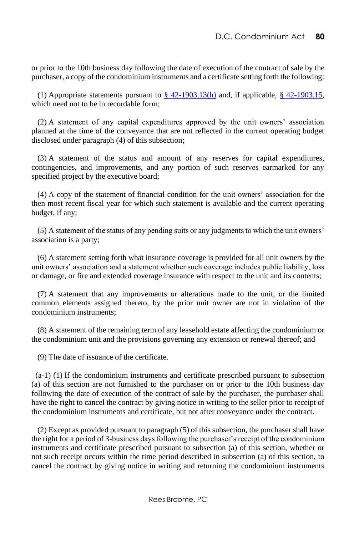or prior to the 10th business day following the date of execution of the contract of sale by the purchaser, a copy of the condominium instruments and a certificate setting forth the following:

(1) Appropriate statements pursuant to  $\S$  42-1903.13(h) and, if applicable,  $\S$  42-1903.15, which need not to be in recordable form;

 (2) A statement of any capital expenditures approved by the unit owners' association planned at the time of the conveyance that are not reflected in the current operating budget disclosed under paragraph (4) of this subsection;

 (3) A statement of the status and amount of any reserves for capital expenditures, contingencies, and improvements, and any portion of such reserves earmarked for any specified project by the executive board;

 (4) A copy of the statement of financial condition for the unit owners' association for the then most recent fiscal year for which such statement is available and the current operating budget, if any;

 (5) A statement of the status of any pending suits or any judgments to which the unit owners' association is a party;

 (6) A statement setting forth what insurance coverage is provided for all unit owners by the unit owners' association and a statement whether such coverage includes public liability, loss or damage, or fire and extended coverage insurance with respect to the unit and its contents;

 (7) A statement that any improvements or alterations made to the unit, or the limited common elements assigned thereto, by the prior unit owner are not in violation of the condominium instruments;

 (8) A statement of the remaining term of any leasehold estate affecting the condominium or the condominium unit and the provisions governing any extension or renewal thereof; and

(9) The date of issuance of the certificate.

 (a-1) (1) If the condominium instruments and certificate prescribed pursuant to subsection (a) of this section are not furnished to the purchaser on or prior to the 10th business day following the date of execution of the contract of sale by the purchaser, the purchaser shall have the right to cancel the contract by giving notice in writing to the seller prior to receipt of the condominium instruments and certificate, but not after conveyance under the contract.

 (2) Except as provided pursuant to paragraph (5) of this subsection, the purchaser shall have the right for a period of 3-business days following the purchaser's receipt of the condominium instruments and certificate prescribed pursuant to subsection (a) of this section, whether or not such receipt occurs within the time period described in subsection (a) of this section, to cancel the contract by giving notice in writing and returning the condominium instruments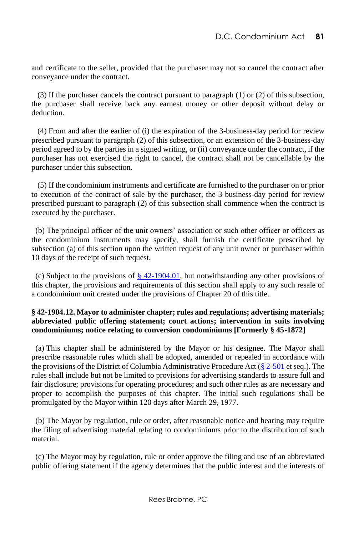and certificate to the seller, provided that the purchaser may not so cancel the contract after conveyance under the contract.

 (3) If the purchaser cancels the contract pursuant to paragraph (1) or (2) of this subsection, the purchaser shall receive back any earnest money or other deposit without delay or deduction.

 (4) From and after the earlier of (i) the expiration of the 3-business-day period for review prescribed pursuant to paragraph (2) of this subsection, or an extension of the 3-business-day period agreed to by the parties in a signed writing, or (ii) conveyance under the contract, if the purchaser has not exercised the right to cancel, the contract shall not be cancellable by the purchaser under this subsection.

 (5) If the condominium instruments and certificate are furnished to the purchaser on or prior to execution of the contract of sale by the purchaser, the 3 business-day period for review prescribed pursuant to paragraph (2) of this subsection shall commence when the contract is executed by the purchaser.

 (b) The principal officer of the unit owners' association or such other officer or officers as the condominium instruments may specify, shall furnish the certificate prescribed by subsection (a) of this section upon the written request of any unit owner or purchaser within 10 days of the receipt of such request.

(c) Subject to the provisions of  $\S$  42-1904.01, but notwithstanding any other provisions of this chapter, the provisions and requirements of this section shall apply to any such resale of a condominium unit created under the provisions of Chapter 20 of this title.

# **§ 42-1904.12. Mayor to administer chapter; rules and regulations; advertising materials; abbreviated public offering statement; court actions; intervention in suits involving condominiums; notice relating to conversion condominiums [Formerly § 45-1872]**

 (a) This chapter shall be administered by the Mayor or his designee. The Mayor shall prescribe reasonable rules which shall be adopted, amended or repealed in accordance with the provisions of the District of Columbia Administrative Procedure Act [\(§ 2-501](http://www.lexis.com/research/buttonTFLink?_m=58caa67b5841d1156bf0de6dcc71a492&_xfercite=%3ccite%20cc%3d%22USA%22%3e%3c%21%5bCDATA%5bD.C.%20Code%20%a7%2042-1904.12%5d%5d%3e%3c%2fcite%3e&_butType=4&_butStat=0&_butNum=2&_butInline=1&_butinfo=DC%20CODE%202-501&_fmtstr=FULL&docnum=1&_startdoc=1&wchp=dGLzVlz-zSkAz&_md5=1c62025c90af9bc2f00bf2d888e42c27) et seq.). The rules shall include but not be limited to provisions for advertising standards to assure full and fair disclosure; provisions for operating procedures; and such other rules as are necessary and proper to accomplish the purposes of this chapter. The initial such regulations shall be promulgated by the Mayor within 120 days after March 29, 1977.

 (b) The Mayor by regulation, rule or order, after reasonable notice and hearing may require the filing of advertising material relating to condominiums prior to the distribution of such material.

 (c) The Mayor may by regulation, rule or order approve the filing and use of an abbreviated public offering statement if the agency determines that the public interest and the interests of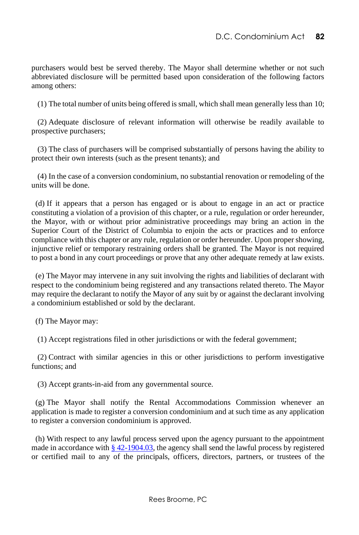purchasers would best be served thereby. The Mayor shall determine whether or not such abbreviated disclosure will be permitted based upon consideration of the following factors among others:

(1) The total number of units being offered is small, which shall mean generally less than 10;

 (2) Adequate disclosure of relevant information will otherwise be readily available to prospective purchasers;

 (3) The class of purchasers will be comprised substantially of persons having the ability to protect their own interests (such as the present tenants); and

 (4) In the case of a conversion condominium, no substantial renovation or remodeling of the units will be done.

 (d) If it appears that a person has engaged or is about to engage in an act or practice constituting a violation of a provision of this chapter, or a rule, regulation or order hereunder, the Mayor, with or without prior administrative proceedings may bring an action in the Superior Court of the District of Columbia to enjoin the acts or practices and to enforce compliance with this chapter or any rule, regulation or order hereunder. Upon proper showing, injunctive relief or temporary restraining orders shall be granted. The Mayor is not required to post a bond in any court proceedings or prove that any other adequate remedy at law exists.

 (e) The Mayor may intervene in any suit involving the rights and liabilities of declarant with respect to the condominium being registered and any transactions related thereto. The Mayor may require the declarant to notify the Mayor of any suit by or against the declarant involving a condominium established or sold by the declarant.

(f) The Mayor may:

(1) Accept registrations filed in other jurisdictions or with the federal government;

 (2) Contract with similar agencies in this or other jurisdictions to perform investigative functions; and

(3) Accept grants-in-aid from any governmental source.

 (g) The Mayor shall notify the Rental Accommodations Commission whenever an application is made to register a conversion condominium and at such time as any application to register a conversion condominium is approved.

 (h) With respect to any lawful process served upon the agency pursuant to the appointment made in accordance with  $\S$  42-1904.03, the agency shall send the lawful process by registered or certified mail to any of the principals, officers, directors, partners, or trustees of the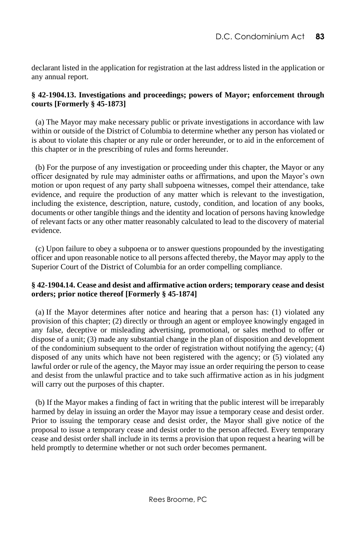declarant listed in the application for registration at the last address listed in the application or any annual report.

### **§ 42-1904.13. Investigations and proceedings; powers of Mayor; enforcement through courts [Formerly § 45-1873]**

 (a) The Mayor may make necessary public or private investigations in accordance with law within or outside of the District of Columbia to determine whether any person has violated or is about to violate this chapter or any rule or order hereunder, or to aid in the enforcement of this chapter or in the prescribing of rules and forms hereunder.

 (b) For the purpose of any investigation or proceeding under this chapter, the Mayor or any officer designated by rule may administer oaths or affirmations, and upon the Mayor's own motion or upon request of any party shall subpoena witnesses, compel their attendance, take evidence, and require the production of any matter which is relevant to the investigation, including the existence, description, nature, custody, condition, and location of any books, documents or other tangible things and the identity and location of persons having knowledge of relevant facts or any other matter reasonably calculated to lead to the discovery of material evidence.

 (c) Upon failure to obey a subpoena or to answer questions propounded by the investigating officer and upon reasonable notice to all persons affected thereby, the Mayor may apply to the Superior Court of the District of Columbia for an order compelling compliance.

# **§ 42-1904.14. Cease and desist and affirmative action orders; temporary cease and desist orders; prior notice thereof [Formerly § 45-1874]**

 (a) If the Mayor determines after notice and hearing that a person has: (1) violated any provision of this chapter; (2) directly or through an agent or employee knowingly engaged in any false, deceptive or misleading advertising, promotional, or sales method to offer or dispose of a unit; (3) made any substantial change in the plan of disposition and development of the condominium subsequent to the order of registration without notifying the agency; (4) disposed of any units which have not been registered with the agency; or (5) violated any lawful order or rule of the agency, the Mayor may issue an order requiring the person to cease and desist from the unlawful practice and to take such affirmative action as in his judgment will carry out the purposes of this chapter.

 (b) If the Mayor makes a finding of fact in writing that the public interest will be irreparably harmed by delay in issuing an order the Mayor may issue a temporary cease and desist order. Prior to issuing the temporary cease and desist order, the Mayor shall give notice of the proposal to issue a temporary cease and desist order to the person affected. Every temporary cease and desist order shall include in its terms a provision that upon request a hearing will be held promptly to determine whether or not such order becomes permanent.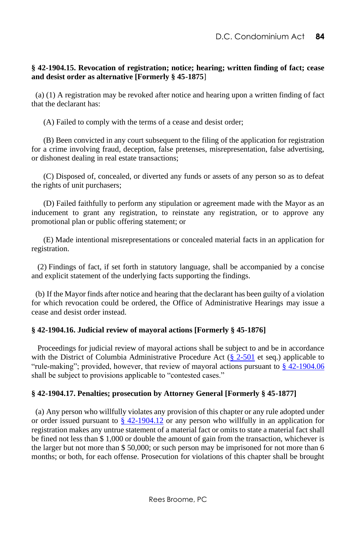# **§ 42-1904.15. Revocation of registration; notice; hearing; written finding of fact; cease and desist order as alternative [Formerly § 45-1875**]

 (a) (1) A registration may be revoked after notice and hearing upon a written finding of fact that the declarant has:

(A) Failed to comply with the terms of a cease and desist order;

 (B) Been convicted in any court subsequent to the filing of the application for registration for a crime involving fraud, deception, false pretenses, misrepresentation, false advertising, or dishonest dealing in real estate transactions;

 (C) Disposed of, concealed, or diverted any funds or assets of any person so as to defeat the rights of unit purchasers;

 (D) Failed faithfully to perform any stipulation or agreement made with the Mayor as an inducement to grant any registration, to reinstate any registration, or to approve any promotional plan or public offering statement; or

 (E) Made intentional misrepresentations or concealed material facts in an application for registration.

 (2) Findings of fact, if set forth in statutory language, shall be accompanied by a concise and explicit statement of the underlying facts supporting the findings.

 (b) If the Mayor finds after notice and hearing that the declarant has been guilty of a violation for which revocation could be ordered, the Office of Administrative Hearings may issue a cease and desist order instead.

# **§ 42-1904.16. Judicial review of mayoral actions [Formerly § 45-1876]**

 Proceedings for judicial review of mayoral actions shall be subject to and be in accordance with the District of Columbia Administrative Procedure Act [\(§ 2-501](http://www.lexis.com/research/buttonTFLink?_m=68cf51ed48715da5dfafc21de4488588&_xfercite=%3ccite%20cc%3d%22USA%22%3e%3c%21%5bCDATA%5bD.C.%20Code%20%a7%2042-1904.16%5d%5d%3e%3c%2fcite%3e&_butType=4&_butStat=0&_butNum=2&_butInline=1&_butinfo=DC%20CODE%202-501&_fmtstr=FULL&docnum=1&_startdoc=1&wchp=dGLzVlz-zSkAz&_md5=57ee52ba87c31e96aba5729b6bfeabfa) et seq.) applicable to "rule-making"; provided, however, that review of mayoral actions pursuant to  $\S$  42-1904.06 shall be subject to provisions applicable to "contested cases."

# **§ 42-1904.17. Penalties; prosecution by Attorney General [Formerly § 45-1877]**

 (a) Any person who willfully violates any provision of this chapter or any rule adopted under or order issued pursuant to  $\frac{8}{9}$  42-1904.12 or any person who willfully in an application for registration makes any untrue statement of a material fact or omits to state a material fact shall be fined not less than \$ 1,000 or double the amount of gain from the transaction, whichever is the larger but not more than \$ 50,000; or such person may be imprisoned for not more than 6 months; or both, for each offense. Prosecution for violations of this chapter shall be brought